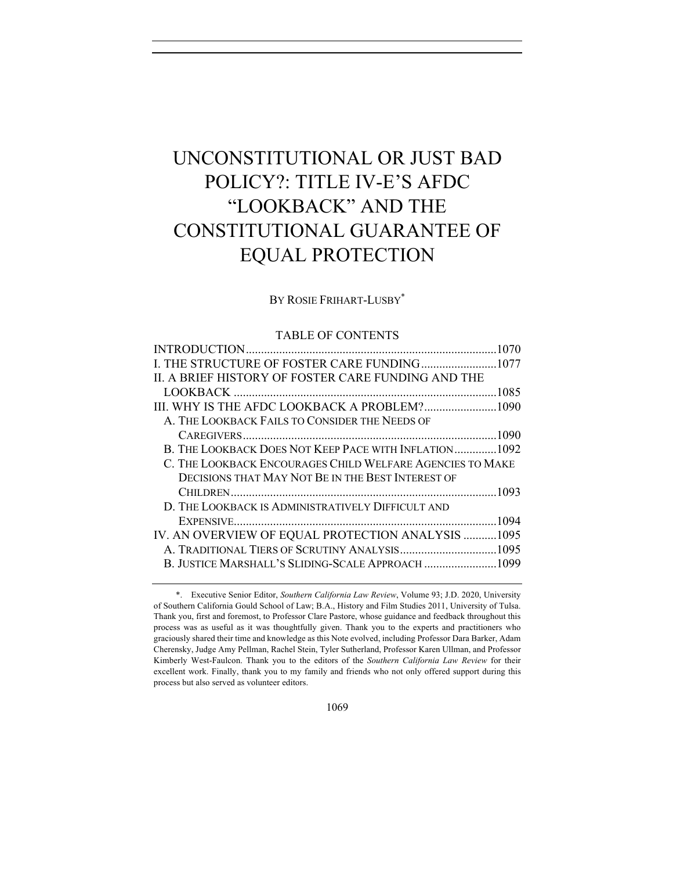# UNCONSTITUTIONAL OR JUST BAD POLICY?: TITLE IV-E'S AFDC "LOOKBACK" AND THE CONSTITUTIONAL GUARANTEE OF EQUAL PROTECTION

#### BY ROSIE FRIHART-LUSBY\*

## TABLE OF CONTENTS

| I. THE STRUCTURE OF FOSTER CARE FUNDING 1077              |  |
|-----------------------------------------------------------|--|
| II. A BRIEF HISTORY OF FOSTER CARE FUNDING AND THE        |  |
|                                                           |  |
| III. WHY IS THE AFDC LOOKBACK A PROBLEM?1090              |  |
| A. THE LOOKBACK FAILS TO CONSIDER THE NEEDS OF            |  |
|                                                           |  |
| B. THE LOOKBACK DOES NOT KEEP PACE WITH INFLATION 1092    |  |
| C. THE LOOKBACK ENCOURAGES CHILD WELFARE AGENCIES TO MAKE |  |
| DECISIONS THAT MAY NOT BE IN THE BEST INTEREST OF         |  |
|                                                           |  |
| D. THE LOOKBACK IS ADMINISTRATIVELY DIFFICULT AND         |  |
|                                                           |  |
| IV. AN OVERVIEW OF EQUAL PROTECTION ANALYSIS  1095        |  |
|                                                           |  |
| B. JUSTICE MARSHALL'S SLIDING-SCALE APPROACH 1099         |  |
|                                                           |  |

<sup>\*.</sup> Executive Senior Editor, *Southern California Law Review*, Volume 93; J.D. 2020, University of Southern California Gould School of Law; B.A., History and Film Studies 2011, University of Tulsa. Thank you, first and foremost, to Professor Clare Pastore, whose guidance and feedback throughout this process was as useful as it was thoughtfully given. Thank you to the experts and practitioners who graciously shared their time and knowledge as this Note evolved, including Professor Dara Barker, Adam Cherensky, Judge Amy Pellman, Rachel Stein, Tyler Sutherland, Professor Karen Ullman, and Professor Kimberly West-Faulcon. Thank you to the editors of the *Southern California Law Review* for their excellent work. Finally, thank you to my family and friends who not only offered support during this process but also served as volunteer editors.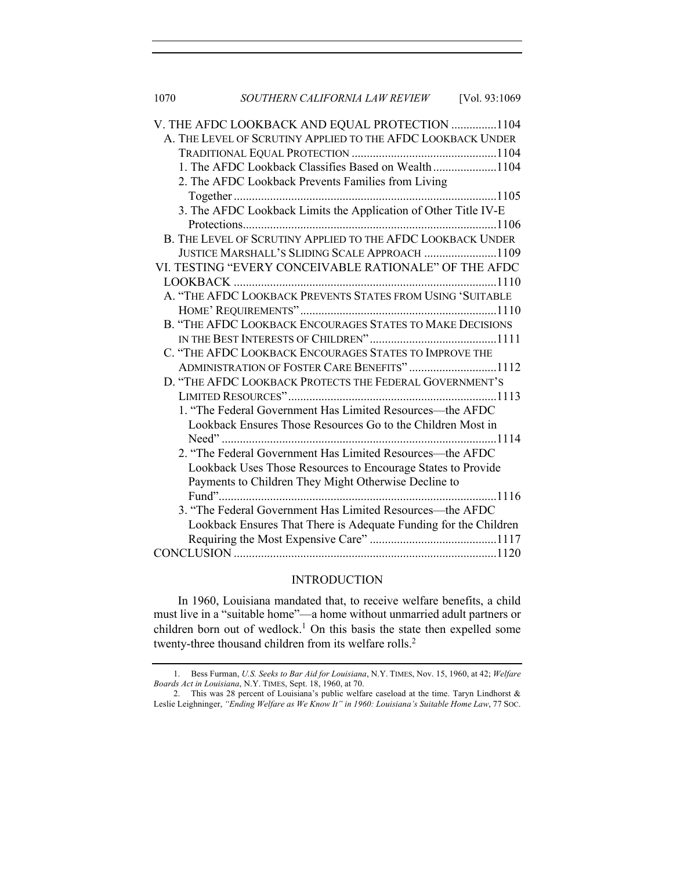1070 *SOUTHERN CALIFORNIA LAW REVIEW* [Vol. 93:1069

| V. THE AFDC LOOKBACK AND EQUAL PROTECTION 1104                   |
|------------------------------------------------------------------|
| A. THE LEVEL OF SCRUTINY APPLIED TO THE AFDC LOOKBACK UNDER      |
|                                                                  |
| 1. The AFDC Lookback Classifies Based on Wealth1104              |
| 2. The AFDC Lookback Prevents Families from Living               |
|                                                                  |
|                                                                  |
|                                                                  |
| B. THE LEVEL OF SCRUTINY APPLIED TO THE AFDC LOOKBACK UNDER      |
| JUSTICE MARSHALL'S SLIDING SCALE APPROACH 1109                   |
| VI. TESTING "EVERY CONCEIVABLE RATIONALE" OF THE AFDC            |
|                                                                  |
| A. "THE AFDC LOOKBACK PREVENTS STATES FROM USING 'SUITABLE       |
|                                                                  |
| B. "THE AFDC LOOKBACK ENCOURAGES STATES TO MAKE DECISIONS        |
|                                                                  |
| C. "THE AFDC LOOKBACK ENCOURAGES STATES TO IMPROVE THE           |
| ADMINISTRATION OF FOSTER CARE BENEFITS"1112                      |
| D. "THE AFDC LOOKBACK PROTECTS THE FEDERAL GOVERNMENT'S          |
|                                                                  |
| 1. "The Federal Government Has Limited Resources-the AFDC        |
| Lookback Ensures Those Resources Go to the Children Most in      |
|                                                                  |
| 2. "The Federal Government Has Limited Resources—the AFDC        |
| Lookback Uses Those Resources to Encourage States to Provide     |
| Payments to Children They Might Otherwise Decline to             |
|                                                                  |
| 3. "The Federal Government Has Limited Resources-the AFDC        |
| Lookback Ensures That There is Adequate Funding for the Children |
|                                                                  |
|                                                                  |

## INTRODUCTION

In 1960, Louisiana mandated that, to receive welfare benefits, a child must live in a "suitable home"—a home without unmarried adult partners or children born out of wedlock.<sup>1</sup> On this basis the state then expelled some twenty-three thousand children from its welfare rolls.<sup>2</sup>

<sup>1.</sup> Bess Furman, *U.S. Seeks to Bar Aid for Louisiana*, N.Y. TIMES, Nov. 15, 1960, at 42; *Welfare Boards Act in Louisiana*, N.Y. TIMES, Sept. 18, 1960, at 70.

<sup>2.</sup> This was 28 percent of Louisiana's public welfare caseload at the time. Taryn Lindhorst & Leslie Leighninger, *"Ending Welfare as We Know It" in 1960: Louisiana's Suitable Home Law*, 77 SOC.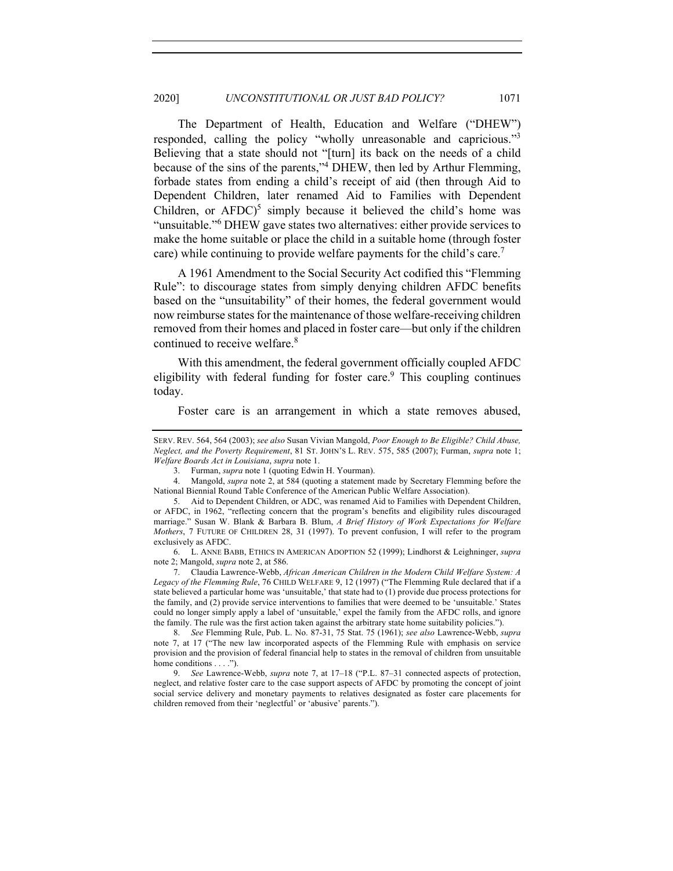The Department of Health, Education and Welfare ("DHEW") responded, calling the policy "wholly unreasonable and capricious."3 Believing that a state should not "[turn] its back on the needs of a child because of the sins of the parents,"<sup>4</sup> DHEW, then led by Arthur Flemming, forbade states from ending a child's receipt of aid (then through Aid to Dependent Children, later renamed Aid to Families with Dependent Children, or  $AFDC$ <sup>5</sup> simply because it believed the child's home was "unsuitable."<sup>6</sup> DHEW gave states two alternatives: either provide services to make the home suitable or place the child in a suitable home (through foster care) while continuing to provide welfare payments for the child's care.<sup>7</sup>

A 1961 Amendment to the Social Security Act codified this "Flemming Rule": to discourage states from simply denying children AFDC benefits based on the "unsuitability" of their homes, the federal government would now reimburse states for the maintenance of those welfare-receiving children removed from their homes and placed in foster care—but only if the children continued to receive welfare.<sup>8</sup>

With this amendment, the federal government officially coupled AFDC eligibility with federal funding for foster care.<sup>9</sup> This coupling continues today.

Foster care is an arrangement in which a state removes abused,

7. Claudia Lawrence-Webb, *African American Children in the Modern Child Welfare System: A Legacy of the Flemming Rule*, 76 CHILD WELFARE 9, 12 (1997) ("The Flemming Rule declared that if a state believed a particular home was 'unsuitable,' that state had to (1) provide due process protections for the family, and (2) provide service interventions to families that were deemed to be 'unsuitable.' States could no longer simply apply a label of 'unsuitable,' expel the family from the AFDC rolls, and ignore the family. The rule was the first action taken against the arbitrary state home suitability policies.").

8. *See* Flemming Rule, Pub. L. No. 87-31, 75 Stat. 75 (1961); *see also* Lawrence-Webb, *supra*  note 7, at 17 ("The new law incorporated aspects of the Flemming Rule with emphasis on service provision and the provision of federal financial help to states in the removal of children from unsuitable home conditions . . . .").

9. *See* Lawrence-Webb, *supra* note 7, at 17–18 ("P.L. 87–31 connected aspects of protection, neglect, and relative foster care to the case support aspects of AFDC by promoting the concept of joint social service delivery and monetary payments to relatives designated as foster care placements for children removed from their 'neglectful' or 'abusive' parents.").

SERV. REV. 564, 564 (2003); *see also* Susan Vivian Mangold, *Poor Enough to Be Eligible? Child Abuse, Neglect, and the Poverty Requirement*, 81 ST. JOHN'S L. REV. 575, 585 (2007); Furman, *supra* note 1; *Welfare Boards Act in Louisiana*, *supra* note 1.

<sup>3.</sup> Furman, *supra* note 1 (quoting Edwin H. Yourman).

<sup>4.</sup> Mangold, *supra* note 2, at 584 (quoting a statement made by Secretary Flemming before the National Biennial Round Table Conference of the American Public Welfare Association).

<sup>5.</sup> Aid to Dependent Children, or ADC, was renamed Aid to Families with Dependent Children, or AFDC, in 1962, "reflecting concern that the program's benefits and eligibility rules discouraged marriage." Susan W. Blank & Barbara B. Blum, *A Brief History of Work Expectations for Welfare Mothers*, 7 FUTURE OF CHILDREN 28, 31 (1997). To prevent confusion, I will refer to the program exclusively as AFDC.

<sup>6.</sup> L. ANNE BABB, ETHICS IN AMERICAN ADOPTION 52 (1999); Lindhorst & Leighninger, *supra*  note 2; Mangold, *supra* note 2, at 586.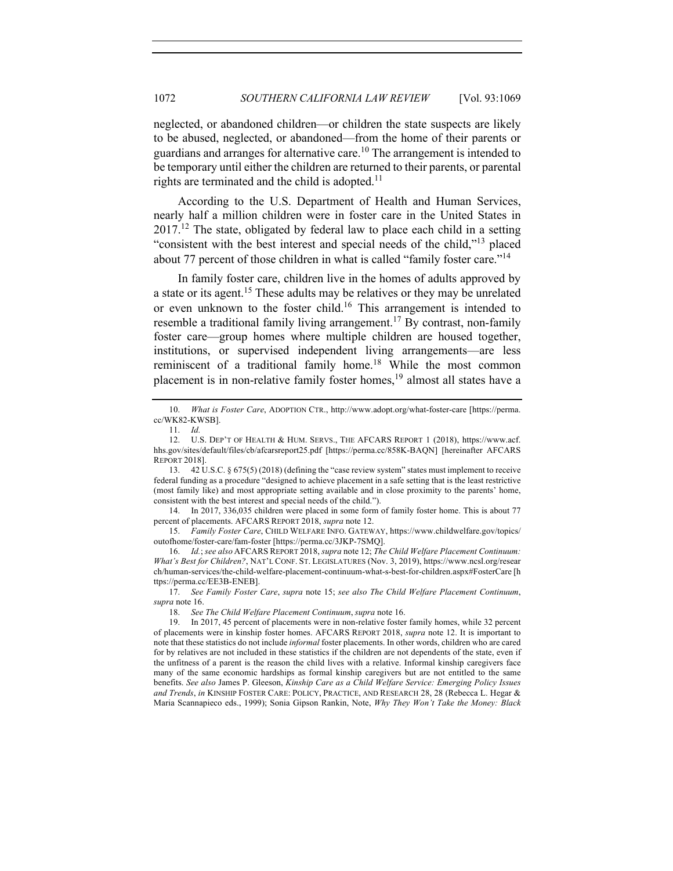neglected, or abandoned children—or children the state suspects are likely to be abused, neglected, or abandoned—from the home of their parents or guardians and arranges for alternative care.<sup>10</sup> The arrangement is intended to be temporary until either the children are returned to their parents, or parental rights are terminated and the child is adopted.<sup>11</sup>

According to the U.S. Department of Health and Human Services, nearly half a million children were in foster care in the United States in  $2017<sup>12</sup>$  The state, obligated by federal law to place each child in a setting "consistent with the best interest and special needs of the child,"<sup>13</sup> placed about 77 percent of those children in what is called "family foster care."14

In family foster care, children live in the homes of adults approved by a state or its agent.<sup>15</sup> These adults may be relatives or they may be unrelated or even unknown to the foster child.16 This arrangement is intended to resemble a traditional family living arrangement.<sup>17</sup> By contrast, non-family foster care—group homes where multiple children are housed together, institutions, or supervised independent living arrangements—are less reminiscent of a traditional family home.<sup>18</sup> While the most common placement is in non-relative family foster homes,<sup>19</sup> almost all states have a

14. In 2017, 336,035 children were placed in some form of family foster home. This is about 77 percent of placements. AFCARS REPORT 2018, *supra* note 12.

15. *Family Foster Care*, CHILD WELFARE INFO. GATEWAY, https://www.childwelfare.gov/topics/ outofhome/foster-care/fam-foster [https://perma.cc/3JKP-7SMQ].

16. *Id.*; *see also* AFCARS REPORT 2018, *supra* note 12; *The Child Welfare Placement Continuum: What's Best for Children?*, NAT'L CONF. ST. LEGISLATURES (Nov. 3, 2019), https://www.ncsl.org/resear ch/human-services/the-child-welfare-placement-continuum-what-s-best-for-children.aspx#FosterCare [h ttps://perma.cc/EE3B-ENEB].

17. *See Family Foster Care*, *supra* note 15; *see also The Child Welfare Placement Continuum*, *supra* note 16.

<sup>10.</sup> *What is Foster Care*, ADOPTION CTR., http://www.adopt.org/what-foster-care [https://perma. cc/WK82-KWSB].

<sup>11.</sup> *Id.*

<sup>12.</sup> U.S. DEP'T OF HEALTH & HUM. SERVS., THE AFCARS REPORT 1 (2018), https://www.acf. hhs.gov/sites/default/files/cb/afcarsreport25.pdf [https://perma.cc/858K-BAQN] [hereinafter AFCARS REPORT 2018].

<sup>13.</sup> 42 U.S.C. § 675(5) (2018) (defining the "case review system" states must implement to receive federal funding as a procedure "designed to achieve placement in a safe setting that is the least restrictive (most family like) and most appropriate setting available and in close proximity to the parents' home, consistent with the best interest and special needs of the child.").

<sup>18.</sup> *See The Child Welfare Placement Continuum*, *supra* note 16.

<sup>19.</sup> In 2017, 45 percent of placements were in non-relative foster family homes, while 32 percent of placements were in kinship foster homes. AFCARS REPORT 2018, *supra* note 12. It is important to note that these statistics do not include *informal* foster placements. In other words, children who are cared for by relatives are not included in these statistics if the children are not dependents of the state, even if the unfitness of a parent is the reason the child lives with a relative. Informal kinship caregivers face many of the same economic hardships as formal kinship caregivers but are not entitled to the same benefits. *See also* James P. Gleeson, *Kinship Care as a Child Welfare Service: Emerging Policy Issues and Trends*, *in* KINSHIP FOSTER CARE: POLICY, PRACTICE, AND RESEARCH 28, 28 (Rebecca L. Hegar & Maria Scannapieco eds., 1999); Sonia Gipson Rankin, Note, *Why They Won't Take the Money: Black*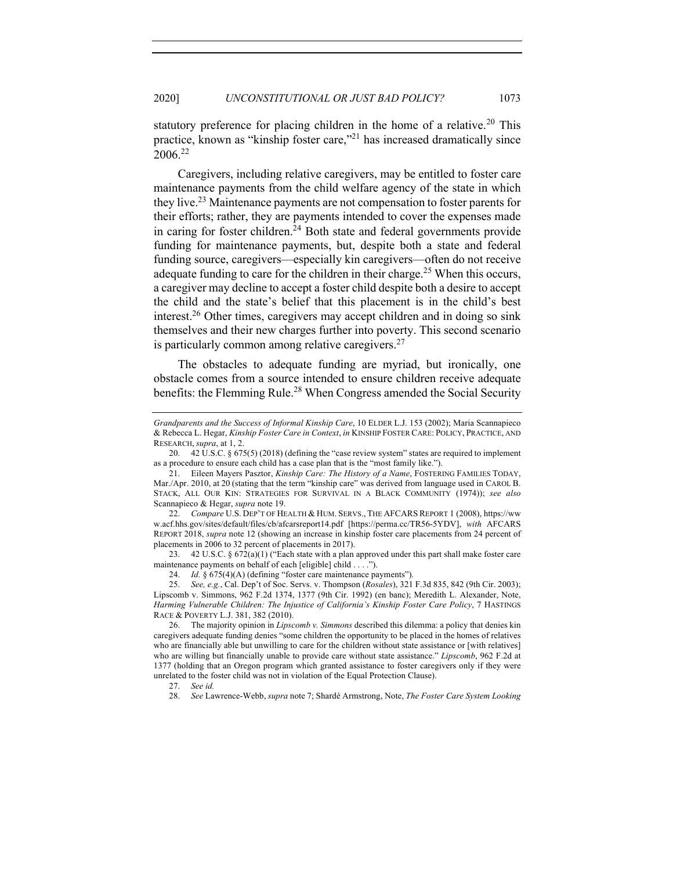statutory preference for placing children in the home of a relative.<sup>20</sup> This practice, known as "kinship foster care,"21 has increased dramatically since 2006. 22

Caregivers, including relative caregivers, may be entitled to foster care maintenance payments from the child welfare agency of the state in which they live.23 Maintenance payments are not compensation to foster parents for their efforts; rather, they are payments intended to cover the expenses made in caring for foster children.<sup>24</sup> Both state and federal governments provide funding for maintenance payments, but, despite both a state and federal funding source, caregivers—especially kin caregivers—often do not receive adequate funding to care for the children in their charge.<sup>25</sup> When this occurs, a caregiver may decline to accept a foster child despite both a desire to accept the child and the state's belief that this placement is in the child's best interest.26 Other times, caregivers may accept children and in doing so sink themselves and their new charges further into poverty. This second scenario is particularly common among relative caregivers. $27$ 

The obstacles to adequate funding are myriad, but ironically, one obstacle comes from a source intended to ensure children receive adequate benefits: the Flemming Rule.<sup>28</sup> When Congress amended the Social Security

23. 42 U.S.C. § 672(a)(1) ("Each state with a plan approved under this part shall make foster care maintenance payments on behalf of each [eligible] child . . . .").

24. *Id.* § 675(4)(A) (defining "foster care maintenance payments").

28. *See* Lawrence-Webb, *supra* note 7; Shardé Armstrong, Note, *The Foster Care System Looking* 

*Grandparents and the Success of Informal Kinship Care*, 10 ELDER L.J. 153 (2002); Maria Scannapieco & Rebecca L. Hegar, *Kinship Foster Care in Context*, *in* KINSHIP FOSTER CARE: POLICY, PRACTICE, AND RESEARCH, *supra*, at 1, 2.

<sup>20.</sup> 42 U.S.C. § 675(5) (2018) (defining the "case review system" states are required to implement as a procedure to ensure each child has a case plan that is the "most family like.").

<sup>21.</sup> Eileen Mayers Pasztor, *Kinship Care: The History of a Name*, FOSTERING FAMILIES TODAY, Mar./Apr. 2010, at 20 (stating that the term "kinship care" was derived from language used in CAROL B. STACK, ALL OUR KIN: STRATEGIES FOR SURVIVAL IN A BLACK COMMUNITY (1974)); *see also*  Scannapieco & Hegar, *supra* note 19.

<sup>22.</sup> *Compare* U.S. DEP'T OF HEALTH & HUM. SERVS., THE AFCARS REPORT 1 (2008), https://ww w.acf.hhs.gov/sites/default/files/cb/afcarsreport14.pdf [https://perma.cc/TR56-5YDV], *with* AFCARS REPORT 2018, *supra* note 12 (showing an increase in kinship foster care placements from 24 percent of placements in 2006 to 32 percent of placements in 2017).

<sup>25.</sup> *See, e.g.*, Cal. Dep't of Soc. Servs. v. Thompson (*Rosales*), 321 F.3d 835, 842 (9th Cir. 2003); Lipscomb v. Simmons, 962 F.2d 1374, 1377 (9th Cir. 1992) (en banc); Meredith L. Alexander, Note, *Harming Vulnerable Children: The Injustice of California's Kinship Foster Care Policy*, 7 HASTINGS RACE & POVERTY L.J. 381, 382 (2010).

<sup>26.</sup> The majority opinion in *Lipscomb v. Simmons* described this dilemma: a policy that denies kin caregivers adequate funding denies "some children the opportunity to be placed in the homes of relatives who are financially able but unwilling to care for the children without state assistance or [with relatives] who are willing but financially unable to provide care without state assistance." *Lipscomb*, 962 F.2d at 1377 (holding that an Oregon program which granted assistance to foster caregivers only if they were unrelated to the foster child was not in violation of the Equal Protection Clause).

<sup>27.</sup> *See id.*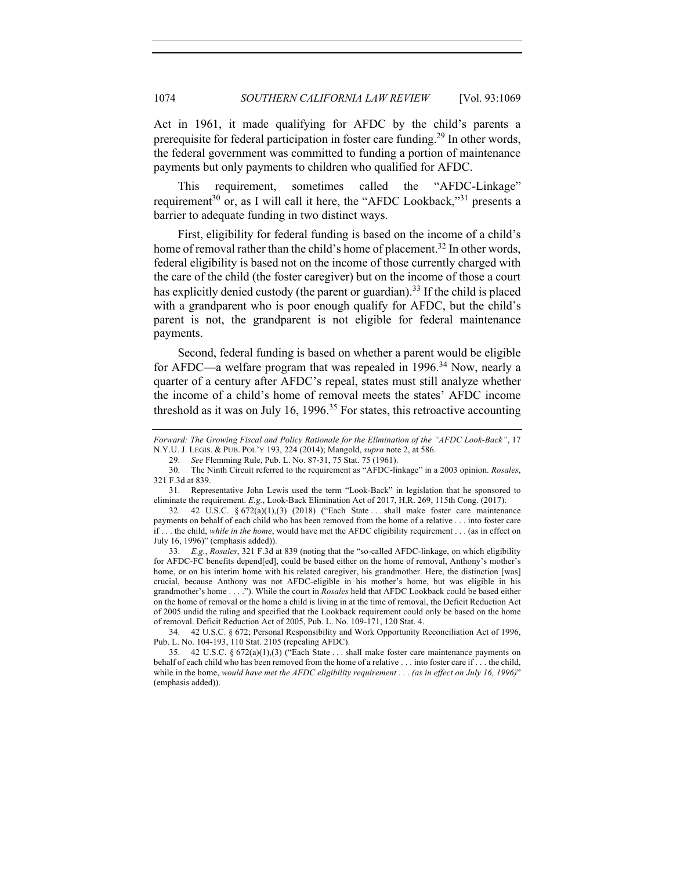Act in 1961, it made qualifying for AFDC by the child's parents a prerequisite for federal participation in foster care funding.<sup>29</sup> In other words, the federal government was committed to funding a portion of maintenance payments but only payments to children who qualified for AFDC.

This requirement, sometimes called the "AFDC-Linkage" requirement<sup>30</sup> or, as I will call it here, the "AFDC Lookback,"<sup>31</sup> presents a barrier to adequate funding in two distinct ways.

First, eligibility for federal funding is based on the income of a child's home of removal rather than the child's home of placement.<sup>32</sup> In other words, federal eligibility is based not on the income of those currently charged with the care of the child (the foster caregiver) but on the income of those a court has explicitly denied custody (the parent or guardian).<sup>33</sup> If the child is placed with a grandparent who is poor enough qualify for AFDC, but the child's parent is not, the grandparent is not eligible for federal maintenance payments.

Second, federal funding is based on whether a parent would be eligible for AFDC—a welfare program that was repealed in 1996.<sup>34</sup> Now, nearly a quarter of a century after AFDC's repeal, states must still analyze whether the income of a child's home of removal meets the states' AFDC income threshold as it was on July 16, 1996.<sup>35</sup> For states, this retroactive accounting

32. 42 U.S.C. § 672(a)(1),(3) (2018) ("Each State . . . shall make foster care maintenance payments on behalf of each child who has been removed from the home of a relative . . . into foster care if . . . the child, *while in the home*, would have met the AFDC eligibility requirement . . . (as in effect on July 16, 1996)" (emphasis added)).

33. *E.g.*, *Rosales*, 321 F.3d at 839 (noting that the "so-called AFDC-linkage, on which eligibility for AFDC-FC benefits depend[ed], could be based either on the home of removal, Anthony's mother's home, or on his interim home with his related caregiver, his grandmother. Here, the distinction [was] crucial, because Anthony was not AFDC-eligible in his mother's home, but was eligible in his grandmother's home . . . ."). While the court in *Rosales* held that AFDC Lookback could be based either on the home of removal or the home a child is living in at the time of removal, the Deficit Reduction Act of 2005 undid the ruling and specified that the Lookback requirement could only be based on the home of removal. Deficit Reduction Act of 2005, Pub. L. No. 109-171, 120 Stat. 4.

34. 42 U.S.C. § 672; Personal Responsibility and Work Opportunity Reconciliation Act of 1996, Pub. L. No. 104-193, 110 Stat. 2105 (repealing AFDC).

35. 42 U.S.C. § 672(a)(1),(3) ("Each State . . . shall make foster care maintenance payments on behalf of each child who has been removed from the home of a relative . . . into foster care if . . . the child, while in the home, *would have met the AFDC eligibility requirement* . . . *(as in effect on July 16, 1996)*" (emphasis added)).

*Forward: The Growing Fiscal and Policy Rationale for the Elimination of the "AFDC Look-Back"*, 17 N.Y.U. J. LEGIS. & PUB. POL'Y 193, 224 (2014); Mangold, *supra* note 2, at 586.

<sup>29.</sup> *See* Flemming Rule, Pub. L. No. 87-31, 75 Stat. 75 (1961).

<sup>30.</sup> The Ninth Circuit referred to the requirement as "AFDC-linkage" in a 2003 opinion. *Rosales*, 321 F.3d at 839.

<sup>31.</sup> Representative John Lewis used the term "Look-Back" in legislation that he sponsored to eliminate the requirement. *E.g.*, Look-Back Elimination Act of 2017, H.R. 269, 115th Cong. (2017).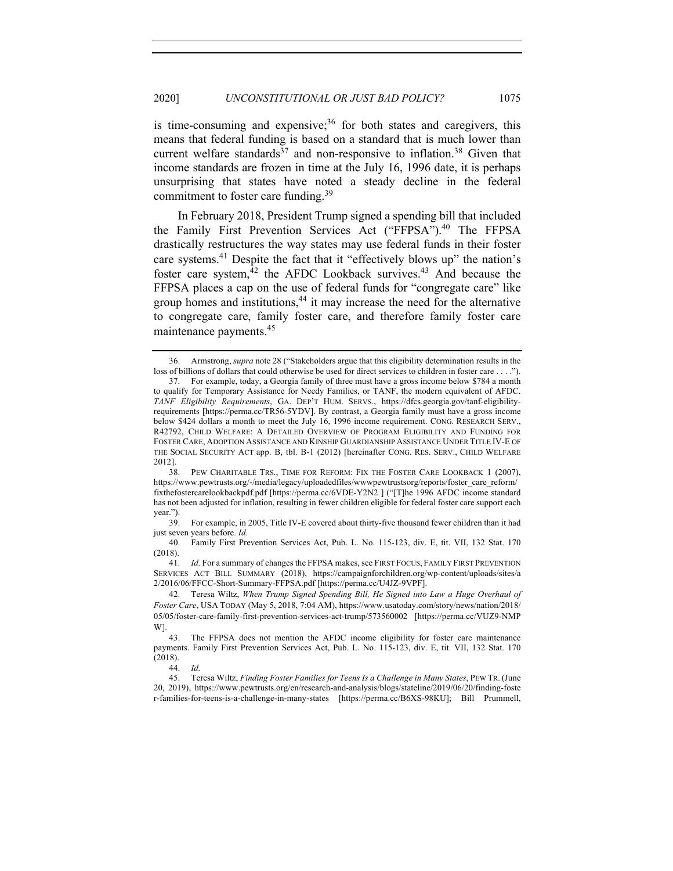is time-consuming and expensive;  $36$  for both states and caregivers, this means that federal funding is based on a standard that is much lower than current welfare standards<sup>37</sup> and non-responsive to inflation.<sup>38</sup> Given that income standards are frozen in time at the July 16, 1996 date, it is perhaps unsurprising that states have noted a steady decline in the federal commitment to foster care funding.<sup>39</sup>

In February 2018, President Trump signed a spending bill that included the Family First Prevention Services Act ("FFPSA").<sup>40</sup> The FFPSA drastically restructures the way states may use federal funds in their foster care systems.<sup>41</sup> Despite the fact that it "effectively blows up" the nation's foster care system, $42$  the AFDC Lookback survives.<sup>43</sup> And because the FFPSA places a cap on the use of federal funds for "congregate care" like group homes and institutions, $44$  it may increase the need for the alternative to congregate care, family foster care, and therefore family foster care maintenance payments.45

<sup>36.</sup> Armstrong, *supra* note 28 ("Stakeholders argue that this eligibility determination results in the loss of billions of dollars that could otherwise be used for direct services to children in foster care . . . .").

<sup>37.</sup> For example, today, a Georgia family of three must have a gross income below \$784 a month to qualify for Temporary Assistance for Needy Families, or TANF, the modern equivalent of AFDC. *TANF Eligibility Requirements*, GA. DEP'T HUM. SERVS., https://dfcs.georgia.gov/tanf-eligibilityrequirements [https://perma.cc/TR56-5YDV]. By contrast, a Georgia family must have a gross income below \$424 dollars a month to meet the July 16, 1996 income requirement. CONG. RESEARCH SERV., R42792, CHILD WELFARE: A DETAILED OVERVIEW OF PROGRAM ELIGIBILITY AND FUNDING FOR FOSTER CARE, ADOPTION ASSISTANCE AND KINSHIP GUARDIANSHIP ASSISTANCE UNDER TITLE IV-E OF THE SOCIAL SECURITY ACT app. B, tbl. B-1 (2012) [hereinafter CONG. RES. SERV., CHILD WELFARE 2012].

<sup>38.</sup> PEW CHARITABLE TRS., TIME FOR REFORM: FIX THE FOSTER CARE LOOKBACK 1 (2007), https://www.pewtrusts.org/-/media/legacy/uploadedfiles/wwwpewtrustsorg/reports/foster\_care\_reform/ fixthefostercarelookbackpdf.pdf [https://perma.cc/6VDE-Y2N2 ] ("[T]he 1996 AFDC income standard has not been adjusted for inflation, resulting in fewer children eligible for federal foster care support each year.").

<sup>39.</sup> For example, in 2005, Title IV-E covered about thirty-five thousand fewer children than it had just seven years before. *Id.* 

<sup>40.</sup> Family First Prevention Services Act, Pub. L. No. 115-123, div. E, tit. VII, 132 Stat. 170 (2018).

<sup>41.</sup> *Id.* For a summary of changes the FFPSA makes, see FIRST FOCUS, FAMILY FIRST PREVENTION SERVICES ACT BILL SUMMARY (2018), https://campaignforchildren.org/wp-content/uploads/sites/a 2/2016/06/FFCC-Short-Summary-FFPSA.pdf [https://perma.cc/U4JZ-9VPF].

<sup>42.</sup> Teresa Wiltz, *When Trump Signed Spending Bill, He Signed into Law a Huge Overhaul of Foster Care*, USA TODAY (May 5, 2018, 7:04 AM), https://www.usatoday.com/story/news/nation/2018/ 05/05/foster-care-family-first-prevention-services-act-trump/573560002 [https://perma.cc/VUZ9-NMP W].

<sup>43.</sup> The FFPSA does not mention the AFDC income eligibility for foster care maintenance payments. Family First Prevention Services Act, Pub. L. No. 115-123, div. E, tit. VII, 132 Stat. 170 (2018).

<sup>44.</sup> *Id.*

<sup>45.</sup> Teresa Wiltz, *Finding Foster Families for Teens Is a Challenge in Many States*, PEW TR. (June 20, 2019), https://www.pewtrusts.org/en/research-and-analysis/blogs/stateline/2019/06/20/finding-foste r-families-for-teens-is-a-challenge-in-many-states [https://perma.cc/B6XS-98KU]; Bill Prummell,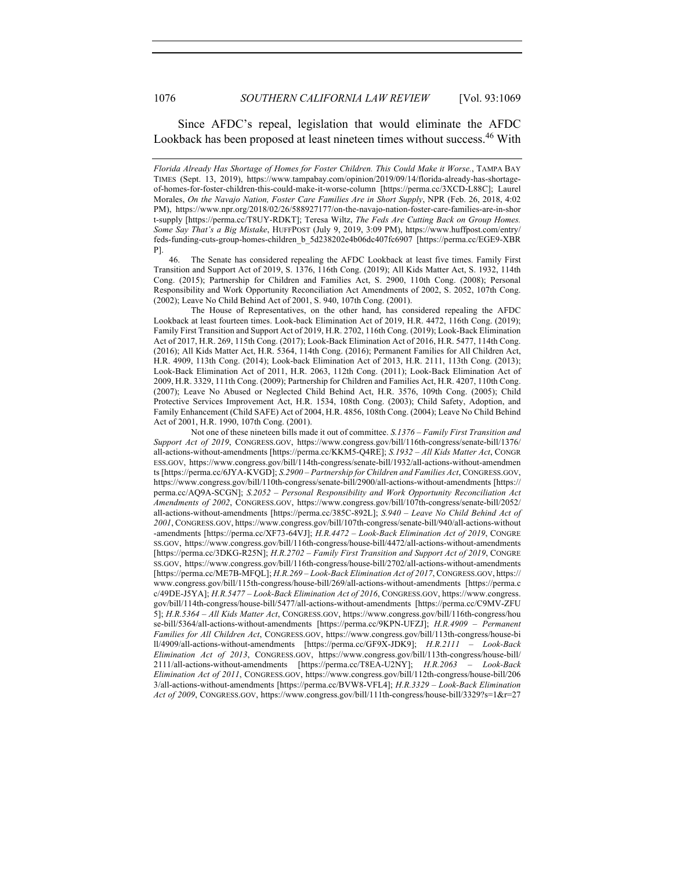Since AFDC's repeal, legislation that would eliminate the AFDC Lookback has been proposed at least nineteen times without success.<sup>46</sup> With

*Florida Already Has Shortage of Homes for Foster Children. This Could Make it Worse.*, TAMPA BAY TIMES (Sept. 13, 2019), https://www.tampabay.com/opinion/2019/09/14/florida-already-has-shortageof-homes-for-foster-children-this-could-make-it-worse-column [https://perma.cc/3XCD-L88C]; Laurel Morales, *On the Navajo Nation, Foster Care Families Are in Short Supply*, NPR (Feb. 26, 2018, 4:02 PM), https://www.npr.org/2018/02/26/588927177/on-the-navajo-nation-foster-care-families-are-in-shor t-supply [https://perma.cc/T8UY-RDKT]; Teresa Wiltz, *The Feds Are Cutting Back on Group Homes. Some Say That's a Big Mistake*, HUFFPOST (July 9, 2019, 3:09 PM), https://www.huffpost.com/entry/ feds-funding-cuts-group-homes-children\_b\_5d238202e4b06dc407fc6907 [https://perma.cc/EGE9-XBR P].

46. The Senate has considered repealing the AFDC Lookback at least five times. Family First Transition and Support Act of 2019, S. 1376, 116th Cong. (2019); All Kids Matter Act, S. 1932, 114th Cong. (2015); Partnership for Children and Families Act, S. 2900, 110th Cong. (2008); Personal Responsibility and Work Opportunity Reconciliation Act Amendments of 2002, S. 2052, 107th Cong. (2002); Leave No Child Behind Act of 2001, S. 940, 107th Cong. (2001).

The House of Representatives, on the other hand, has considered repealing the AFDC Lookback at least fourteen times. Look-back Elimination Act of 2019, H.R. 4472, 116th Cong. (2019); Family First Transition and Support Act of 2019, H.R. 2702, 116th Cong. (2019); Look-Back Elimination Act of 2017, H.R. 269, 115th Cong. (2017); Look-Back Elimination Act of 2016, H.R. 5477, 114th Cong. (2016); All Kids Matter Act, H.R. 5364, 114th Cong. (2016); Permanent Families for All Children Act, H.R. 4909, 113th Cong. (2014); Look-back Elimination Act of 2013, H.R. 2111, 113th Cong. (2013); Look-Back Elimination Act of 2011, H.R. 2063, 112th Cong. (2011); Look-Back Elimination Act of 2009, H.R. 3329, 111th Cong. (2009); Partnership for Children and Families Act, H.R. 4207, 110th Cong. (2007); Leave No Abused or Neglected Child Behind Act, H.R. 3576, 109th Cong. (2005); Child Protective Services Improvement Act, H.R. 1534, 108th Cong. (2003); Child Safety, Adoption, and Family Enhancement (Child SAFE) Act of 2004, H.R. 4856, 108th Cong. (2004); Leave No Child Behind Act of 2001, H.R. 1990, 107th Cong. (2001).

Not one of these nineteen bills made it out of committee. *S.1376 – Family First Transition and Support Act of 2019*, CONGRESS.GOV, https://www.congress.gov/bill/116th-congress/senate-bill/1376/ all-actions-without-amendments [https://perma.cc/KKM5-Q4RE]; *S.1932 – All Kids Matter Act*, CONGR ESS.GOV, https://www.congress.gov/bill/114th-congress/senate-bill/1932/all-actions-without-amendmen ts [https://perma.cc/6JYA-KVGD]; *S.2900 – Partnership for Children and Families Act*, CONGRESS.GOV, https://www.congress.gov/bill/110th-congress/senate-bill/2900/all-actions-without-amendments [https:// perma.cc/AQ9A-SCGN]; *S.2052 – Personal Responsibility and Work Opportunity Reconciliation Act Amendments of 2002*, CONGRESS.GOV, https://www.congress.gov/bill/107th-congress/senate-bill/2052/ all-actions-without-amendments [https://perma.cc/385C-892L]; *S.940 – Leave No Child Behind Act of 2001*, CONGRESS.GOV, https://www.congress.gov/bill/107th-congress/senate-bill/940/all-actions-without -amendments [https://perma.cc/XF73-64VJ]; *H.R.4472 – Look-Back Elimination Act of 2019*, CONGRE SS.GOV, https://www.congress.gov/bill/116th-congress/house-bill/4472/all-actions-without-amendments [https://perma.cc/3DKG-R25N]; *H.R.2702 – Family First Transition and Support Act of 2019*, CONGRE SS.GOV, https://www.congress.gov/bill/116th-congress/house-bill/2702/all-actions-without-amendments [https://perma.cc/ME7B-MFQL]; *H.R.269 – Look-Back Elimination Act of 2017*, CONGRESS.GOV, https:// www.congress.gov/bill/115th-congress/house-bill/269/all-actions-without-amendments [https://perma.c c/49DE-J5YA]; *H.R.5477 – Look-Back Elimination Act of 2016*, CONGRESS.GOV, https://www.congress. gov/bill/114th-congress/house-bill/5477/all-actions-without-amendments [https://perma.cc/C9MV-ZFU 5]; *H.R.5364 – All Kids Matter Act*, CONGRESS.GOV, https://www.congress.gov/bill/116th-congress/hou se-bill/5364/all-actions-without-amendments [https://perma.cc/9KPN-UFZJ]; *H.R.4909 – Permanent Families for All Children Act*, CONGRESS.GOV, https://www.congress.gov/bill/113th-congress/house-bi ll/4909/all-actions-without-amendments [https://perma.cc/GF9X-JDK9]; *H.R.2111 – Look-Back Elimination Act of 2013*, CONGRESS.GOV, https://www.congress.gov/bill/113th-congress/house-bill/ 2111/all-actions-without-amendments [https://perma.cc/T8EA-U2NY]; *H.R.2063 – Look-Back Elimination Act of 2011*, CONGRESS.GOV, https://www.congress.gov/bill/112th-congress/house-bill/206 3/all-actions-without-amendments [https://perma.cc/BVW8-VFL4]; *H.R.3329 – Look-Back Elimination Act of 2009*, CONGRESS.GOV, https://www.congress.gov/bill/111th-congress/house-bill/3329?s=1&r=27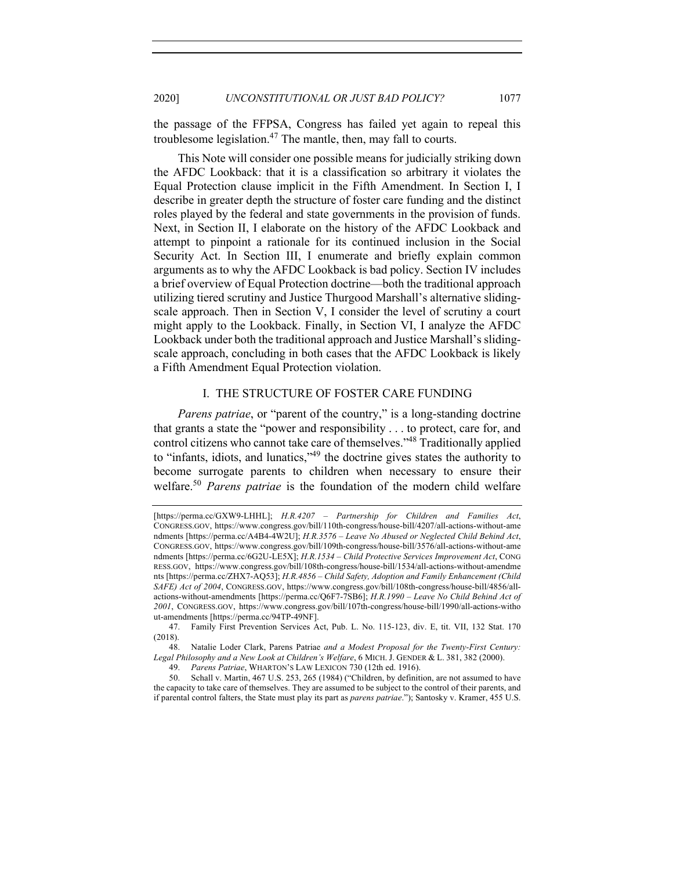the passage of the FFPSA, Congress has failed yet again to repeal this troublesome legislation. $47$  The mantle, then, may fall to courts.

This Note will consider one possible means for judicially striking down the AFDC Lookback: that it is a classification so arbitrary it violates the Equal Protection clause implicit in the Fifth Amendment. In Section I, I describe in greater depth the structure of foster care funding and the distinct roles played by the federal and state governments in the provision of funds. Next, in Section II, I elaborate on the history of the AFDC Lookback and attempt to pinpoint a rationale for its continued inclusion in the Social Security Act. In Section III, I enumerate and briefly explain common arguments as to why the AFDC Lookback is bad policy. Section IV includes a brief overview of Equal Protection doctrine—both the traditional approach utilizing tiered scrutiny and Justice Thurgood Marshall's alternative slidingscale approach. Then in Section V, I consider the level of scrutiny a court might apply to the Lookback. Finally, in Section VI, I analyze the AFDC Lookback under both the traditional approach and Justice Marshall's slidingscale approach, concluding in both cases that the AFDC Lookback is likely a Fifth Amendment Equal Protection violation.

# I. THE STRUCTURE OF FOSTER CARE FUNDING

*Parens patriae*, or "parent of the country," is a long-standing doctrine that grants a state the "power and responsibility . . . to protect, care for, and control citizens who cannot take care of themselves."48 Traditionally applied to "infants, idiots, and lunatics,"49 the doctrine gives states the authority to become surrogate parents to children when necessary to ensure their welfare.<sup>50</sup> *Parens patriae* is the foundation of the modern child welfare

48. Natalie Loder Clark, Parens Patriae *and a Modest Proposal for the Twenty-First Century: Legal Philosophy and a New Look at Children's Welfare*, 6 MICH. J. GENDER & L. 381, 382 (2000).

<sup>[</sup>https://perma.cc/GXW9-LHHL]; *H.R.4207 – Partnership for Children and Families Act*, CONGRESS.GOV, https://www.congress.gov/bill/110th-congress/house-bill/4207/all-actions-without-ame ndments [https://perma.cc/A4B4-4W2U]; *H.R.3576 – Leave No Abused or Neglected Child Behind Act*, CONGRESS.GOV, https://www.congress.gov/bill/109th-congress/house-bill/3576/all-actions-without-ame ndments [https://perma.cc/6G2U-LE5X]; *H.R.1534 – Child Protective Services Improvement Act*, CONG RESS.GOV, https://www.congress.gov/bill/108th-congress/house-bill/1534/all-actions-without-amendme nts [https://perma.cc/ZHX7-AQ53]; *H.R.4856 – Child Safety, Adoption and Family Enhancement (Child SAFE) Act of 2004*, CONGRESS.GOV, https://www.congress.gov/bill/108th-congress/house-bill/4856/allactions-without-amendments [https://perma.cc/Q6F7-7SB6]; *H.R.1990 – Leave No Child Behind Act of 2001*, CONGRESS.GOV, https://www.congress.gov/bill/107th-congress/house-bill/1990/all-actions-witho ut-amendments [https://perma.cc/94TP-49NF].

<sup>47.</sup> Family First Prevention Services Act, Pub. L. No. 115-123, div. E, tit. VII, 132 Stat. 170 (2018).

<sup>49.</sup> *Parens Patriae*, WHARTON'S LAW LEXICON 730 (12th ed. 1916).

<sup>50.</sup> Schall v. Martin, 467 U.S. 253, 265 (1984) ("Children, by definition, are not assumed to have the capacity to take care of themselves. They are assumed to be subject to the control of their parents, and if parental control falters, the State must play its part as *parens patriae*."); Santosky v. Kramer, 455 U.S.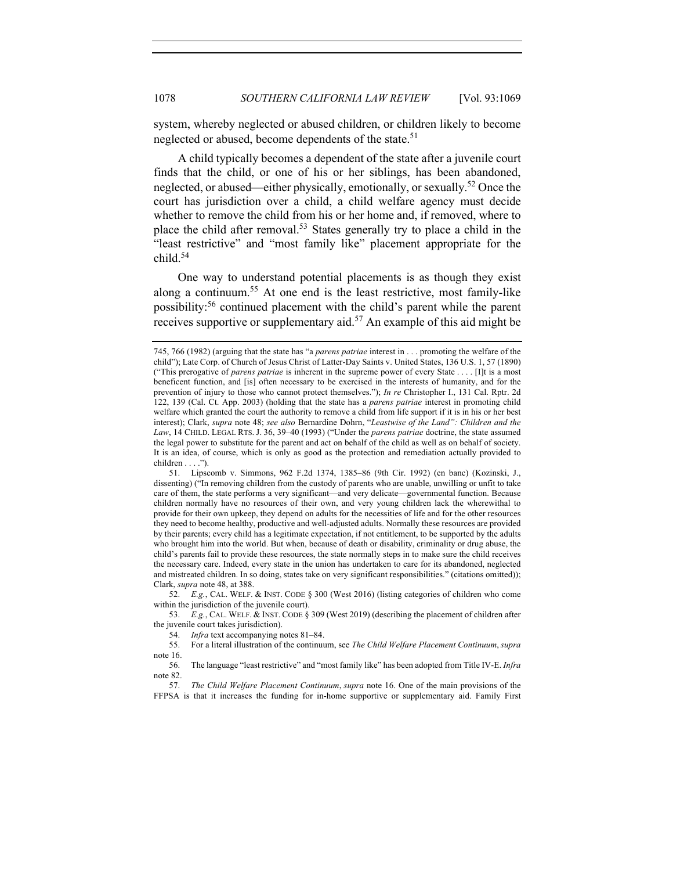system, whereby neglected or abused children, or children likely to become neglected or abused, become dependents of the state.<sup>51</sup>

A child typically becomes a dependent of the state after a juvenile court finds that the child, or one of his or her siblings, has been abandoned, neglected, or abused—either physically, emotionally, or sexually.52 Once the court has jurisdiction over a child, a child welfare agency must decide whether to remove the child from his or her home and, if removed, where to place the child after removal.<sup>53</sup> States generally try to place a child in the "least restrictive" and "most family like" placement appropriate for the child.54

One way to understand potential placements is as though they exist along a continuum.55 At one end is the least restrictive, most family-like possibility:<sup>56</sup> continued placement with the child's parent while the parent receives supportive or supplementary aid.<sup>57</sup> An example of this aid might be

52. *E.g.*, CAL. WELF. & INST. CODE § 300 (West 2016) (listing categories of children who come within the jurisdiction of the juvenile court).

53. *E.g.*, CAL. WELF. & INST. CODE § 309 (West 2019) (describing the placement of children after the juvenile court takes jurisdiction).

<sup>745, 766</sup> (1982) (arguing that the state has "a *parens patriae* interest in . . . promoting the welfare of the child"); Late Corp. of Church of Jesus Christ of Latter-Day Saints v. United States, 136 U.S. 1, 57 (1890) ("This prerogative of *parens patriae* is inherent in the supreme power of every State . . . . [I]t is a most beneficent function, and [is] often necessary to be exercised in the interests of humanity, and for the prevention of injury to those who cannot protect themselves."); *In re* Christopher I., 131 Cal. Rptr. 2d 122, 139 (Cal. Ct. App. 2003) (holding that the state has a *parens patriae* interest in promoting child welfare which granted the court the authority to remove a child from life support if it is in his or her best interest); Clark, *supra* note 48; *see also* Bernardine Dohrn, "*Leastwise of the Land": Children and the Law*, 14 CHILD. LEGAL RTS. J. 36, 39–40 (1993) ("Under the *parens patriae* doctrine, the state assumed the legal power to substitute for the parent and act on behalf of the child as well as on behalf of society. It is an idea, of course, which is only as good as the protection and remediation actually provided to  $children \ldots$ ").

<sup>51.</sup> Lipscomb v. Simmons, 962 F.2d 1374, 1385–86 (9th Cir. 1992) (en banc) (Kozinski, J., dissenting) ("In removing children from the custody of parents who are unable, unwilling or unfit to take care of them, the state performs a very significant––and very delicate—governmental function. Because children normally have no resources of their own, and very young children lack the wherewithal to provide for their own upkeep, they depend on adults for the necessities of life and for the other resources they need to become healthy, productive and well-adjusted adults. Normally these resources are provided by their parents; every child has a legitimate expectation, if not entitlement, to be supported by the adults who brought him into the world. But when, because of death or disability, criminality or drug abuse, the child's parents fail to provide these resources, the state normally steps in to make sure the child receives the necessary care. Indeed, every state in the union has undertaken to care for its abandoned, neglected and mistreated children. In so doing, states take on very significant responsibilities." (citations omitted)); Clark, *supra* note 48, at 388.

<sup>54.</sup> *Infra* text accompanying notes 81–84.

<sup>55.</sup> For a literal illustration of the continuum, see *The Child Welfare Placement Continuum*, *supra*  note 16.<br>56.

<sup>56.</sup> The language "least restrictive" and "most family like" has been adopted from Title IV-E. *Infra*  note 82.

<sup>57.</sup> *The Child Welfare Placement Continuum*, *supra* note 16. One of the main provisions of the FFPSA is that it increases the funding for in-home supportive or supplementary aid. Family First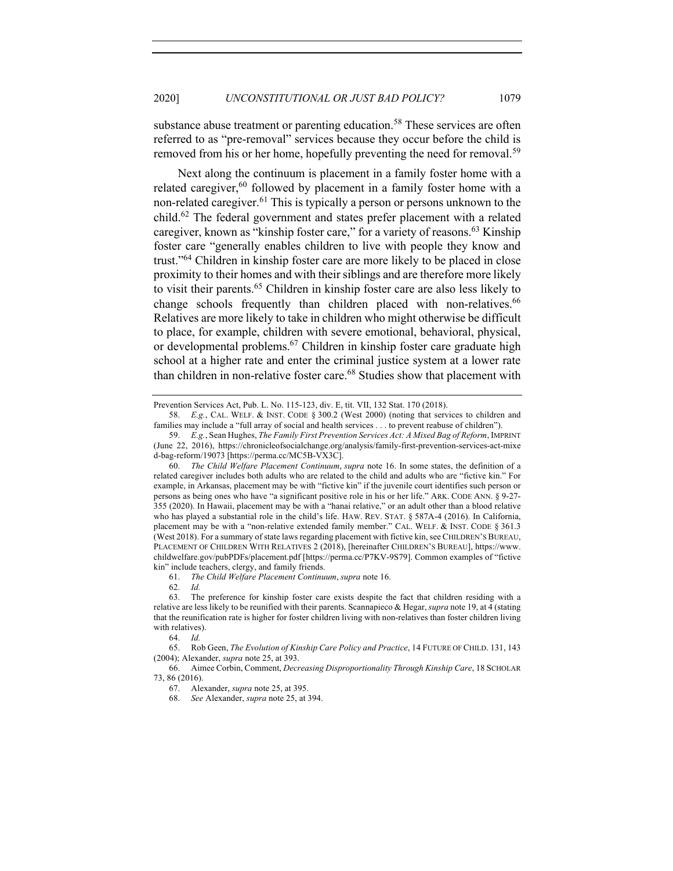substance abuse treatment or parenting education.<sup>58</sup> These services are often referred to as "pre-removal" services because they occur before the child is removed from his or her home, hopefully preventing the need for removal.<sup>59</sup>

Next along the continuum is placement in a family foster home with a related caregiver, $60$  followed by placement in a family foster home with a non-related caregiver.<sup>61</sup> This is typically a person or persons unknown to the child.62 The federal government and states prefer placement with a related caregiver, known as "kinship foster care," for a variety of reasons.<sup>63</sup> Kinship foster care "generally enables children to live with people they know and trust."64 Children in kinship foster care are more likely to be placed in close proximity to their homes and with their siblings and are therefore more likely to visit their parents. <sup>65</sup> Children in kinship foster care are also less likely to change schools frequently than children placed with non-relatives.<sup>66</sup> Relatives are more likely to take in children who might otherwise be difficult to place, for example, children with severe emotional, behavioral, physical, or developmental problems.67 Children in kinship foster care graduate high school at a higher rate and enter the criminal justice system at a lower rate than children in non-relative foster care.<sup>68</sup> Studies show that placement with

Prevention Services Act, Pub. L. No. 115-123, div. E, tit. VII, 132 Stat. 170 (2018).

<sup>58.</sup> *E.g.*, CAL. WELF. & INST. CODE § 300.2 (West 2000) (noting that services to children and families may include a "full array of social and health services . . . to prevent reabuse of children").

<sup>59.</sup> *E.g.*, Sean Hughes, *The Family First Prevention Services Act: A Mixed Bag of Reform*, IMPRINT (June 22, 2016), https://chronicleofsocialchange.org/analysis/family-first-prevention-services-act-mixe d-bag-reform/19073 [https://perma.cc/MC5B-VX3C].

<sup>60.</sup> *The Child Welfare Placement Continuum*, *supra* note 16. In some states, the definition of a related caregiver includes both adults who are related to the child and adults who are "fictive kin." For example, in Arkansas, placement may be with "fictive kin" if the juvenile court identifies such person or persons as being ones who have "a significant positive role in his or her life." ARK. CODE ANN. § 9-27- 355 (2020). In Hawaii, placement may be with a "hanai relative," or an adult other than a blood relative who has played a substantial role in the child's life. HAW. REV. STAT. § 587A-4 (2016). In California, placement may be with a "non-relative extended family member." CAL. WELF. & INST. CODE § 361.3 (West 2018). For a summary of state laws regarding placement with fictive kin, see CHILDREN'S BUREAU, PLACEMENT OF CHILDREN WITH RELATIVES 2 (2018), [hereinafter CHILDREN'S BUREAU], https://www. childwelfare.gov/pubPDFs/placement.pdf [https://perma.cc/P7KV-9S79]. Common examples of "fictive kin" include teachers, clergy, and family friends.

<sup>61.</sup> *The Child Welfare Placement Continuum*, *supra* note 16.

<sup>62.</sup> *Id.*

<sup>63.</sup> The preference for kinship foster care exists despite the fact that children residing with a relative are less likely to be reunified with their parents. Scannapieco & Hegar, *supra* note 19, at 4 (stating that the reunification rate is higher for foster children living with non-relatives than foster children living with relatives).

<sup>64.</sup> *Id.*

<sup>65.</sup> Rob Geen, *The Evolution of Kinship Care Policy and Practice*, 14 FUTURE OF CHILD. 131, 143 (2004); Alexander, *supra* note 25, at 393.

<sup>66.</sup> Aimee Corbin, Comment, *Decreasing Disproportionality Through Kinship Care*, 18 SCHOLAR 73, 86 (2016).

<sup>67.</sup> Alexander, *supra* note 25, at 395.

<sup>68.</sup> *See* Alexander, *supra* note 25, at 394.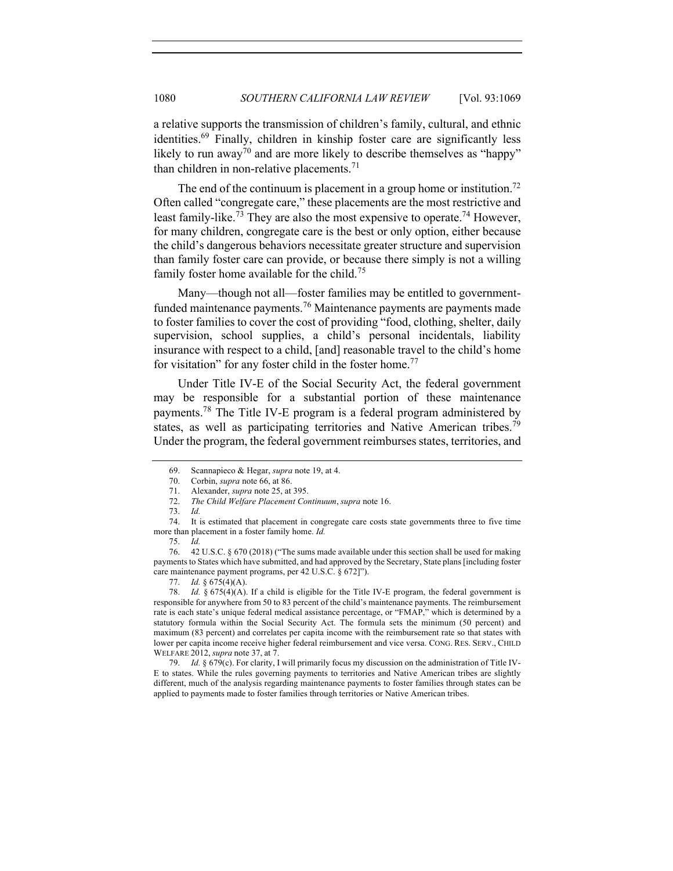a relative supports the transmission of children's family, cultural, and ethnic identities.69 Finally, children in kinship foster care are significantly less likely to run away<sup>70</sup> and are more likely to describe themselves as "happy" than children in non-relative placements.<sup>71</sup>

The end of the continuum is placement in a group home or institution.<sup>72</sup> Often called "congregate care," these placements are the most restrictive and least family-like.<sup>73</sup> They are also the most expensive to operate.<sup>74</sup> However, for many children, congregate care is the best or only option, either because the child's dangerous behaviors necessitate greater structure and supervision than family foster care can provide, or because there simply is not a willing family foster home available for the child.<sup>75</sup>

Many—though not all—foster families may be entitled to governmentfunded maintenance payments.<sup>76</sup> Maintenance payments are payments made to foster families to cover the cost of providing "food, clothing, shelter, daily supervision, school supplies, a child's personal incidentals, liability insurance with respect to a child, [and] reasonable travel to the child's home for visitation" for any foster child in the foster home.<sup>77</sup>

Under Title IV-E of the Social Security Act, the federal government may be responsible for a substantial portion of these maintenance payments.78 The Title IV-E program is a federal program administered by states, as well as participating territories and Native American tribes.<sup>79</sup> Under the program, the federal government reimburses states, territories, and

<sup>69.</sup> Scannapieco & Hegar, *supra* note 19, at 4.

<sup>70.</sup> Corbin, *supra* note 66, at 86.

<sup>71.</sup> Alexander, *supra* note 25, at 395.

<sup>72.</sup> *The Child Welfare Placement Continuum*, *supra* note 16.

<sup>73.</sup> *Id.*

<sup>74.</sup> It is estimated that placement in congregate care costs state governments three to five time more than placement in a foster family home. *Id.*

<sup>75.</sup> *Id.*

<sup>76.</sup> 42 U.S.C. § 670 (2018) ("The sums made available under this section shall be used for making payments to States which have submitted, and had approved by the Secretary, State plans [including foster care maintenance payment programs, per 42 U.S.C. § 672]").

<sup>77.</sup> *Id.* § 675(4)(A).

<sup>78.</sup> *Id.* § 675(4)(A). If a child is eligible for the Title IV-E program, the federal government is responsible for anywhere from 50 to 83 percent of the child's maintenance payments. The reimbursement rate is each state's unique federal medical assistance percentage, or "FMAP," which is determined by a statutory formula within the Social Security Act. The formula sets the minimum (50 percent) and maximum (83 percent) and correlates per capita income with the reimbursement rate so that states with lower per capita income receive higher federal reimbursement and vice versa. CONG. RES. SERV., CHILD WELFARE 2012, *supra* note 37, at 7.

<sup>79.</sup> *Id.* § 679(c). For clarity, I will primarily focus my discussion on the administration of Title IV-E to states. While the rules governing payments to territories and Native American tribes are slightly different, much of the analysis regarding maintenance payments to foster families through states can be applied to payments made to foster families through territories or Native American tribes.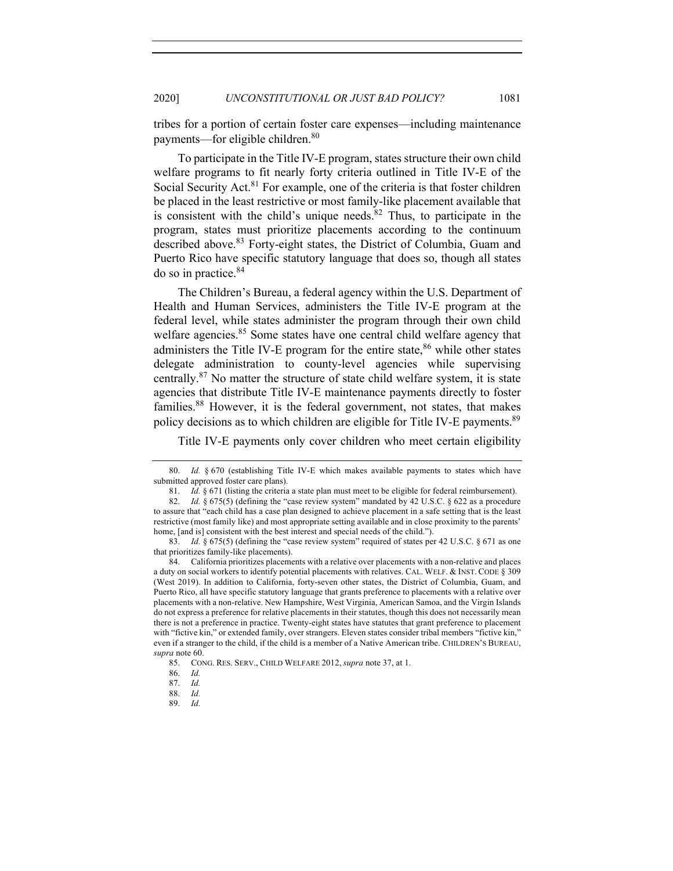tribes for a portion of certain foster care expenses—including maintenance payments—for eligible children.<sup>80</sup>

To participate in the Title IV-E program, states structure their own child welfare programs to fit nearly forty criteria outlined in Title IV-E of the Social Security Act.<sup>81</sup> For example, one of the criteria is that foster children be placed in the least restrictive or most family-like placement available that is consistent with the child's unique needs. $82$  Thus, to participate in the program, states must prioritize placements according to the continuum described above.<sup>83</sup> Forty-eight states, the District of Columbia, Guam and Puerto Rico have specific statutory language that does so, though all states do so in practice.<sup>84</sup>

The Children's Bureau, a federal agency within the U.S. Department of Health and Human Services, administers the Title IV-E program at the federal level, while states administer the program through their own child welfare agencies.<sup>85</sup> Some states have one central child welfare agency that administers the Title IV-E program for the entire state,  $86$  while other states delegate administration to county-level agencies while supervising centrally.<sup>87</sup> No matter the structure of state child welfare system, it is state agencies that distribute Title IV-E maintenance payments directly to foster families.88 However, it is the federal government, not states, that makes policy decisions as to which children are eligible for Title IV-E payments.<sup>89</sup>

Title IV-E payments only cover children who meet certain eligibility

<sup>80.</sup> *Id.* § 670 (establishing Title IV-E which makes available payments to states which have submitted approved foster care plans).

<sup>81.</sup> *Id.* § 671 (listing the criteria a state plan must meet to be eligible for federal reimbursement).

<sup>82.</sup> *Id.* § 675(5) (defining the "case review system" mandated by 42 U.S.C. § 622 as a procedure to assure that "each child has a case plan designed to achieve placement in a safe setting that is the least restrictive (most family like) and most appropriate setting available and in close proximity to the parents' home, [and is] consistent with the best interest and special needs of the child.").

<sup>83.</sup> *Id.* § 675(5) (defining the "case review system" required of states per 42 U.S.C. § 671 as one that prioritizes family-like placements).

<sup>84.</sup> California prioritizes placements with a relative over placements with a non-relative and places a duty on social workers to identify potential placements with relatives. CAL. WELF. & INST. CODE § 309 (West 2019). In addition to California, forty-seven other states, the District of Columbia, Guam, and Puerto Rico, all have specific statutory language that grants preference to placements with a relative over placements with a non-relative. New Hampshire, West Virginia, American Samoa, and the Virgin Islands do not express a preference for relative placements in their statutes, though this does not necessarily mean there is not a preference in practice. Twenty-eight states have statutes that grant preference to placement with "fictive kin," or extended family, over strangers. Eleven states consider tribal members "fictive kin," even if a stranger to the child, if the child is a member of a Native American tribe. CHILDREN'S BUREAU, *supra* note 60.

<sup>85.</sup> CONG. RES. SERV., CHILD WELFARE 2012, *supra* note 37, at 1.

<sup>86.</sup> *Id.*

<sup>87.</sup> *Id.*

<sup>88.</sup> *Id.*

<sup>89.</sup> *Id.*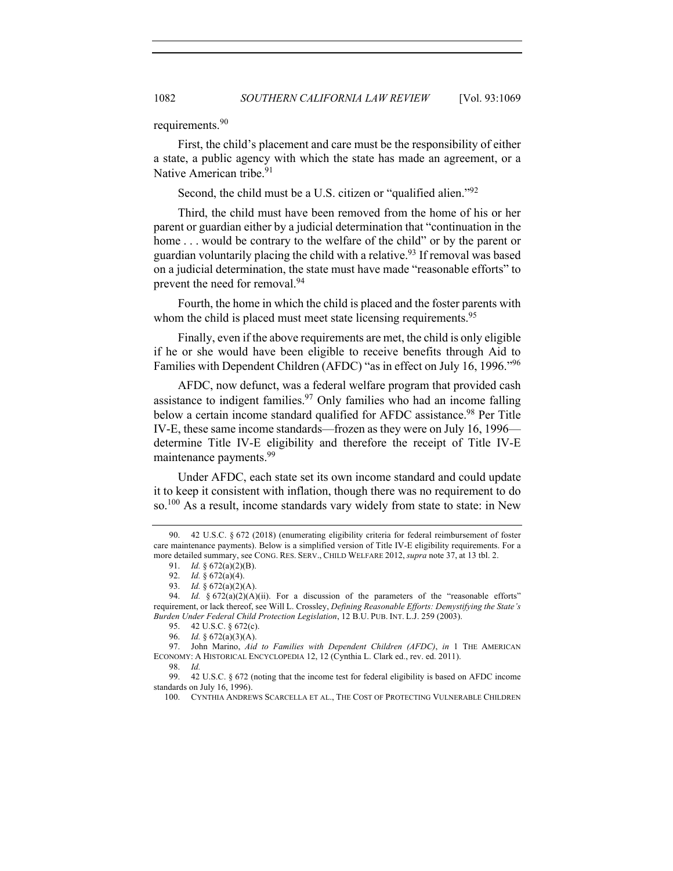requirements.<sup>90</sup>

First, the child's placement and care must be the responsibility of either a state, a public agency with which the state has made an agreement, or a Native American tribe.<sup>91</sup>

Second, the child must be a U.S. citizen or "qualified alien."<sup>92</sup>

Third, the child must have been removed from the home of his or her parent or guardian either by a judicial determination that "continuation in the home ... would be contrary to the welfare of the child" or by the parent or guardian voluntarily placing the child with a relative.<sup>93</sup> If removal was based on a judicial determination, the state must have made "reasonable efforts" to prevent the need for removal.<sup>94</sup>

Fourth, the home in which the child is placed and the foster parents with whom the child is placed must meet state licensing requirements.<sup>95</sup>

Finally, even if the above requirements are met, the child is only eligible if he or she would have been eligible to receive benefits through Aid to Families with Dependent Children (AFDC) "as in effect on July 16, 1996."<sup>96</sup>

AFDC, now defunct, was a federal welfare program that provided cash assistance to indigent families.<sup>97</sup> Only families who had an income falling below a certain income standard qualified for AFDC assistance.<sup>98</sup> Per Title IV-E, these same income standards—frozen as they were on July 16, 1996 determine Title IV-E eligibility and therefore the receipt of Title IV-E maintenance payments.<sup>99</sup>

Under AFDC, each state set its own income standard and could update it to keep it consistent with inflation, though there was no requirement to do so.100 As a result, income standards vary widely from state to state: in New

91. *Id.* § 672(a)(2)(B).

<sup>90.</sup> 42 U.S.C. § 672 (2018) (enumerating eligibility criteria for federal reimbursement of foster care maintenance payments). Below is a simplified version of Title IV-E eligibility requirements. For a more detailed summary, see CONG. RES. SERV., CHILD WELFARE 2012, *supra* note 37, at 13 tbl. 2.

<sup>92.</sup> *Id.* § 672(a)(4).

<sup>93.</sup> *Id.* § 672(a)(2)(A).

<sup>94.</sup> *Id.* § 672(a)(2)(A)(ii). For a discussion of the parameters of the "reasonable efforts" requirement, or lack thereof, see Will L. Crossley, *Defining Reasonable Efforts: Demystifying the State's Burden Under Federal Child Protection Legislation*, 12 B.U. PUB. INT. L.J. 259 (2003).

<sup>95.</sup> 42 U.S.C. § 672(c).

<sup>96.</sup> *Id.* § 672(a)(3)(A).

<sup>97.</sup> John Marino, *Aid to Families with Dependent Children (AFDC)*, *in* 1 THE AMERICAN ECONOMY: A HISTORICAL ENCYCLOPEDIA 12, 12 (Cynthia L. Clark ed., rev. ed. 2011).

<sup>98.</sup> *Id.*

<sup>99.</sup> 42 U.S.C. § 672 (noting that the income test for federal eligibility is based on AFDC income standards on July 16, 1996).

<sup>100.</sup> CYNTHIA ANDREWS SCARCELLA ET AL., THE COST OF PROTECTING VULNERABLE CHILDREN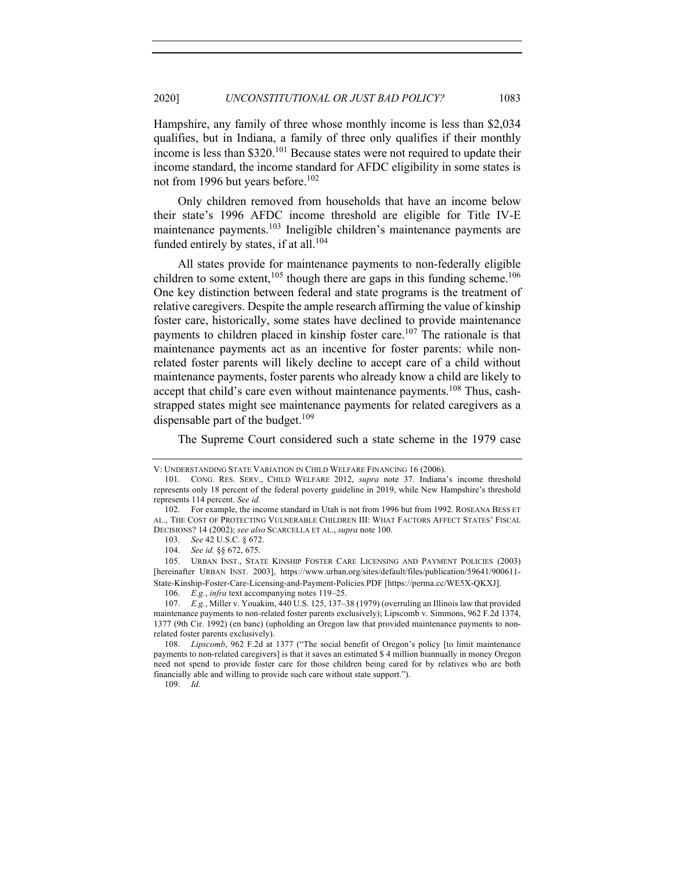Hampshire, any family of three whose monthly income is less than \$2,034 qualifies, but in Indiana, a family of three only qualifies if their monthly income is less than \$320.101 Because states were not required to update their income standard, the income standard for AFDC eligibility in some states is not from 1996 but years before.<sup>102</sup>

Only children removed from households that have an income below their state's 1996 AFDC income threshold are eligible for Title IV-E maintenance payments.<sup>103</sup> Ineligible children's maintenance payments are funded entirely by states, if at all.<sup>104</sup>

All states provide for maintenance payments to non-federally eligible children to some extent,<sup>105</sup> though there are gaps in this funding scheme.<sup>106</sup> One key distinction between federal and state programs is the treatment of relative caregivers. Despite the ample research affirming the value of kinship foster care, historically, some states have declined to provide maintenance payments to children placed in kinship foster care.<sup>107</sup> The rationale is that maintenance payments act as an incentive for foster parents: while nonrelated foster parents will likely decline to accept care of a child without maintenance payments, foster parents who already know a child are likely to accept that child's care even without maintenance payments.<sup>108</sup> Thus, cashstrapped states might see maintenance payments for related caregivers as a dispensable part of the budget. $109$ 

The Supreme Court considered such a state scheme in the 1979 case

V: UNDERSTANDING STATE VARIATION IN CHILD WELFARE FINANCING 16 (2006).

<sup>101.</sup> CONG. RES. SERV., CHILD WELFARE 2012, *supra* note 37. Indiana's income threshold represents only 18 percent of the federal poverty guideline in 2019, while New Hampshire's threshold represents 114 percent. *See id.*

<sup>102.</sup> For example, the income standard in Utah is not from 1996 but from 1992. ROSEANA BESS ET AL., THE COST OF PROTECTING VULNERABLE CHILDREN III: WHAT FACTORS AFFECT STATES' FISCAL DECISIONS? 14 (2002); *see also* SCARCELLA ET AL., *supra* note 100.

<sup>103.</sup> *See* 42 U.S.C. § 672.

<sup>104.</sup> *See id.* §§ 672, 675.

<sup>105.</sup> URBAN INST., STATE KINSHIP FOSTER CARE LICENSING AND PAYMENT POLICIES (2003) [hereinafter URBAN INST. 2003], https://www.urban.org/sites/default/files/publication/59641/900611- State-Kinship-Foster-Care-Licensing-and-Payment-Policies.PDF [https://perma.cc/WE5X-QKXJ].

<sup>106.</sup> *E.g.*, *infra* text accompanying notes 119–25.

<sup>107.</sup> *E.g.*, Miller v. Youakim, 440 U.S. 125, 137–38 (1979) (overruling an Illinois law that provided maintenance payments to non-related foster parents exclusively); Lipscomb v. Simmons, 962 F.2d 1374, 1377 (9th Cir. 1992) (en banc) (upholding an Oregon law that provided maintenance payments to nonrelated foster parents exclusively).

<sup>108.</sup> *Lipscomb*, 962 F.2d at 1377 ("The social benefit of Oregon's policy [to limit maintenance payments to non-related caregivers] is that it saves an estimated \$ 4 million biannually in money Oregon need not spend to provide foster care for those children being cared for by relatives who are both financially able and willing to provide such care without state support.").

<sup>109.</sup> *Id.*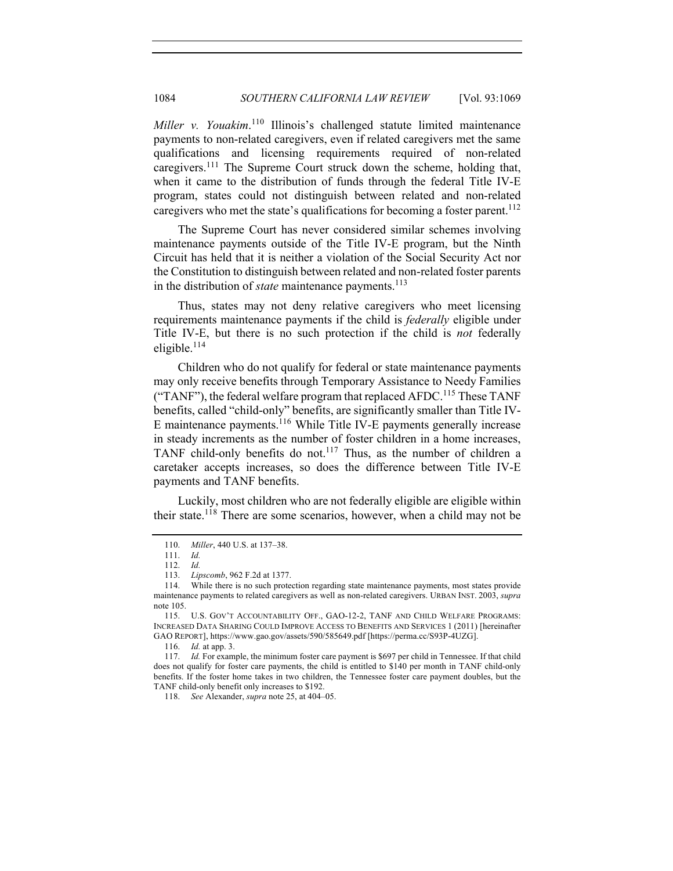Miller v. Youakim.<sup>110</sup> Illinois's challenged statute limited maintenance payments to non-related caregivers, even if related caregivers met the same qualifications and licensing requirements required of non-related caregivers.<sup>111</sup> The Supreme Court struck down the scheme, holding that, when it came to the distribution of funds through the federal Title IV-E program, states could not distinguish between related and non-related caregivers who met the state's qualifications for becoming a foster parent.<sup>112</sup>

The Supreme Court has never considered similar schemes involving maintenance payments outside of the Title IV-E program, but the Ninth Circuit has held that it is neither a violation of the Social Security Act nor the Constitution to distinguish between related and non-related foster parents in the distribution of *state* maintenance payments.<sup>113</sup>

Thus, states may not deny relative caregivers who meet licensing requirements maintenance payments if the child is *federally* eligible under Title IV-E, but there is no such protection if the child is *not* federally eligible.<sup>114</sup>

Children who do not qualify for federal or state maintenance payments may only receive benefits through Temporary Assistance to Needy Families ("TANF"), the federal welfare program that replaced AFDC.<sup>115</sup> These TANF benefits, called "child-only" benefits, are significantly smaller than Title IV-E maintenance payments.116 While Title IV-E payments generally increase in steady increments as the number of foster children in a home increases, TANF child-only benefits do not.117 Thus, as the number of children a caretaker accepts increases, so does the difference between Title IV-E payments and TANF benefits.

Luckily, most children who are not federally eligible are eligible within their state.<sup>118</sup> There are some scenarios, however, when a child may not be

118. *See* Alexander, *supra* note 25, at 404–05.

<sup>110.</sup> *Miller*, 440 U.S. at 137–38.

<sup>111.</sup> *Id.*

<sup>112.</sup> *Id.* 113. *Lipscomb*, 962 F.2d at 1377.

<sup>114.</sup> While there is no such protection regarding state maintenance payments, most states provide maintenance payments to related caregivers as well as non-related caregivers. URBAN INST. 2003, *supra*  note 105.

<sup>115.</sup> U.S. GOV'T ACCOUNTABILITY OFF., GAO-12-2, TANF AND CHILD WELFARE PROGRAMS: INCREASED DATA SHARING COULD IMPROVE ACCESS TO BENEFITS AND SERVICES 1 (2011) [hereinafter GAO REPORT], https://www.gao.gov/assets/590/585649.pdf [https://perma.cc/S93P-4UZG].

<sup>116.</sup> *Id.* at app. 3.

<sup>117.</sup> *Id.* For example, the minimum foster care payment is \$697 per child in Tennessee. If that child does not qualify for foster care payments, the child is entitled to \$140 per month in TANF child-only benefits. If the foster home takes in two children, the Tennessee foster care payment doubles, but the TANF child-only benefit only increases to \$192.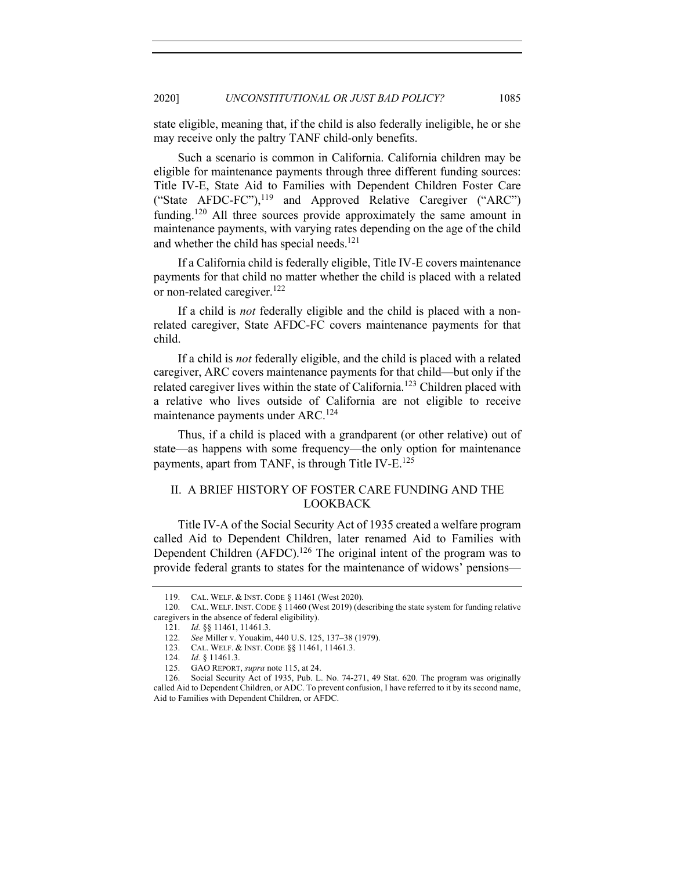state eligible, meaning that, if the child is also federally ineligible, he or she may receive only the paltry TANF child-only benefits.

Such a scenario is common in California. California children may be eligible for maintenance payments through three different funding sources: Title IV-E, State Aid to Families with Dependent Children Foster Care ("State AFDC-FC"),<sup>119</sup> and Approved Relative Caregiver ("ARC") funding.<sup>120</sup> All three sources provide approximately the same amount in maintenance payments, with varying rates depending on the age of the child and whether the child has special needs.<sup>121</sup>

If a California child is federally eligible, Title IV-E covers maintenance payments for that child no matter whether the child is placed with a related or non-related caregiver.<sup>122</sup>

If a child is *not* federally eligible and the child is placed with a nonrelated caregiver, State AFDC-FC covers maintenance payments for that child.

If a child is *not* federally eligible, and the child is placed with a related caregiver, ARC covers maintenance payments for that child—but only if the related caregiver lives within the state of California.<sup>123</sup> Children placed with a relative who lives outside of California are not eligible to receive maintenance payments under ARC.<sup>124</sup>

Thus, if a child is placed with a grandparent (or other relative) out of state—as happens with some frequency—the only option for maintenance payments, apart from TANF, is through Title IV-E.<sup>125</sup>

## II. A BRIEF HISTORY OF FOSTER CARE FUNDING AND THE LOOKBACK

Title IV-A of the Social Security Act of 1935 created a welfare program called Aid to Dependent Children, later renamed Aid to Families with Dependent Children (AFDC).<sup>126</sup> The original intent of the program was to provide federal grants to states for the maintenance of widows' pensions—

<sup>119.</sup> CAL. WELF. & INST. CODE § 11461 (West 2020).

<sup>120.</sup> CAL. WELF. INST. CODE § 11460 (West 2019) (describing the state system for funding relative caregivers in the absence of federal eligibility).

<sup>121.</sup> *Id.* §§ 11461, 11461.3.

<sup>122.</sup> *See* Miller v. Youakim, 440 U.S. 125, 137–38 (1979).

<sup>123.</sup> CAL. WELF. & INST. CODE §§ 11461, 11461.3.

<sup>124.</sup> *Id.* § 11461.3.

<sup>125.</sup> GAO REPORT, *supra* note 115, at 24.

<sup>126.</sup> Social Security Act of 1935, Pub. L. No. 74-271, 49 Stat. 620. The program was originally called Aid to Dependent Children, or ADC. To prevent confusion, I have referred to it by its second name, Aid to Families with Dependent Children, or AFDC.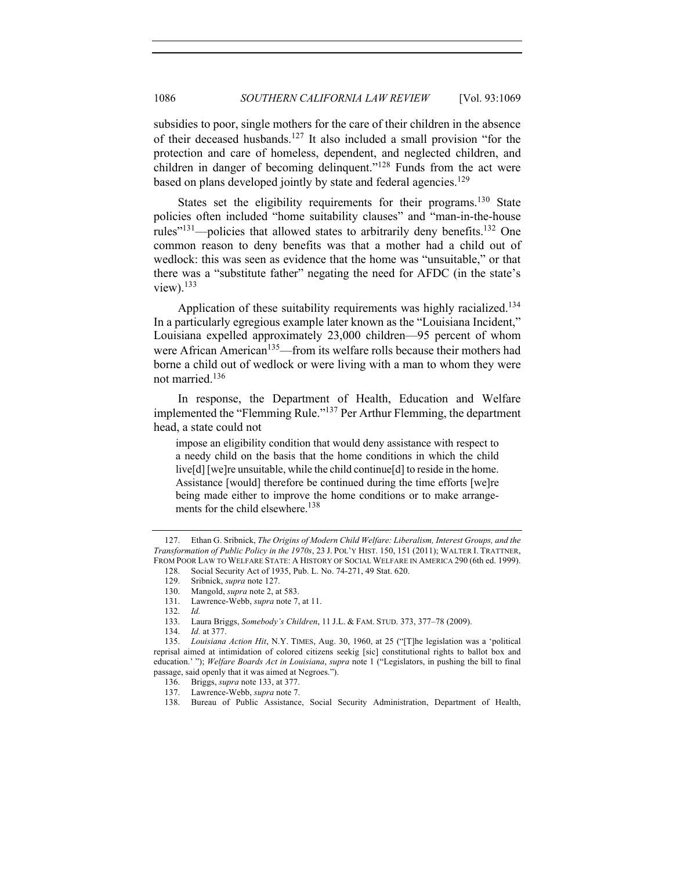subsidies to poor, single mothers for the care of their children in the absence of their deceased husbands.<sup>127</sup> It also included a small provision "for the protection and care of homeless, dependent, and neglected children, and children in danger of becoming delinquent."<sup>128</sup> Funds from the act were based on plans developed jointly by state and federal agencies.<sup>129</sup>

States set the eligibility requirements for their programs.<sup>130</sup> State policies often included "home suitability clauses" and "man-in-the-house rules"<sup>131</sup>—policies that allowed states to arbitrarily deny benefits.<sup>132</sup> One common reason to deny benefits was that a mother had a child out of wedlock: this was seen as evidence that the home was "unsuitable," or that there was a "substitute father" negating the need for AFDC (in the state's view). $133$ 

Application of these suitability requirements was highly racialized.<sup>134</sup> In a particularly egregious example later known as the "Louisiana Incident," Louisiana expelled approximately 23,000 children—95 percent of whom were African American<sup>135</sup>—from its welfare rolls because their mothers had borne a child out of wedlock or were living with a man to whom they were not married.136

In response, the Department of Health, Education and Welfare implemented the "Flemming Rule."<sup>137</sup> Per Arthur Flemming, the department head, a state could not

impose an eligibility condition that would deny assistance with respect to a needy child on the basis that the home conditions in which the child live[d] [we]re unsuitable, while the child continue[d] to reside in the home. Assistance [would] therefore be continued during the time efforts [we]re being made either to improve the home conditions or to make arrangements for the child elsewhere.<sup>138</sup>

<sup>127.</sup> Ethan G. Sribnick, *The Origins of Modern Child Welfare: Liberalism, Interest Groups, and the Transformation of Public Policy in the 1970s*, 23 J. POL'Y HIST. 150, 151 (2011); WALTER I. TRATTNER, FROM POOR LAW TO WELFARE STATE: A HISTORY OF SOCIAL WELFARE IN AMERICA 290 (6th ed. 1999).

<sup>128.</sup> Social Security Act of 1935, Pub. L. No. 74-271, 49 Stat. 620. 129. Sribnick, *supra* note 127.

<sup>130.</sup> Mangold, *supra* note 2, at 583.

<sup>131.</sup> Lawrence-Webb, *supra* note 7, at 11.

<sup>132.</sup> *Id.*

<sup>133.</sup> Laura Briggs, *Somebody's Children*, 11 J.L. & FAM. STUD. 373, 377–78 (2009).

<sup>134.</sup> *Id.* at 377.

<sup>135.</sup> *Louisiana Action Hit*, N.Y. TIMES, Aug. 30, 1960, at 25 ("[T]he legislation was a 'political reprisal aimed at intimidation of colored citizens seekig [sic] constitutional rights to ballot box and education.' "); *Welfare Boards Act in Louisiana*, *supra* note 1 ("Legislators, in pushing the bill to final passage, said openly that it was aimed at Negroes.").

<sup>136.</sup> Briggs, *supra* note 133, at 377.

<sup>137.</sup> Lawrence-Webb, *supra* note 7.

<sup>138.</sup> Bureau of Public Assistance, Social Security Administration, Department of Health,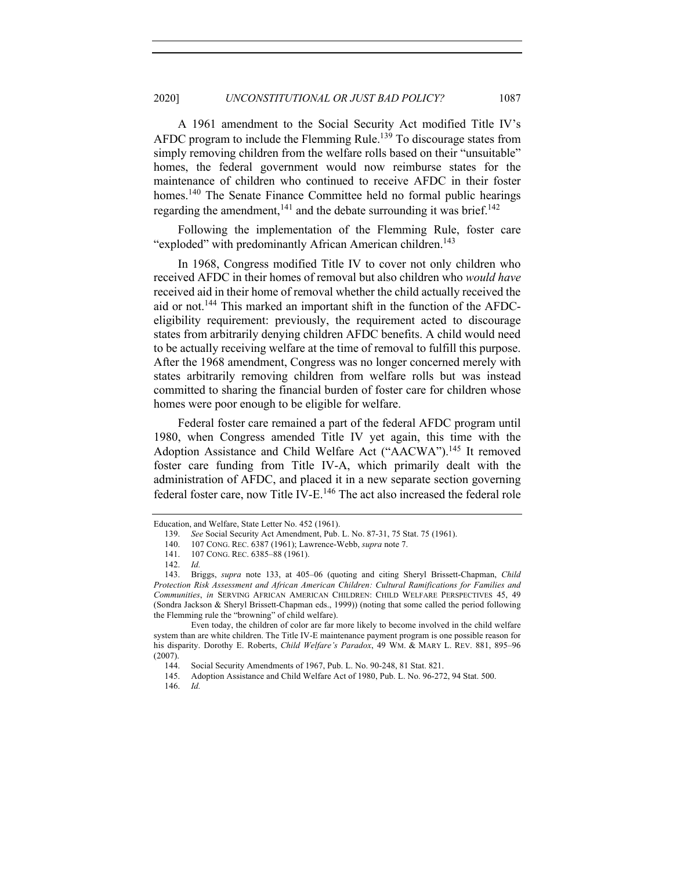A 1961 amendment to the Social Security Act modified Title IV's AFDC program to include the Flemming Rule.<sup>139</sup> To discourage states from simply removing children from the welfare rolls based on their "unsuitable" homes, the federal government would now reimburse states for the maintenance of children who continued to receive AFDC in their foster homes.<sup>140</sup> The Senate Finance Committee held no formal public hearings regarding the amendment,<sup>141</sup> and the debate surrounding it was brief.<sup>142</sup>

Following the implementation of the Flemming Rule, foster care "exploded" with predominantly African American children.<sup>143</sup>

In 1968, Congress modified Title IV to cover not only children who received AFDC in their homes of removal but also children who *would have*  received aid in their home of removal whether the child actually received the aid or not.144 This marked an important shift in the function of the AFDCeligibility requirement: previously, the requirement acted to discourage states from arbitrarily denying children AFDC benefits. A child would need to be actually receiving welfare at the time of removal to fulfill this purpose. After the 1968 amendment, Congress was no longer concerned merely with states arbitrarily removing children from welfare rolls but was instead committed to sharing the financial burden of foster care for children whose homes were poor enough to be eligible for welfare.

Federal foster care remained a part of the federal AFDC program until 1980, when Congress amended Title IV yet again, this time with the Adoption Assistance and Child Welfare Act ("AACWA").<sup>145</sup> It removed foster care funding from Title IV-A, which primarily dealt with the administration of AFDC, and placed it in a new separate section governing federal foster care, now Title IV-E.<sup>146</sup> The act also increased the federal role

Education, and Welfare, State Letter No. 452 (1961).

<sup>139.</sup> *See* Social Security Act Amendment, Pub. L. No. 87-31, 75 Stat. 75 (1961).

<sup>140.</sup> 107 CONG. REC. 6387 (1961); Lawrence-Webb, *supra* note 7.

<sup>141.</sup> 107 CONG. REC. 6385–88 (1961).

<sup>142.</sup> *Id.*

<sup>143.</sup> Briggs, *supra* note 133, at 405–06 (quoting and citing Sheryl Brissett-Chapman, *Child Protection Risk Assessment and African American Children: Cultural Ramifications for Families and Communities*, *in* SERVING AFRICAN AMERICAN CHILDREN: CHILD WELFARE PERSPECTIVES 45, 49 (Sondra Jackson & Sheryl Brissett-Chapman eds., 1999)) (noting that some called the period following the Flemming rule the "browning" of child welfare).

Even today, the children of color are far more likely to become involved in the child welfare system than are white children. The Title IV-E maintenance payment program is one possible reason for his disparity. Dorothy E. Roberts, *Child Welfare's Paradox*, 49 WM. & MARY L. REV. 881, 895–96 (2007).

<sup>144.</sup> Social Security Amendments of 1967, Pub. L. No. 90-248, 81 Stat. 821.

<sup>145.</sup> Adoption Assistance and Child Welfare Act of 1980, Pub. L. No. 96-272, 94 Stat. 500.

<sup>146.</sup> *Id.*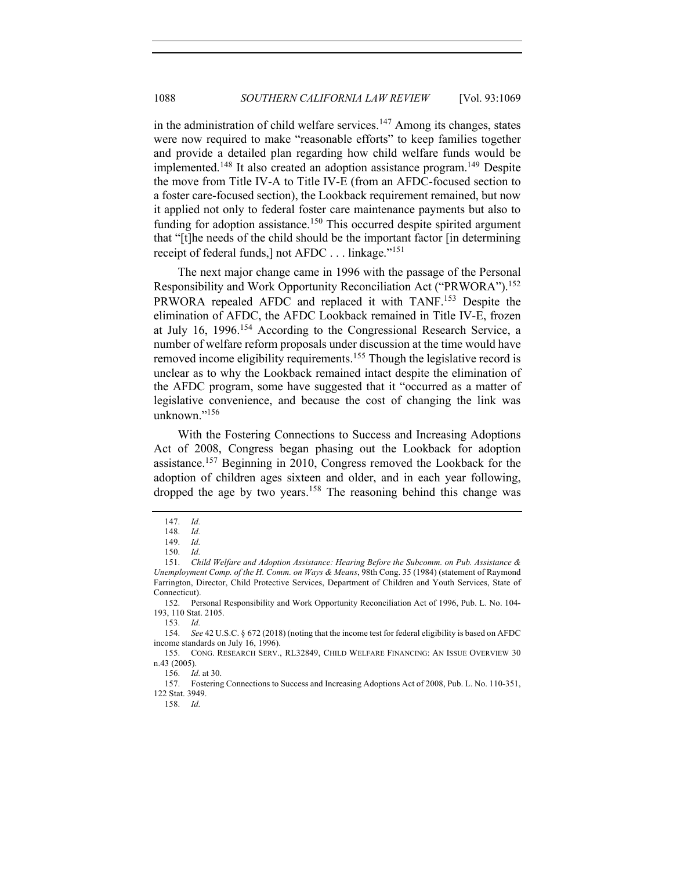in the administration of child welfare services.<sup>147</sup> Among its changes, states were now required to make "reasonable efforts" to keep families together and provide a detailed plan regarding how child welfare funds would be implemented.<sup>148</sup> It also created an adoption assistance program.<sup>149</sup> Despite the move from Title IV-A to Title IV-E (from an AFDC-focused section to a foster care-focused section), the Lookback requirement remained, but now it applied not only to federal foster care maintenance payments but also to funding for adoption assistance.<sup>150</sup> This occurred despite spirited argument that "[t]he needs of the child should be the important factor [in determining receipt of federal funds,] not AFDC . . . linkage."<sup>151</sup>

The next major change came in 1996 with the passage of the Personal Responsibility and Work Opportunity Reconciliation Act ("PRWORA").<sup>152</sup> PRWORA repealed AFDC and replaced it with TANF.<sup>153</sup> Despite the elimination of AFDC, the AFDC Lookback remained in Title IV-E, frozen at July 16, 1996.<sup>154</sup> According to the Congressional Research Service, a number of welfare reform proposals under discussion at the time would have removed income eligibility requirements.<sup>155</sup> Though the legislative record is unclear as to why the Lookback remained intact despite the elimination of the AFDC program, some have suggested that it "occurred as a matter of legislative convenience, and because the cost of changing the link was unknown." $156$ 

With the Fostering Connections to Success and Increasing Adoptions Act of 2008, Congress began phasing out the Lookback for adoption assistance.<sup>157</sup> Beginning in 2010, Congress removed the Lookback for the adoption of children ages sixteen and older, and in each year following, dropped the age by two years.<sup>158</sup> The reasoning behind this change was

153. *Id.*

154. *See* 42 U.S.C. § 672 (2018) (noting that the income test for federal eligibility is based on AFDC income standards on July 16, 1996).

158. *Id.*

<sup>147.</sup> *Id.*

<sup>148.</sup> *Id.*

<sup>149.</sup> *Id.*

<sup>150.</sup> *Id.*

<sup>151.</sup> *Child Welfare and Adoption Assistance: Hearing Before the Subcomm. on Pub. Assistance & Unemployment Comp. of the H. Comm. on Ways & Means*, 98th Cong. 35 (1984) (statement of Raymond Farrington, Director, Child Protective Services, Department of Children and Youth Services, State of Connecticut).

<sup>152.</sup> Personal Responsibility and Work Opportunity Reconciliation Act of 1996, Pub. L. No. 104- 193, 110 Stat. 2105.

<sup>155.</sup> CONG. RESEARCH SERV., RL32849, CHILD WELFARE FINANCING: AN ISSUE OVERVIEW 30 n.43 (2005).

<sup>156.</sup> *Id.* at 30.

<sup>157.</sup> Fostering Connections to Success and Increasing Adoptions Act of 2008, Pub. L. No. 110-351, 122 Stat. 3949.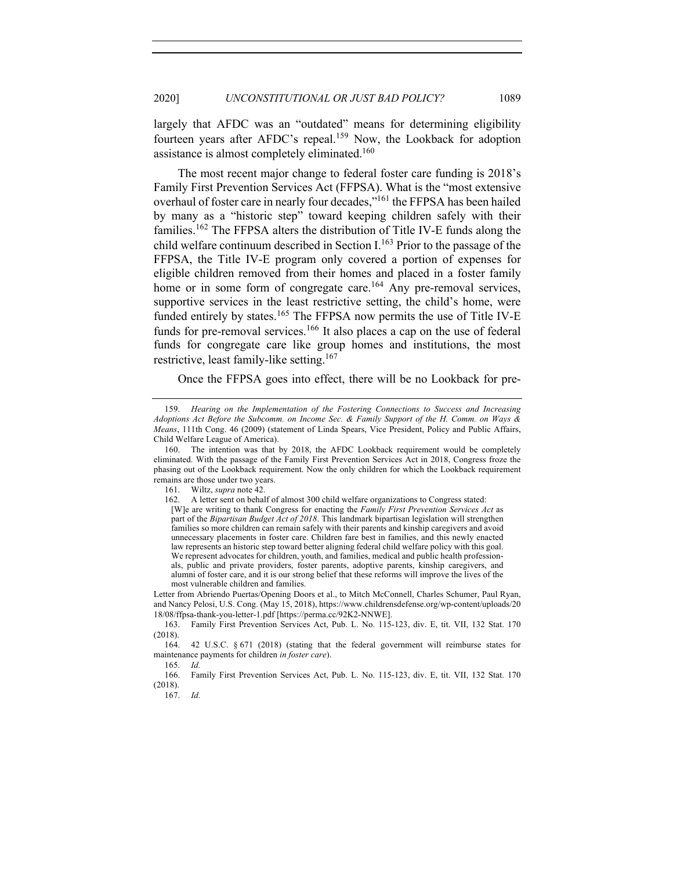largely that AFDC was an "outdated" means for determining eligibility fourteen years after AFDC's repeal.<sup>159</sup> Now, the Lookback for adoption assistance is almost completely eliminated.160

The most recent major change to federal foster care funding is 2018's Family First Prevention Services Act (FFPSA). What is the "most extensive overhaul of foster care in nearly four decades,"161 the FFPSA has been hailed by many as a "historic step" toward keeping children safely with their families.162 The FFPSA alters the distribution of Title IV-E funds along the child welfare continuum described in Section  $I<sup>163</sup>$  Prior to the passage of the FFPSA, the Title IV-E program only covered a portion of expenses for eligible children removed from their homes and placed in a foster family home or in some form of congregate care.<sup>164</sup> Any pre-removal services, supportive services in the least restrictive setting, the child's home, were funded entirely by states.<sup>165</sup> The FFPSA now permits the use of Title IV-E funds for pre-removal services.<sup>166</sup> It also places a cap on the use of federal funds for congregate care like group homes and institutions, the most restrictive, least family-like setting.<sup>167</sup>

Once the FFPSA goes into effect, there will be no Lookback for pre-

161. Wiltz, *supra* note 42.

Letter from Abriendo Puertas/Opening Doors et al., to Mitch McConnell, Charles Schumer, Paul Ryan, and Nancy Pelosi, U.S. Cong. (May 15, 2018), https://www.childrensdefense.org/wp-content/uploads/20 18/08/ffpsa-thank-you-letter-1.pdf [https://perma.cc/92K2-NNWE].

163. Family First Prevention Services Act, Pub. L. No. 115-123, div. E, tit. VII, 132 Stat. 170 (2018).

167. *Id.*

<sup>159.</sup> *Hearing on the Implementation of the Fostering Connections to Success and Increasing Adoptions Act Before the Subcomm. on Income Sec. & Family Support of the H. Comm. on Ways & Means*, 111th Cong. 46 (2009) (statement of Linda Spears, Vice President, Policy and Public Affairs, Child Welfare League of America).

<sup>160.</sup> The intention was that by 2018, the AFDC Lookback requirement would be completely eliminated. With the passage of the Family First Prevention Services Act in 2018, Congress froze the phasing out of the Lookback requirement. Now the only children for which the Lookback requirement remains are those under two years.

<sup>162.</sup> A letter sent on behalf of almost 300 child welfare organizations to Congress stated: [W]e are writing to thank Congress for enacting the *Family First Prevention Services Act* as part of the *Bipartisan Budget Act of 2018*. This landmark bipartisan legislation will strengthen families so more children can remain safely with their parents and kinship caregivers and avoid unnecessary placements in foster care. Children fare best in families, and this newly enacted law represents an historic step toward better aligning federal child welfare policy with this goal. We represent advocates for children, youth, and families, medical and public health professionals, public and private providers, foster parents, adoptive parents, kinship caregivers, and alumni of foster care, and it is our strong belief that these reforms will improve the lives of the most vulnerable children and families.

<sup>164.</sup> 42 U.S.C. § 671 (2018) (stating that the federal government will reimburse states for maintenance payments for children *in foster care*).

<sup>165.</sup> *Id.*

<sup>166.</sup> Family First Prevention Services Act, Pub. L. No. 115-123, div. E, tit. VII, 132 Stat. 170 (2018).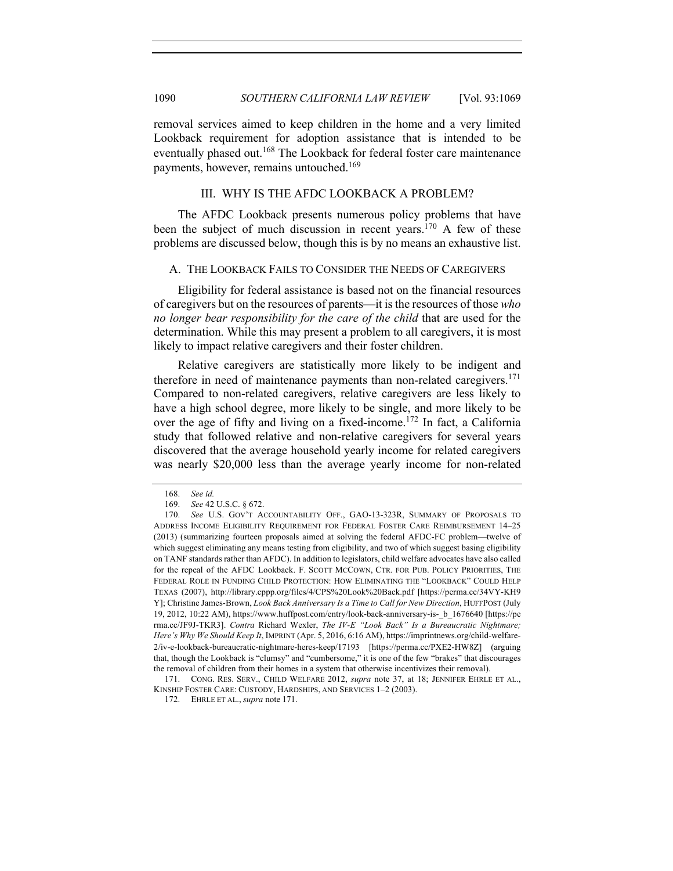removal services aimed to keep children in the home and a very limited Lookback requirement for adoption assistance that is intended to be eventually phased out.<sup>168</sup> The Lookback for federal foster care maintenance payments, however, remains untouched.169

#### III. WHY IS THE AFDC LOOKBACK A PROBLEM?

The AFDC Lookback presents numerous policy problems that have been the subject of much discussion in recent years.<sup>170</sup> A few of these problems are discussed below, though this is by no means an exhaustive list.

#### A. THE LOOKBACK FAILS TO CONSIDER THE NEEDS OF CAREGIVERS

Eligibility for federal assistance is based not on the financial resources of caregivers but on the resources of parents—it is the resources of those *who no longer bear responsibility for the care of the child* that are used for the determination. While this may present a problem to all caregivers, it is most likely to impact relative caregivers and their foster children.

Relative caregivers are statistically more likely to be indigent and therefore in need of maintenance payments than non-related caregivers.<sup>171</sup> Compared to non-related caregivers, relative caregivers are less likely to have a high school degree, more likely to be single, and more likely to be over the age of fifty and living on a fixed-income.<sup>172</sup> In fact, a California study that followed relative and non-relative caregivers for several years discovered that the average household yearly income for related caregivers was nearly \$20,000 less than the average yearly income for non-related

<sup>168.</sup> *See id.*

<sup>169.</sup> *See* 42 U.S.C. § 672.

<sup>170.</sup> *See* U.S. GOV'T ACCOUNTABILITY OFF., GAO-13-323R, SUMMARY OF PROPOSALS TO ADDRESS INCOME ELIGIBILITY REQUIREMENT FOR FEDERAL FOSTER CARE REIMBURSEMENT 14–25 (2013) (summarizing fourteen proposals aimed at solving the federal AFDC-FC problem—twelve of which suggest eliminating any means testing from eligibility, and two of which suggest basing eligibility on TANF standards rather than AFDC). In addition to legislators, child welfare advocates have also called for the repeal of the AFDC Lookback. F. SCOTT MCCOWN, CTR. FOR PUB. POLICY PRIORITIES, THE FEDERAL ROLE IN FUNDING CHILD PROTECTION: HOW ELIMINATING THE "LOOKBACK" COULD HELP TEXAS (2007), http://library.cppp.org/files/4/CPS%20Look%20Back.pdf [https://perma.cc/34VY-KH9 Y]; Christine James-Brown, *Look Back Anniversary Is a Time to Call for New Direction*, HUFFPOST (July 19, 2012, 10:22 AM), https://www.huffpost.com/entry/look-back-anniversary-is-\_b\_1676640 [https://pe rma.cc/JF9J-TKR3]. *Contra* Richard Wexler, *The IV-E "Look Back" Is a Bureaucratic Nightmare; Here's Why We Should Keep It*, IMPRINT (Apr. 5, 2016, 6:16 AM), https://imprintnews.org/child-welfare-2/iv-e-lookback-bureaucratic-nightmare-heres-keep/17193 [https://perma.cc/PXE2-HW8Z] (arguing that, though the Lookback is "clumsy" and "cumbersome," it is one of the few "brakes" that discourages the removal of children from their homes in a system that otherwise incentivizes their removal).

<sup>171.</sup> CONG. RES. SERV., CHILD WELFARE 2012, *supra* note 37, at 18; JENNIFER EHRLE ET AL., KINSHIP FOSTER CARE: CUSTODY, HARDSHIPS, AND SERVICES 1–2 (2003).

<sup>172.</sup> EHRLE ET AL., *supra* note 171.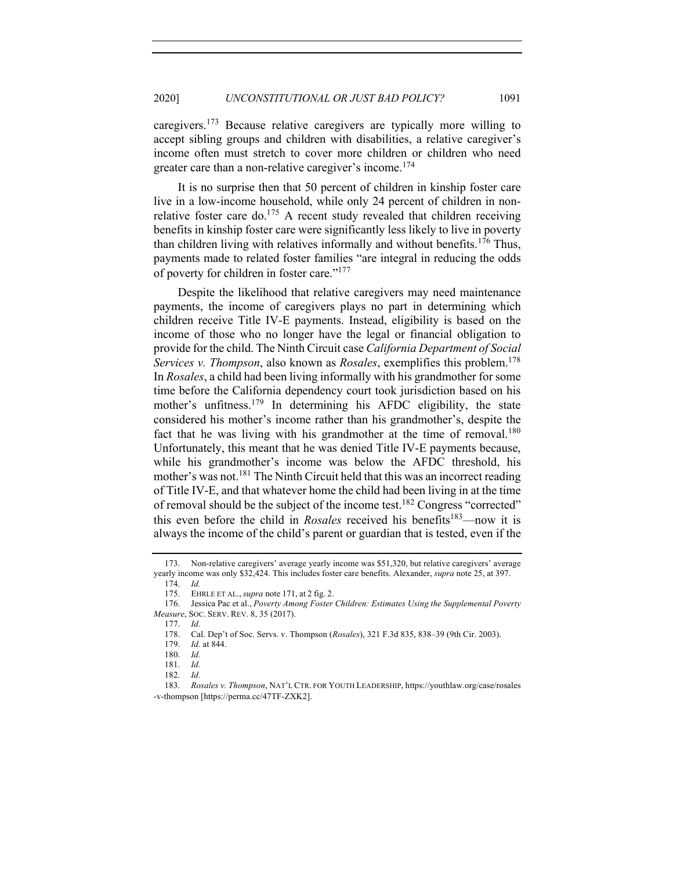caregivers.<sup>173</sup> Because relative caregivers are typically more willing to accept sibling groups and children with disabilities, a relative caregiver's income often must stretch to cover more children or children who need greater care than a non-relative caregiver's income.<sup>174</sup>

It is no surprise then that 50 percent of children in kinship foster care live in a low-income household, while only 24 percent of children in nonrelative foster care do.<sup>175</sup> A recent study revealed that children receiving benefits in kinship foster care were significantly less likely to live in poverty than children living with relatives informally and without benefits.<sup>176</sup> Thus, payments made to related foster families "are integral in reducing the odds of poverty for children in foster care."177

Despite the likelihood that relative caregivers may need maintenance payments, the income of caregivers plays no part in determining which children receive Title IV-E payments. Instead, eligibility is based on the income of those who no longer have the legal or financial obligation to provide for the child. The Ninth Circuit case *California Department of Social Services v. Thompson*, also known as *Rosales*, exemplifies this problem.<sup>178</sup> In *Rosales*, a child had been living informally with his grandmother for some time before the California dependency court took jurisdiction based on his mother's unfitness.<sup>179</sup> In determining his AFDC eligibility, the state considered his mother's income rather than his grandmother's, despite the fact that he was living with his grandmother at the time of removal.<sup>180</sup> Unfortunately, this meant that he was denied Title IV-E payments because, while his grandmother's income was below the AFDC threshold, his mother's was not.181 The Ninth Circuit held that this was an incorrect reading of Title IV-E, and that whatever home the child had been living in at the time of removal should be the subject of the income test.<sup>182</sup> Congress "corrected" this even before the child in *Rosales* received his benefits<sup>183</sup>—now it is always the income of the child's parent or guardian that is tested, even if the

177. *Id.*

<sup>173.</sup> Non-relative caregivers' average yearly income was \$51,320, but relative caregivers' average yearly income was only \$32,424. This includes foster care benefits. Alexander, *supra* note 25, at 397.

<sup>174.</sup> *Id.*

<sup>175.</sup> EHRLE ET AL., *supra* note 171, at 2 fig. 2.

<sup>176.</sup> Jessica Pac et al., *Poverty Among Foster Children: Estimates Using the Supplemental Poverty Measure*, SOC. SERV. REV. 8, 35 (2017).

<sup>178.</sup> Cal. Dep't of Soc. Servs. v. Thompson (*Rosales*), 321 F.3d 835, 838–39 (9th Cir. 2003).

<sup>179.</sup> *Id.* at 844.

<sup>180.</sup> *Id.*

<sup>181.</sup> *Id.*

<sup>182.</sup> *Id.*

<sup>183.</sup> *Rosales v. Thompson*, NAT'L CTR. FOR YOUTH LEADERSHIP, https://youthlaw.org/case/rosales -v-thompson [https://perma.cc/47TF-ZXK2].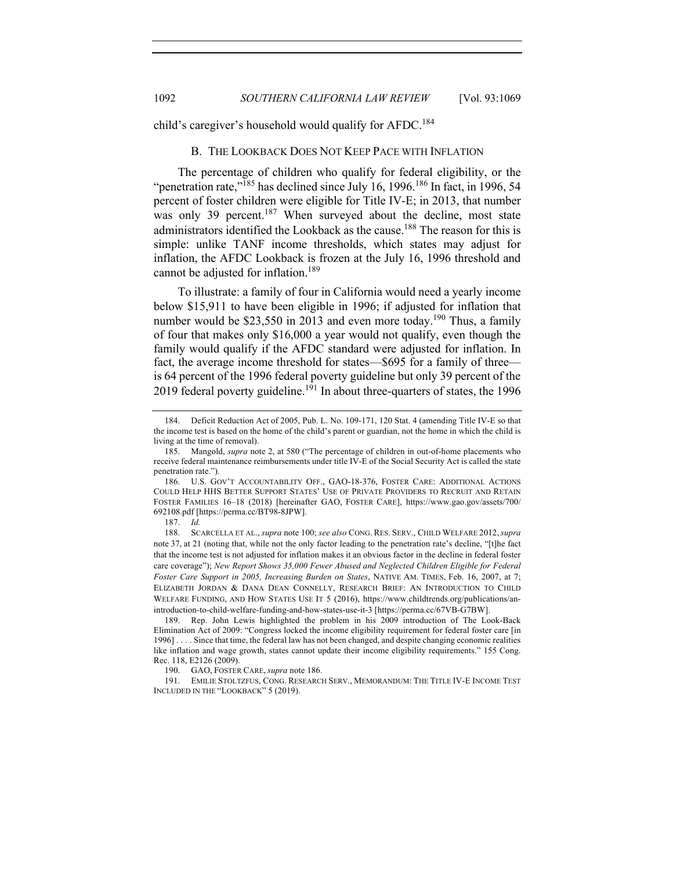child's caregiver's household would qualify for AFDC.<sup>184</sup>

#### B. THE LOOKBACK DOES NOT KEEP PACE WITH INFLATION

The percentage of children who qualify for federal eligibility, or the "penetration rate,"<sup>185</sup> has declined since July 16, 1996.<sup>186</sup> In fact, in 1996, 54 percent of foster children were eligible for Title IV-E; in 2013, that number was only 39 percent.<sup>187</sup> When surveyed about the decline, most state administrators identified the Lookback as the cause.<sup>188</sup> The reason for this is simple: unlike TANF income thresholds, which states may adjust for inflation, the AFDC Lookback is frozen at the July 16, 1996 threshold and cannot be adjusted for inflation.<sup>189</sup>

To illustrate: a family of four in California would need a yearly income below \$15,911 to have been eligible in 1996; if adjusted for inflation that number would be \$23,550 in 2013 and even more today.<sup>190</sup> Thus, a family of four that makes only \$16,000 a year would not qualify, even though the family would qualify if the AFDC standard were adjusted for inflation. In fact, the average income threshold for states—\$695 for a family of three is 64 percent of the 1996 federal poverty guideline but only 39 percent of the 2019 federal poverty guideline.<sup>191</sup> In about three-quarters of states, the 1996

187. *Id.*

188. SCARCELLA ET AL., *supra* note 100; *see also* CONG. RES. SERV., CHILD WELFARE 2012, *supra*  note 37, at 21 (noting that, while not the only factor leading to the penetration rate's decline, "[t]he fact that the income test is not adjusted for inflation makes it an obvious factor in the decline in federal foster care coverage"); *New Report Shows 35,000 Fewer Abused and Neglected Children Eligible for Federal Foster Care Support in 2005, Increasing Burden on States*, NATIVE AM. TIMES, Feb. 16, 2007, at 7; ELIZABETH JORDAN & DANA DEAN CONNELLY, RESEARCH BRIEF: AN INTRODUCTION TO CHILD WELFARE FUNDING, AND HOW STATES USE IT 5 (2016), https://www.childtrends.org/publications/anintroduction-to-child-welfare-funding-and-how-states-use-it-3 [https://perma.cc/67VB-G7BW].

<sup>184.</sup> Deficit Reduction Act of 2005, Pub. L. No. 109-171, 120 Stat. 4 (amending Title IV-E so that the income test is based on the home of the child's parent or guardian, not the home in which the child is living at the time of removal).

<sup>185.</sup> Mangold, *supra* note 2, at 580 ("The percentage of children in out-of-home placements who receive federal maintenance reimbursements under title IV-E of the Social Security Act is called the state penetration rate.").

<sup>186.</sup> U.S. GOV'T ACCOUNTABILITY OFF., GAO-18-376, FOSTER CARE: ADDITIONAL ACTIONS COULD HELP HHS BETTER SUPPORT STATES' USE OF PRIVATE PROVIDERS TO RECRUIT AND RETAIN FOSTER FAMILIES 16–18 (2018) [hereinafter GAO, FOSTER CARE], https://www.gao.gov/assets/700/ 692108.pdf [https://perma.cc/BT98-8JPW].

<sup>189.</sup> Rep. John Lewis highlighted the problem in his 2009 introduction of The Look-Back Elimination Act of 2009: "Congress locked the income eligibility requirement for federal foster care [in 1996] . . . . Since that time, the federal law has not been changed, and despite changing economic realities like inflation and wage growth, states cannot update their income eligibility requirements." 155 Cong. Rec. 118, E2126 (2009).

<sup>190.</sup> GAO, FOSTER CARE, *supra* note 186.

<sup>191.</sup> EMILIE STOLTZFUS, CONG. RESEARCH SERV., MEMORANDUM: THE TITLE IV-E INCOME TEST INCLUDED IN THE "LOOKBACK" 5 (2019).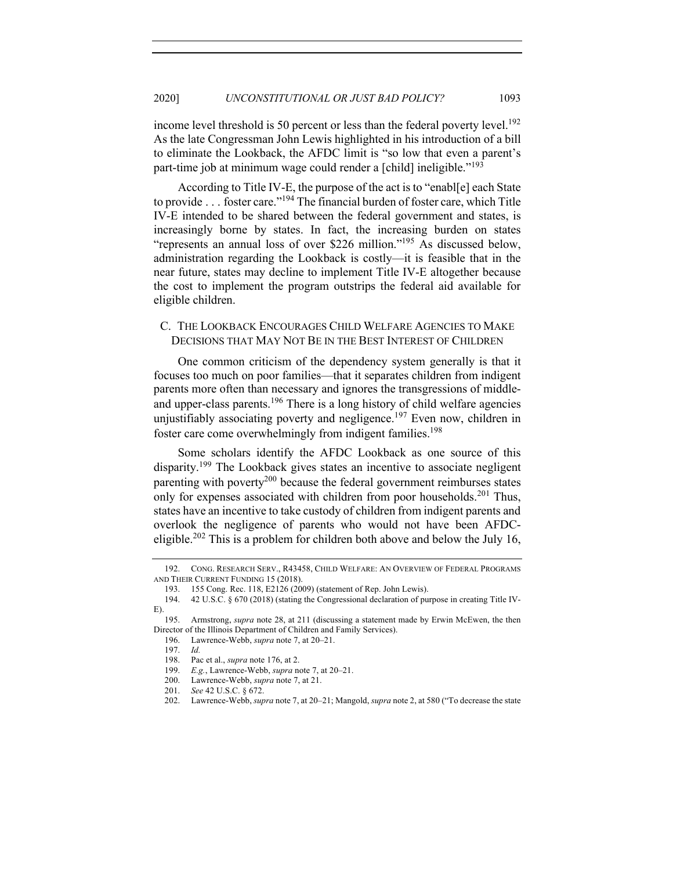income level threshold is 50 percent or less than the federal poverty level.<sup>192</sup> As the late Congressman John Lewis highlighted in his introduction of a bill to eliminate the Lookback, the AFDC limit is "so low that even a parent's part-time job at minimum wage could render a [child] ineligible."<sup>193</sup>

According to Title IV-E, the purpose of the act is to "enabl[e] each State to provide . . . foster care."<sup>194</sup> The financial burden of foster care, which Title IV-E intended to be shared between the federal government and states, is increasingly borne by states. In fact, the increasing burden on states "represents an annual loss of over \$226 million."195 As discussed below, administration regarding the Lookback is costly—it is feasible that in the near future, states may decline to implement Title IV-E altogether because the cost to implement the program outstrips the federal aid available for eligible children.

# C. THE LOOKBACK ENCOURAGES CHILD WELFARE AGENCIES TO MAKE DECISIONS THAT MAY NOT BE IN THE BEST INTEREST OF CHILDREN

One common criticism of the dependency system generally is that it focuses too much on poor families—that it separates children from indigent parents more often than necessary and ignores the transgressions of middleand upper-class parents.<sup>196</sup> There is a long history of child welfare agencies unjustifiably associating poverty and negligence.<sup>197</sup> Even now, children in foster care come overwhelmingly from indigent families.<sup>198</sup>

Some scholars identify the AFDC Lookback as one source of this disparity.<sup>199</sup> The Lookback gives states an incentive to associate negligent parenting with poverty<sup>200</sup> because the federal government reimburses states only for expenses associated with children from poor households.<sup>201</sup> Thus, states have an incentive to take custody of children from indigent parents and overlook the negligence of parents who would not have been AFDCeligible.<sup>202</sup> This is a problem for children both above and below the July 16,

<sup>192.</sup> CONG. RESEARCH SERV., R43458, CHILD WELFARE: AN OVERVIEW OF FEDERAL PROGRAMS AND THEIR CURRENT FUNDING 15 (2018).

<sup>193.</sup> 155 Cong. Rec. 118, E2126 (2009) (statement of Rep. John Lewis).

<sup>194.</sup> 42 U.S.C. § 670 (2018) (stating the Congressional declaration of purpose in creating Title IV-E).

<sup>195.</sup> Armstrong, *supra* note 28, at 211 (discussing a statement made by Erwin McEwen, the then Director of the Illinois Department of Children and Family Services).

<sup>196.</sup> Lawrence-Webb, *supra* note 7, at 20–21.

<sup>197.</sup> *Id.*

<sup>198.</sup> Pac et al., *supra* note 176, at 2.

<sup>199.</sup> *E.g.*, Lawrence-Webb, *supra* note 7, at 20–21.

<sup>200.</sup> Lawrence-Webb, *supra* note 7, at 21.

<sup>201.</sup> *See* 42 U.S.C. § 672.

<sup>202.</sup> Lawrence-Webb, *supra* note 7, at 20–21; Mangold, *supra* note 2, at 580 ("To decrease the state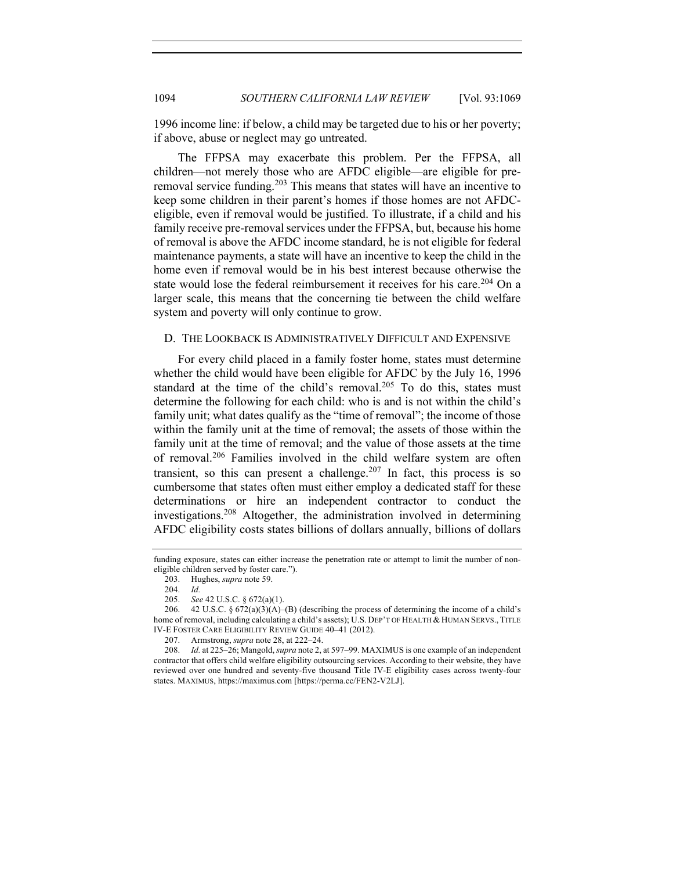1996 income line: if below, a child may be targeted due to his or her poverty; if above, abuse or neglect may go untreated.

The FFPSA may exacerbate this problem. Per the FFPSA, all children—not merely those who are AFDC eligible—are eligible for preremoval service funding.<sup>203</sup> This means that states will have an incentive to keep some children in their parent's homes if those homes are not AFDCeligible, even if removal would be justified. To illustrate, if a child and his family receive pre-removal services under the FFPSA, but, because his home of removal is above the AFDC income standard, he is not eligible for federal maintenance payments, a state will have an incentive to keep the child in the home even if removal would be in his best interest because otherwise the state would lose the federal reimbursement it receives for his care.<sup>204</sup> On a larger scale, this means that the concerning tie between the child welfare system and poverty will only continue to grow.

#### D. THE LOOKBACK IS ADMINISTRATIVELY DIFFICULT AND EXPENSIVE

For every child placed in a family foster home, states must determine whether the child would have been eligible for AFDC by the July 16, 1996 standard at the time of the child's removal. $205$  To do this, states must determine the following for each child: who is and is not within the child's family unit; what dates qualify as the "time of removal"; the income of those within the family unit at the time of removal; the assets of those within the family unit at the time of removal; and the value of those assets at the time of removal.<sup>206</sup> Families involved in the child welfare system are often transient, so this can present a challenge.<sup>207</sup> In fact, this process is so cumbersome that states often must either employ a dedicated staff for these determinations or hire an independent contractor to conduct the investigations.<sup>208</sup> Altogether, the administration involved in determining AFDC eligibility costs states billions of dollars annually, billions of dollars

funding exposure, states can either increase the penetration rate or attempt to limit the number of noneligible children served by foster care.").

<sup>203.</sup> Hughes, *supra* note 59.

<sup>204.</sup> *Id.*

<sup>205.</sup> *See* 42 U.S.C. § 672(a)(1).

<sup>206. 42</sup> U.S.C. §  $672(a)(3)(A)$ –(B) (describing the process of determining the income of a child's home of removal, including calculating a child's assets); U.S. DEP'T OF HEALTH & HUMAN SERVS., TITLE IV-E FOSTER CARE ELIGIBILITY REVIEW GUIDE 40–41 (2012).

<sup>207.</sup> Armstrong, *supra* note 28, at 222–24.

<sup>208.</sup> *Id.* at 225–26; Mangold, *supra* note 2, at 597–99. MAXIMUS is one example of an independent contractor that offers child welfare eligibility outsourcing services. According to their website, they have reviewed over one hundred and seventy-five thousand Title IV-E eligibility cases across twenty-four states. MAXIMUS, https://maximus.com [https://perma.cc/FEN2-V2LJ].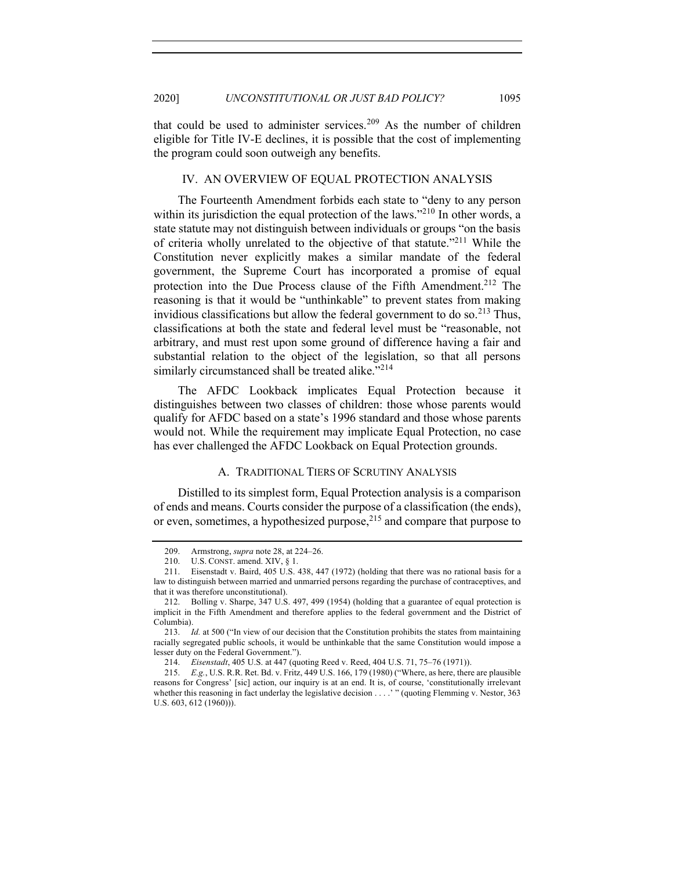that could be used to administer services.<sup>209</sup> As the number of children eligible for Title IV-E declines, it is possible that the cost of implementing the program could soon outweigh any benefits.

## IV. AN OVERVIEW OF EQUAL PROTECTION ANALYSIS

The Fourteenth Amendment forbids each state to "deny to any person within its jurisdiction the equal protection of the laws."<sup>210</sup> In other words, a state statute may not distinguish between individuals or groups "on the basis of criteria wholly unrelated to the objective of that statute."<sup>211</sup> While the Constitution never explicitly makes a similar mandate of the federal government, the Supreme Court has incorporated a promise of equal protection into the Due Process clause of the Fifth Amendment.<sup>212</sup> The reasoning is that it would be "unthinkable" to prevent states from making invidious classifications but allow the federal government to do so.<sup>213</sup> Thus, classifications at both the state and federal level must be "reasonable, not arbitrary, and must rest upon some ground of difference having a fair and substantial relation to the object of the legislation, so that all persons similarly circumstanced shall be treated alike."<sup>214</sup>

The AFDC Lookback implicates Equal Protection because it distinguishes between two classes of children: those whose parents would qualify for AFDC based on a state's 1996 standard and those whose parents would not. While the requirement may implicate Equal Protection, no case has ever challenged the AFDC Lookback on Equal Protection grounds.

## A. TRADITIONAL TIERS OF SCRUTINY ANALYSIS

Distilled to its simplest form, Equal Protection analysis is a comparison of ends and means. Courts consider the purpose of a classification (the ends), or even, sometimes, a hypothesized purpose, $2^{15}$  and compare that purpose to

<sup>209.</sup> Armstrong, *supra* note 28, at 224–26.

<sup>210.</sup> U.S. CONST. amend. XIV, § 1.

<sup>211.</sup> Eisenstadt v. Baird, 405 U.S. 438, 447 (1972) (holding that there was no rational basis for a law to distinguish between married and unmarried persons regarding the purchase of contraceptives, and that it was therefore unconstitutional).

<sup>212.</sup> Bolling v. Sharpe, 347 U.S. 497, 499 (1954) (holding that a guarantee of equal protection is implicit in the Fifth Amendment and therefore applies to the federal government and the District of Columbia).

<sup>213.</sup> *Id.* at 500 ("In view of our decision that the Constitution prohibits the states from maintaining racially segregated public schools, it would be unthinkable that the same Constitution would impose a lesser duty on the Federal Government.").

<sup>214.</sup> *Eisenstadt*, 405 U.S. at 447 (quoting Reed v. Reed, 404 U.S. 71, 75–76 (1971)).

<sup>215.</sup> *E.g.*, U.S. R.R. Ret. Bd. v. Fritz, 449 U.S. 166, 179 (1980) ("Where, as here, there are plausible reasons for Congress' [sic] action, our inquiry is at an end. It is, of course, 'constitutionally irrelevant whether this reasoning in fact underlay the legislative decision . . . . " (quoting Flemming v. Nestor, 363) U.S. 603, 612 (1960))).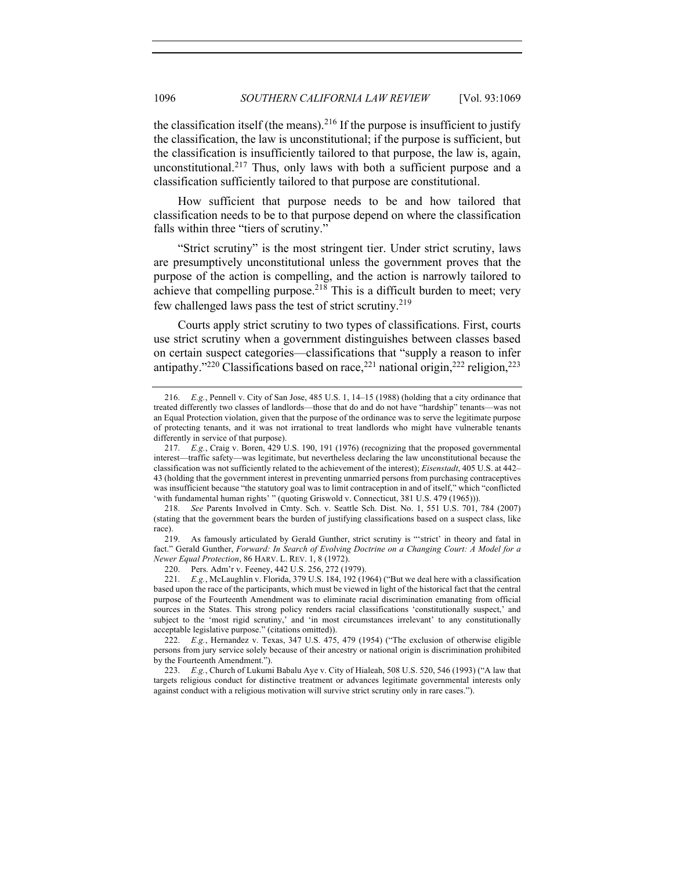the classification itself (the means).<sup>216</sup> If the purpose is insufficient to justify the classification, the law is unconstitutional; if the purpose is sufficient, but the classification is insufficiently tailored to that purpose, the law is, again, unconstitutional.<sup>217</sup> Thus, only laws with both a sufficient purpose and a classification sufficiently tailored to that purpose are constitutional.

How sufficient that purpose needs to be and how tailored that classification needs to be to that purpose depend on where the classification falls within three "tiers of scrutiny."

"Strict scrutiny" is the most stringent tier. Under strict scrutiny, laws are presumptively unconstitutional unless the government proves that the purpose of the action is compelling, and the action is narrowly tailored to achieve that compelling purpose.<sup>218</sup> This is a difficult burden to meet; very few challenged laws pass the test of strict scrutiny.<sup>219</sup>

Courts apply strict scrutiny to two types of classifications. First, courts use strict scrutiny when a government distinguishes between classes based on certain suspect categories—classifications that "supply a reason to infer antipathy."<sup>220</sup> Classifications based on race,<sup>221</sup> national origin,<sup>222</sup> religion,<sup>223</sup>

219. As famously articulated by Gerald Gunther, strict scrutiny is "'strict' in theory and fatal in fact." Gerald Gunther, *Forward: In Search of Evolving Doctrine on a Changing Court: A Model for a Newer Equal Protection*, 86 HARV. L. REV. 1, 8 (1972).

220. Pers. Adm'r v. Feeney, 442 U.S. 256, 272 (1979).

222. *E.g.*, Hernandez v. Texas, 347 U.S. 475, 479 (1954) ("The exclusion of otherwise eligible persons from jury service solely because of their ancestry or national origin is discrimination prohibited by the Fourteenth Amendment.").

<sup>216.</sup> *E.g.*, Pennell v. City of San Jose, 485 U.S. 1, 14–15 (1988) (holding that a city ordinance that treated differently two classes of landlords—those that do and do not have "hardship" tenants—was not an Equal Protection violation, given that the purpose of the ordinance was to serve the legitimate purpose of protecting tenants, and it was not irrational to treat landlords who might have vulnerable tenants differently in service of that purpose).

<sup>217.</sup> *E.g.*, Craig v. Boren, 429 U.S. 190, 191 (1976) (recognizing that the proposed governmental interest—traffic safety—was legitimate, but nevertheless declaring the law unconstitutional because the classification was not sufficiently related to the achievement of the interest); *Eisenstadt*, 405 U.S. at 442– 43 (holding that the government interest in preventing unmarried persons from purchasing contraceptives was insufficient because "the statutory goal was to limit contraception in and of itself," which "conflicted 'with fundamental human rights' " (quoting Griswold v. Connecticut, 381 U.S. 479 (1965))).

<sup>218.</sup> *See* Parents Involved in Cmty. Sch. v. Seattle Sch. Dist. No. 1, 551 U.S. 701, 784 (2007) (stating that the government bears the burden of justifying classifications based on a suspect class, like race).

<sup>221.</sup> *E.g.*, McLaughlin v. Florida, 379 U.S. 184, 192 (1964) ("But we deal here with a classification based upon the race of the participants, which must be viewed in light of the historical fact that the central purpose of the Fourteenth Amendment was to eliminate racial discrimination emanating from official sources in the States. This strong policy renders racial classifications 'constitutionally suspect,' and subject to the 'most rigid scrutiny,' and 'in most circumstances irrelevant' to any constitutionally acceptable legislative purpose." (citations omitted)).

<sup>223.</sup> *E.g.*, Church of Lukumi Babalu Aye v. City of Hialeah, 508 U.S. 520, 546 (1993) ("A law that targets religious conduct for distinctive treatment or advances legitimate governmental interests only against conduct with a religious motivation will survive strict scrutiny only in rare cases.").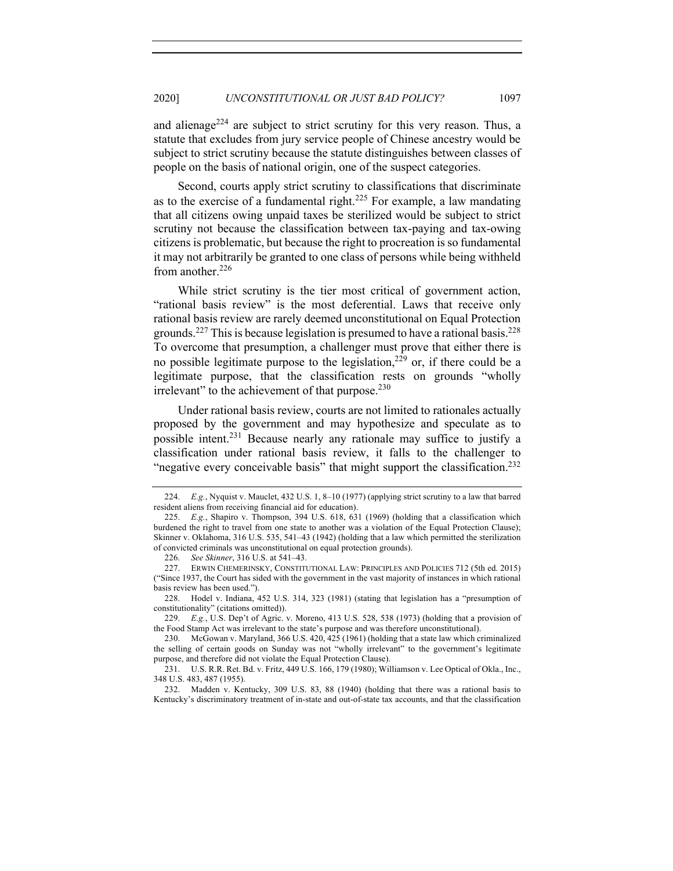and alienage<sup>224</sup> are subject to strict scrutiny for this very reason. Thus, a statute that excludes from jury service people of Chinese ancestry would be subject to strict scrutiny because the statute distinguishes between classes of people on the basis of national origin, one of the suspect categories.

Second, courts apply strict scrutiny to classifications that discriminate as to the exercise of a fundamental right.<sup>225</sup> For example, a law mandating that all citizens owing unpaid taxes be sterilized would be subject to strict scrutiny not because the classification between tax-paying and tax-owing citizens is problematic, but because the right to procreation is so fundamental it may not arbitrarily be granted to one class of persons while being withheld from another. $226$ 

While strict scrutiny is the tier most critical of government action, "rational basis review" is the most deferential. Laws that receive only rational basis review are rarely deemed unconstitutional on Equal Protection grounds.<sup>227</sup> This is because legislation is presumed to have a rational basis.<sup>228</sup> To overcome that presumption, a challenger must prove that either there is no possible legitimate purpose to the legislation,  $2^{29}$  or, if there could be a legitimate purpose, that the classification rests on grounds "wholly irrelevant" to the achievement of that purpose. $^{230}$ 

Under rational basis review, courts are not limited to rationales actually proposed by the government and may hypothesize and speculate as to possible intent.<sup>231</sup> Because nearly any rationale may suffice to justify a classification under rational basis review, it falls to the challenger to "negative every conceivable basis" that might support the classification.<sup>232</sup>

<sup>224.</sup> *E.g.*, Nyquist v. Mauclet, 432 U.S. 1, 8–10 (1977) (applying strict scrutiny to a law that barred resident aliens from receiving financial aid for education).

<sup>225.</sup> *E.g.*, Shapiro v. Thompson, 394 U.S. 618, 631 (1969) (holding that a classification which burdened the right to travel from one state to another was a violation of the Equal Protection Clause); Skinner v. Oklahoma, 316 U.S. 535, 541–43 (1942) (holding that a law which permitted the sterilization of convicted criminals was unconstitutional on equal protection grounds).

<sup>226.</sup> *See Skinner*, 316 U.S. at 541–43.

<sup>227.</sup> ERWIN CHEMERINSKY, CONSTITUTIONAL LAW: PRINCIPLES AND POLICIES 712 (5th ed. 2015) ("Since 1937, the Court has sided with the government in the vast majority of instances in which rational basis review has been used.").

<sup>228.</sup> Hodel v. Indiana, 452 U.S. 314, 323 (1981) (stating that legislation has a "presumption of constitutionality" (citations omitted)).

<sup>229.</sup> *E.g.*, U.S. Dep't of Agric. v. Moreno, 413 U.S. 528, 538 (1973) (holding that a provision of the Food Stamp Act was irrelevant to the state's purpose and was therefore unconstitutional).

<sup>230.</sup> McGowan v. Maryland, 366 U.S. 420, 425 (1961) (holding that a state law which criminalized the selling of certain goods on Sunday was not "wholly irrelevant" to the government's legitimate purpose, and therefore did not violate the Equal Protection Clause).

<sup>231.</sup> U.S. R.R. Ret. Bd. v. Fritz, 449 U.S. 166, 179 (1980); Williamson v. Lee Optical of Okla., Inc., 348 U.S. 483, 487 (1955).

<sup>232.</sup> Madden v. Kentucky, 309 U.S. 83, 88 (1940) (holding that there was a rational basis to Kentucky's discriminatory treatment of in-state and out-of-state tax accounts, and that the classification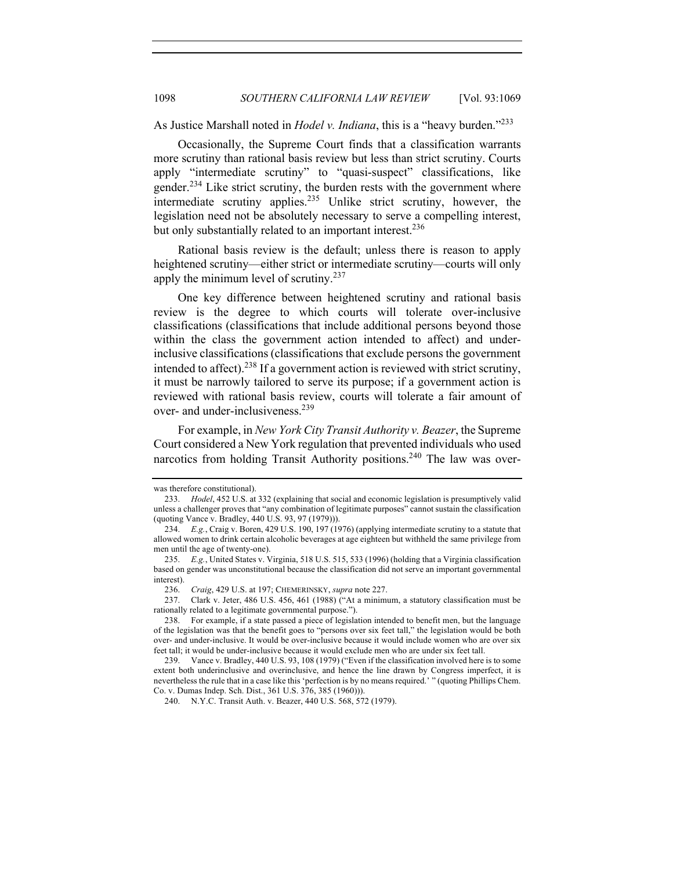As Justice Marshall noted in *Hodel v. Indiana*, this is a "heavy burden."233

Occasionally, the Supreme Court finds that a classification warrants more scrutiny than rational basis review but less than strict scrutiny. Courts apply "intermediate scrutiny" to "quasi-suspect" classifications, like gender.<sup>234</sup> Like strict scrutiny, the burden rests with the government where intermediate scrutiny applies.235 Unlike strict scrutiny, however, the legislation need not be absolutely necessary to serve a compelling interest, but only substantially related to an important interest.<sup>236</sup>

Rational basis review is the default; unless there is reason to apply heightened scrutiny—either strict or intermediate scrutiny—courts will only apply the minimum level of scrutiny.237

One key difference between heightened scrutiny and rational basis review is the degree to which courts will tolerate over-inclusive classifications (classifications that include additional persons beyond those within the class the government action intended to affect) and underinclusive classifications (classifications that exclude persons the government intended to affect).<sup>238</sup> If a government action is reviewed with strict scrutiny, it must be narrowly tailored to serve its purpose; if a government action is reviewed with rational basis review, courts will tolerate a fair amount of over- and under-inclusiveness.239

For example, in *New York City Transit Authority v. Beazer*, the Supreme Court considered a New York regulation that prevented individuals who used narcotics from holding Transit Authority positions.<sup>240</sup> The law was over-

was therefore constitutional).

<sup>233.</sup> *Hodel*, 452 U.S. at 332 (explaining that social and economic legislation is presumptively valid unless a challenger proves that "any combination of legitimate purposes" cannot sustain the classification (quoting Vance v. Bradley, 440 U.S. 93, 97 (1979))).

<sup>234.</sup> *E.g.*, Craig v. Boren, 429 U.S. 190, 197 (1976) (applying intermediate scrutiny to a statute that allowed women to drink certain alcoholic beverages at age eighteen but withheld the same privilege from men until the age of twenty-one).

<sup>235.</sup> *E.g.*, United States v. Virginia, 518 U.S. 515, 533 (1996) (holding that a Virginia classification based on gender was unconstitutional because the classification did not serve an important governmental interest).

<sup>236.</sup> *Craig*, 429 U.S. at 197; CHEMERINSKY, *supra* note 227.

<sup>237.</sup> Clark v. Jeter, 486 U.S. 456, 461 (1988) ("At a minimum, a statutory classification must be rationally related to a legitimate governmental purpose.").

<sup>238.</sup> For example, if a state passed a piece of legislation intended to benefit men, but the language of the legislation was that the benefit goes to "persons over six feet tall," the legislation would be both over- and under-inclusive. It would be over-inclusive because it would include women who are over six feet tall; it would be under-inclusive because it would exclude men who are under six feet tall.

<sup>239.</sup> Vance v. Bradley, 440 U.S. 93, 108 (1979) ("Even if the classification involved here is to some extent both underinclusive and overinclusive, and hence the line drawn by Congress imperfect, it is nevertheless the rule that in a case like this 'perfection is by no means required.' " (quoting Phillips Chem. Co. v. Dumas Indep. Sch. Dist., 361 U.S. 376, 385 (1960))).

<sup>240.</sup> N.Y.C. Transit Auth. v. Beazer, 440 U.S. 568, 572 (1979).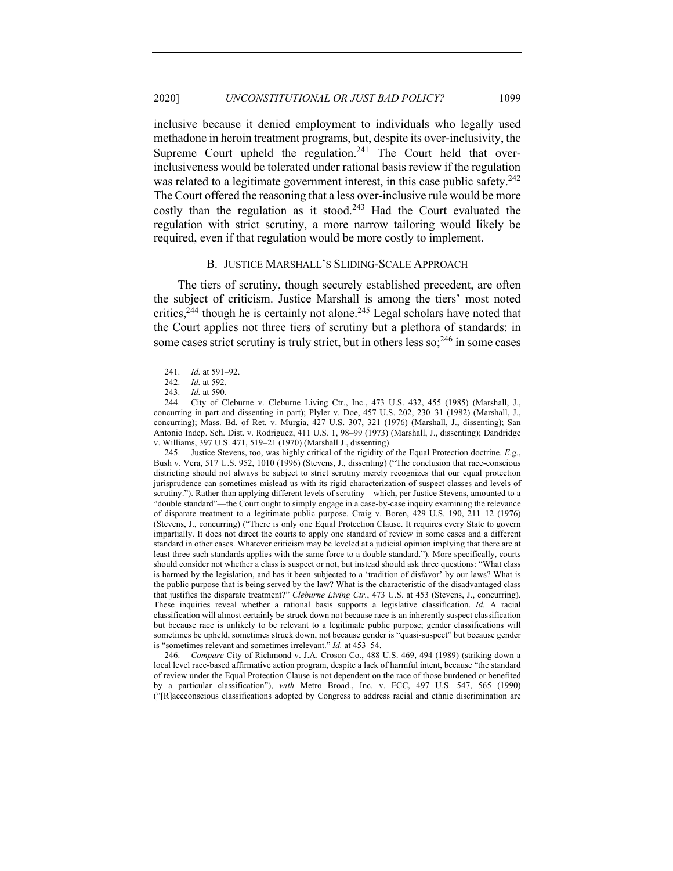inclusive because it denied employment to individuals who legally used methadone in heroin treatment programs, but, despite its over-inclusivity, the Supreme Court upheld the regulation.<sup>241</sup> The Court held that overinclusiveness would be tolerated under rational basis review if the regulation was related to a legitimate government interest, in this case public safety.<sup>242</sup> The Court offered the reasoning that a less over-inclusive rule would be more costly than the regulation as it stood.<sup>243</sup> Had the Court evaluated the regulation with strict scrutiny, a more narrow tailoring would likely be required, even if that regulation would be more costly to implement.

#### B. JUSTICE MARSHALL'S SLIDING-SCALE APPROACH

The tiers of scrutiny, though securely established precedent, are often the subject of criticism. Justice Marshall is among the tiers' most noted critics,<sup>244</sup> though he is certainly not alone.<sup>245</sup> Legal scholars have noted that the Court applies not three tiers of scrutiny but a plethora of standards: in some cases strict scrutiny is truly strict, but in others less  $\text{so:}^{246}$  in some cases

245. Justice Stevens, too, was highly critical of the rigidity of the Equal Protection doctrine. *E.g.*, Bush v. Vera, 517 U.S. 952, 1010 (1996) (Stevens, J., dissenting) ("The conclusion that race-conscious districting should not always be subject to strict scrutiny merely recognizes that our equal protection jurisprudence can sometimes mislead us with its rigid characterization of suspect classes and levels of scrutiny."). Rather than applying different levels of scrutiny—which, per Justice Stevens, amounted to a "double standard"—the Court ought to simply engage in a case-by-case inquiry examining the relevance of disparate treatment to a legitimate public purpose. Craig v. Boren, 429 U.S. 190, 211–12 (1976) (Stevens, J., concurring) ("There is only one Equal Protection Clause. It requires every State to govern impartially. It does not direct the courts to apply one standard of review in some cases and a different standard in other cases. Whatever criticism may be leveled at a judicial opinion implying that there are at least three such standards applies with the same force to a double standard."). More specifically, courts should consider not whether a class is suspect or not, but instead should ask three questions: "What class is harmed by the legislation, and has it been subjected to a 'tradition of disfavor' by our laws? What is the public purpose that is being served by the law? What is the characteristic of the disadvantaged class that justifies the disparate treatment?" *Cleburne Living Ctr.*, 473 U.S. at 453 (Stevens, J., concurring). These inquiries reveal whether a rational basis supports a legislative classification. *Id.* A racial classification will almost certainly be struck down not because race is an inherently suspect classification but because race is unlikely to be relevant to a legitimate public purpose; gender classifications will sometimes be upheld, sometimes struck down, not because gender is "quasi-suspect" but because gender is "sometimes relevant and sometimes irrelevant." *Id.* at 453–54.

246. *Compare* City of Richmond v. J.A. Croson Co., 488 U.S. 469, 494 (1989) (striking down a local level race-based affirmative action program, despite a lack of harmful intent, because "the standard of review under the Equal Protection Clause is not dependent on the race of those burdened or benefited by a particular classification"), *with* Metro Broad., Inc. v. FCC, 497 U.S. 547, 565 (1990) ("[R]aceconscious classifications adopted by Congress to address racial and ethnic discrimination are

<sup>241.</sup> *Id.* at 591–92.

<sup>242.</sup> *Id.* at 592.

<sup>243.</sup> *Id.* at 590.

<sup>244.</sup> City of Cleburne v. Cleburne Living Ctr., Inc., 473 U.S. 432, 455 (1985) (Marshall, J., concurring in part and dissenting in part); Plyler v. Doe, 457 U.S. 202, 230–31 (1982) (Marshall, J., concurring); Mass. Bd. of Ret. v. Murgia, 427 U.S. 307, 321 (1976) (Marshall, J., dissenting); San Antonio Indep. Sch. Dist. v. Rodriguez, 411 U.S. 1, 98–99 (1973) (Marshall, J., dissenting); Dandridge v. Williams, 397 U.S. 471, 519–21 (1970) (Marshall J., dissenting).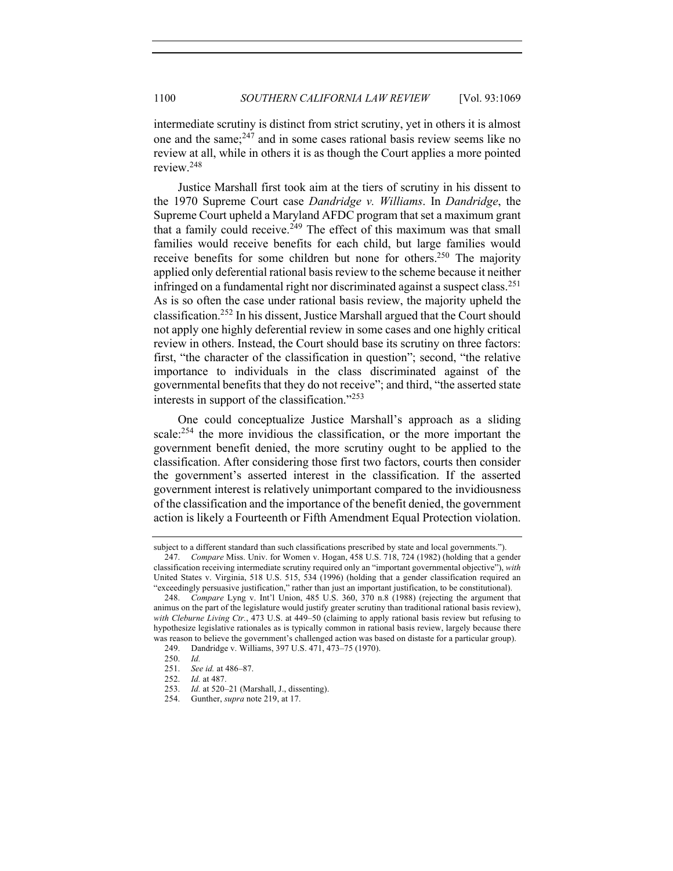intermediate scrutiny is distinct from strict scrutiny, yet in others it is almost one and the same; $247$  and in some cases rational basis review seems like no review at all, while in others it is as though the Court applies a more pointed review.248

Justice Marshall first took aim at the tiers of scrutiny in his dissent to the 1970 Supreme Court case *Dandridge v. Williams*. In *Dandridge*, the Supreme Court upheld a Maryland AFDC program that set a maximum grant that a family could receive.<sup>249</sup> The effect of this maximum was that small families would receive benefits for each child, but large families would receive benefits for some children but none for others.<sup>250</sup> The majority applied only deferential rational basis review to the scheme because it neither infringed on a fundamental right nor discriminated against a suspect class.<sup>251</sup> As is so often the case under rational basis review, the majority upheld the classification. <sup>252</sup> In his dissent, Justice Marshall argued that the Court should not apply one highly deferential review in some cases and one highly critical review in others. Instead, the Court should base its scrutiny on three factors: first, "the character of the classification in question"; second, "the relative importance to individuals in the class discriminated against of the governmental benefits that they do not receive"; and third, "the asserted state interests in support of the classification."<sup>253</sup>

One could conceptualize Justice Marshall's approach as a sliding scale:<sup>254</sup> the more invidious the classification, or the more important the government benefit denied, the more scrutiny ought to be applied to the classification. After considering those first two factors, courts then consider the government's asserted interest in the classification. If the asserted government interest is relatively unimportant compared to the invidiousness of the classification and the importance of the benefit denied, the government action is likely a Fourteenth or Fifth Amendment Equal Protection violation.

subject to a different standard than such classifications prescribed by state and local governments.").

<sup>247.</sup> *Compare* Miss. Univ. for Women v. Hogan, 458 U.S. 718, 724 (1982) (holding that a gender classification receiving intermediate scrutiny required only an "important governmental objective"), *with*  United States v. Virginia, 518 U.S. 515, 534 (1996) (holding that a gender classification required an "exceedingly persuasive justification," rather than just an important justification, to be constitutional).

*Compare* Lyng v. Int'l Union, 485 U.S. 360, 370 n.8 (1988) (rejecting the argument that animus on the part of the legislature would justify greater scrutiny than traditional rational basis review), *with Cleburne Living Ctr.*, 473 U.S. at 449–50 (claiming to apply rational basis review but refusing to hypothesize legislative rationales as is typically common in rational basis review, largely because there was reason to believe the government's challenged action was based on distaste for a particular group).

<sup>249.</sup> Dandridge v. Williams, 397 U.S. 471, 473–75 (1970).

<sup>250.</sup> *Id.*

<sup>251.</sup> *See id.* at 486–87.

<sup>252.</sup> *Id.* at 487.

<sup>253.</sup> *Id.* at 520–21 (Marshall, J., dissenting).

<sup>254.</sup> Gunther, *supra* note 219, at 17.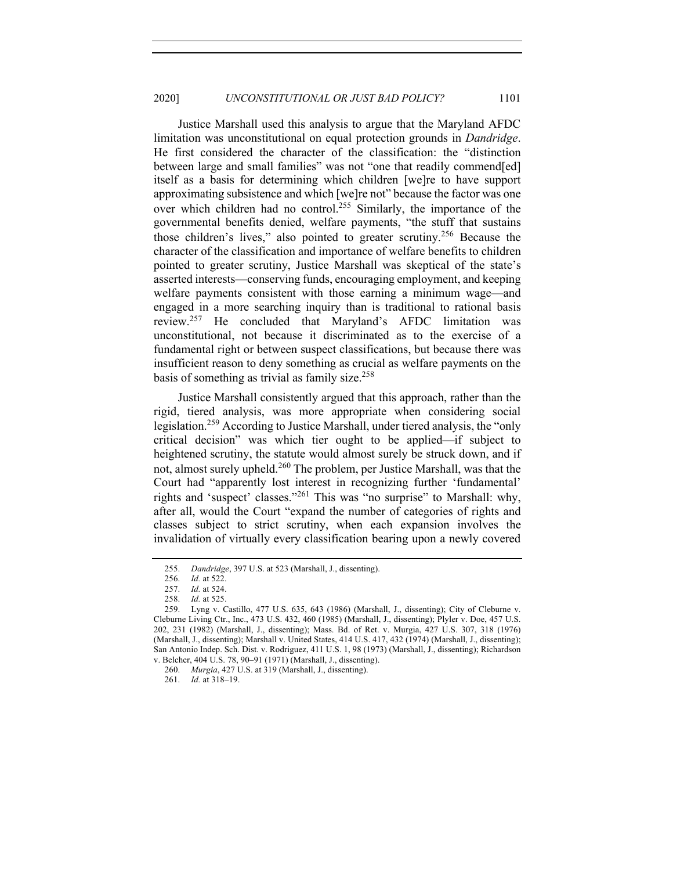Justice Marshall used this analysis to argue that the Maryland AFDC limitation was unconstitutional on equal protection grounds in *Dandridge*. He first considered the character of the classification: the "distinction between large and small families" was not "one that readily commend[ed] itself as a basis for determining which children [we]re to have support approximating subsistence and which [we]re not" because the factor was one over which children had no control.<sup>255</sup> Similarly, the importance of the governmental benefits denied, welfare payments, "the stuff that sustains those children's lives," also pointed to greater scrutiny.<sup>256</sup> Because the character of the classification and importance of welfare benefits to children pointed to greater scrutiny, Justice Marshall was skeptical of the state's asserted interests—conserving funds, encouraging employment, and keeping welfare payments consistent with those earning a minimum wage—and engaged in a more searching inquiry than is traditional to rational basis review.257 He concluded that Maryland's AFDC limitation was unconstitutional, not because it discriminated as to the exercise of a fundamental right or between suspect classifications, but because there was insufficient reason to deny something as crucial as welfare payments on the basis of something as trivial as family size.<sup>258</sup>

Justice Marshall consistently argued that this approach, rather than the rigid, tiered analysis, was more appropriate when considering social legislation.259 According to Justice Marshall, under tiered analysis, the "only critical decision" was which tier ought to be applied—if subject to heightened scrutiny, the statute would almost surely be struck down, and if not, almost surely upheld.<sup>260</sup> The problem, per Justice Marshall, was that the Court had "apparently lost interest in recognizing further 'fundamental' rights and 'suspect' classes."<sup>261</sup> This was "no surprise" to Marshall: why, after all, would the Court "expand the number of categories of rights and classes subject to strict scrutiny, when each expansion involves the invalidation of virtually every classification bearing upon a newly covered

<sup>255.</sup> *Dandridge*, 397 U.S. at 523 (Marshall, J., dissenting).

<sup>256.</sup> *Id.* at 522.

<sup>257.</sup> *Id.* at 524.

<sup>258.</sup> *Id.* at 525.

<sup>259.</sup> Lyng v. Castillo, 477 U.S. 635, 643 (1986) (Marshall, J., dissenting); City of Cleburne v. Cleburne Living Ctr., Inc., 473 U.S. 432, 460 (1985) (Marshall, J., dissenting); Plyler v. Doe, 457 U.S. 202, 231 (1982) (Marshall, J., dissenting); Mass. Bd. of Ret. v. Murgia, 427 U.S. 307, 318 (1976) (Marshall, J., dissenting); Marshall v. United States, 414 U.S. 417, 432 (1974) (Marshall, J., dissenting); San Antonio Indep. Sch. Dist. v. Rodriguez, 411 U.S. 1, 98 (1973) (Marshall, J., dissenting); Richardson v. Belcher, 404 U.S. 78, 90–91 (1971) (Marshall, J., dissenting).

<sup>260.</sup> *Murgia*, 427 U.S. at 319 (Marshall, J., dissenting).

<sup>261.</sup> *Id.* at 318–19.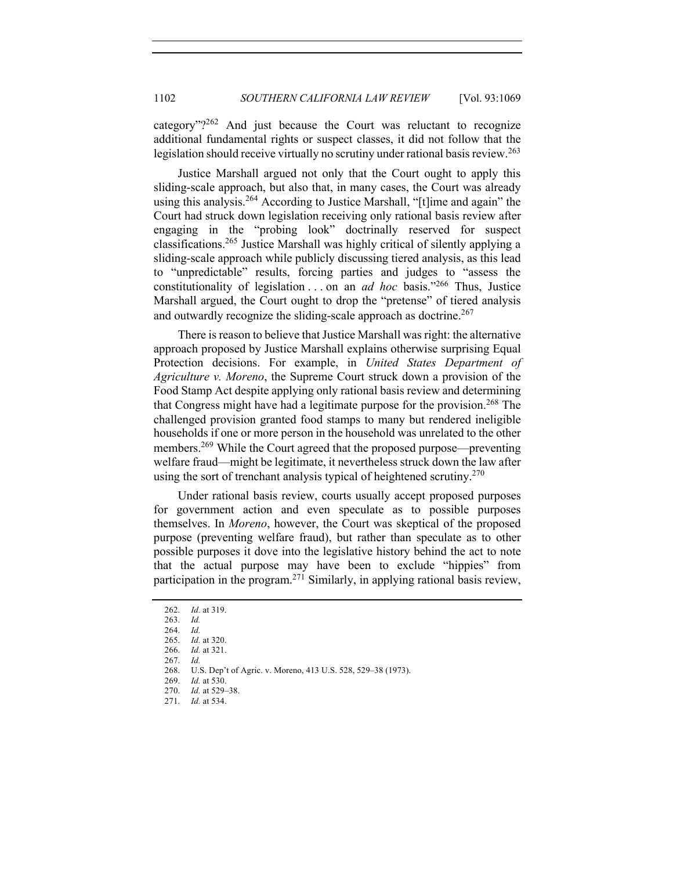category"? $262$  And just because the Court was reluctant to recognize additional fundamental rights or suspect classes, it did not follow that the legislation should receive virtually no scrutiny under rational basis review.<sup>263</sup>

Justice Marshall argued not only that the Court ought to apply this sliding-scale approach, but also that, in many cases, the Court was already using this analysis.<sup>264</sup> According to Justice Marshall, "[t]ime and again" the Court had struck down legislation receiving only rational basis review after engaging in the "probing look" doctrinally reserved for suspect classifications.265 Justice Marshall was highly critical of silently applying a sliding-scale approach while publicly discussing tiered analysis, as this lead to "unpredictable" results, forcing parties and judges to "assess the constitutionality of legislation . . . on an *ad hoc* basis."266 Thus, Justice Marshall argued, the Court ought to drop the "pretense" of tiered analysis and outwardly recognize the sliding-scale approach as doctrine.<sup>267</sup>

There is reason to believe that Justice Marshall was right: the alternative approach proposed by Justice Marshall explains otherwise surprising Equal Protection decisions. For example, in *United States Department of Agriculture v. Moreno*, the Supreme Court struck down a provision of the Food Stamp Act despite applying only rational basis review and determining that Congress might have had a legitimate purpose for the provision. <sup>268</sup> The challenged provision granted food stamps to many but rendered ineligible households if one or more person in the household was unrelated to the other members.269 While the Court agreed that the proposed purpose—preventing welfare fraud—might be legitimate, it nevertheless struck down the law after using the sort of trenchant analysis typical of heightened scrutiny.<sup>270</sup>

Under rational basis review, courts usually accept proposed purposes for government action and even speculate as to possible purposes themselves. In *Moreno*, however, the Court was skeptical of the proposed purpose (preventing welfare fraud), but rather than speculate as to other possible purposes it dove into the legislative history behind the act to note that the actual purpose may have been to exclude "hippies" from participation in the program.271 Similarly, in applying rational basis review,

<sup>262.</sup> *Id.* at 319.

<sup>263.</sup> *Id.*

<sup>264.</sup> *Id.*

<sup>265.</sup> *Id.* at 320.

<sup>266.</sup> *Id.* at 321.

<sup>267.</sup> *Id.*

<sup>268.</sup> U.S. Dep't of Agric. v. Moreno, 413 U.S. 528, 529–38 (1973).

<sup>269.</sup> *Id.* at 530.

<sup>270.</sup> *Id.* at 529–38. 271. *Id.* at 534.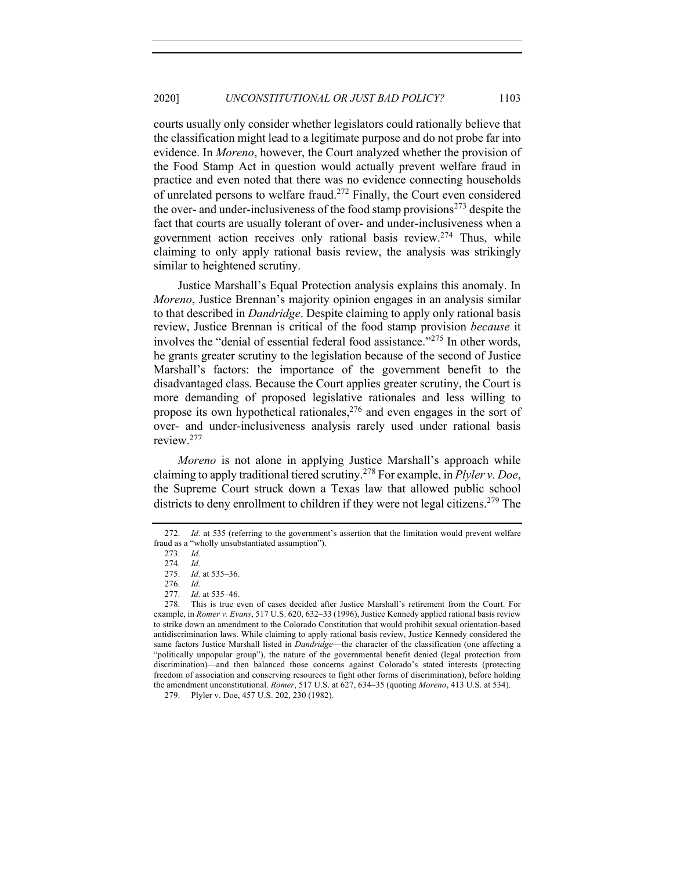courts usually only consider whether legislators could rationally believe that the classification might lead to a legitimate purpose and do not probe far into evidence. In *Moreno*, however, the Court analyzed whether the provision of the Food Stamp Act in question would actually prevent welfare fraud in practice and even noted that there was no evidence connecting households of unrelated persons to welfare fraud.<sup>272</sup> Finally, the Court even considered the over- and under-inclusiveness of the food stamp provisions<sup> $273$ </sup> despite the fact that courts are usually tolerant of over- and under-inclusiveness when a government action receives only rational basis review.<sup>274</sup> Thus, while claiming to only apply rational basis review, the analysis was strikingly similar to heightened scrutiny.

Justice Marshall's Equal Protection analysis explains this anomaly. In *Moreno*, Justice Brennan's majority opinion engages in an analysis similar to that described in *Dandridge*. Despite claiming to apply only rational basis review, Justice Brennan is critical of the food stamp provision *because* it involves the "denial of essential federal food assistance."<sup>275</sup> In other words, he grants greater scrutiny to the legislation because of the second of Justice Marshall's factors: the importance of the government benefit to the disadvantaged class. Because the Court applies greater scrutiny, the Court is more demanding of proposed legislative rationales and less willing to propose its own hypothetical rationales,<sup>276</sup> and even engages in the sort of over- and under-inclusiveness analysis rarely used under rational basis review.277

*Moreno* is not alone in applying Justice Marshall's approach while claiming to apply traditional tiered scrutiny. <sup>278</sup> For example, in *Plyler v. Doe*, the Supreme Court struck down a Texas law that allowed public school districts to deny enrollment to children if they were not legal citizens.<sup>279</sup> The

<sup>272.</sup> *Id.* at 535 (referring to the government's assertion that the limitation would prevent welfare fraud as a "wholly unsubstantiated assumption").

<sup>273.</sup> *Id.*

<sup>274.</sup> *Id.*

<sup>275.</sup> *Id.* at 535–36.

<sup>276.</sup> *Id.* 

<sup>277.</sup> *Id.* at 535–46.

<sup>278.</sup> This is true even of cases decided after Justice Marshall's retirement from the Court. For example, in *Romer v. Evans*, 517 U.S. 620, 632–33 (1996), Justice Kennedy applied rational basis review to strike down an amendment to the Colorado Constitution that would prohibit sexual orientation-based antidiscrimination laws. While claiming to apply rational basis review, Justice Kennedy considered the same factors Justice Marshall listed in *Dandridge*—the character of the classification (one affecting a "politically unpopular group"), the nature of the governmental benefit denied (legal protection from discrimination)—and then balanced those concerns against Colorado's stated interests (protecting freedom of association and conserving resources to fight other forms of discrimination), before holding the amendment unconstitutional. *Romer*, 517 U.S. at 627, 634–35 (quoting *Moreno*, 413 U.S. at 534).

<sup>279.</sup> Plyler v. Doe, 457 U.S. 202, 230 (1982).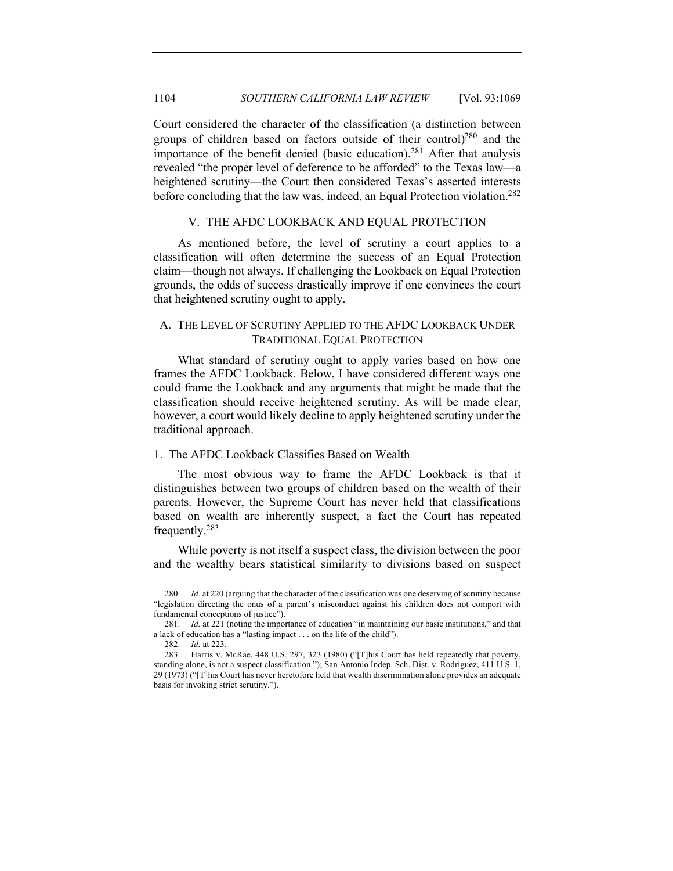Court considered the character of the classification (a distinction between groups of children based on factors outside of their control)<sup>280</sup> and the importance of the benefit denied (basic education).<sup>281</sup> After that analysis revealed "the proper level of deference to be afforded" to the Texas law—a heightened scrutiny—the Court then considered Texas's asserted interests before concluding that the law was, indeed, an Equal Protection violation.<sup>282</sup>

#### V. THE AFDC LOOKBACK AND EQUAL PROTECTION

As mentioned before, the level of scrutiny a court applies to a classification will often determine the success of an Equal Protection claim—though not always. If challenging the Lookback on Equal Protection grounds, the odds of success drastically improve if one convinces the court that heightened scrutiny ought to apply.

## A. THE LEVEL OF SCRUTINY APPLIED TO THE AFDC LOOKBACK UNDER TRADITIONAL EQUAL PROTECTION

What standard of scrutiny ought to apply varies based on how one frames the AFDC Lookback. Below, I have considered different ways one could frame the Lookback and any arguments that might be made that the classification should receive heightened scrutiny. As will be made clear, however, a court would likely decline to apply heightened scrutiny under the traditional approach.

#### 1. The AFDC Lookback Classifies Based on Wealth

The most obvious way to frame the AFDC Lookback is that it distinguishes between two groups of children based on the wealth of their parents. However, the Supreme Court has never held that classifications based on wealth are inherently suspect, a fact the Court has repeated frequently.<sup>283</sup>

While poverty is not itself a suspect class, the division between the poor and the wealthy bears statistical similarity to divisions based on suspect

<sup>280.</sup> *Id.* at 220 (arguing that the character of the classification was one deserving of scrutiny because "legislation directing the onus of a parent's misconduct against his children does not comport with fundamental conceptions of justice").

<sup>281.</sup> *Id.* at 221 (noting the importance of education "in maintaining our basic institutions," and that a lack of education has a "lasting impact . . . on the life of the child").

<sup>282.</sup> *Id.* at 223.

<sup>283.</sup> Harris v. McRae, 448 U.S. 297, 323 (1980) ("[T]his Court has held repeatedly that poverty, standing alone, is not a suspect classification."); San Antonio Indep. Sch. Dist. v. Rodriguez, 411 U.S. 1, 29 (1973) ("[T]his Court has never heretofore held that wealth discrimination alone provides an adequate basis for invoking strict scrutiny.").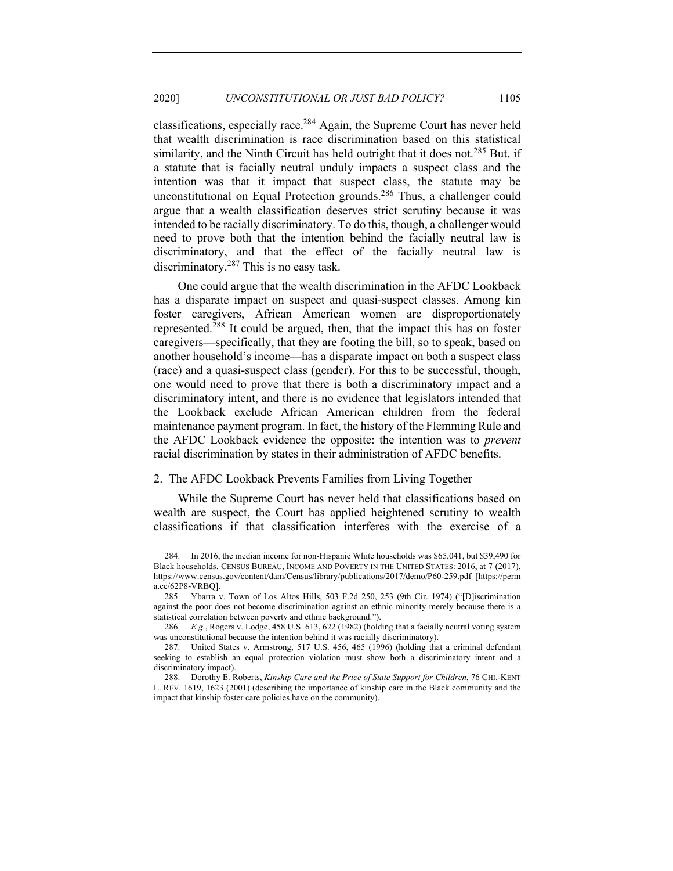classifications, especially race.<sup>284</sup> Again, the Supreme Court has never held that wealth discrimination is race discrimination based on this statistical similarity, and the Ninth Circuit has held outright that it does not.<sup>285</sup> But, if a statute that is facially neutral unduly impacts a suspect class and the intention was that it impact that suspect class, the statute may be unconstitutional on Equal Protection grounds.<sup>286</sup> Thus, a challenger could argue that a wealth classification deserves strict scrutiny because it was intended to be racially discriminatory. To do this, though, a challenger would need to prove both that the intention behind the facially neutral law is discriminatory, and that the effect of the facially neutral law is discriminatory.<sup>287</sup> This is no easy task.

One could argue that the wealth discrimination in the AFDC Lookback has a disparate impact on suspect and quasi-suspect classes. Among kin foster caregivers, African American women are disproportionately represented.<sup>288</sup> It could be argued, then, that the impact this has on foster caregivers—specifically, that they are footing the bill, so to speak, based on another household's income—has a disparate impact on both a suspect class (race) and a quasi-suspect class (gender). For this to be successful, though, one would need to prove that there is both a discriminatory impact and a discriminatory intent, and there is no evidence that legislators intended that the Lookback exclude African American children from the federal maintenance payment program. In fact, the history of the Flemming Rule and the AFDC Lookback evidence the opposite: the intention was to *prevent* racial discrimination by states in their administration of AFDC benefits.

#### 2. The AFDC Lookback Prevents Families from Living Together

While the Supreme Court has never held that classifications based on wealth are suspect, the Court has applied heightened scrutiny to wealth classifications if that classification interferes with the exercise of a

<sup>284.</sup> In 2016, the median income for non-Hispanic White households was \$65,041, but \$39,490 for Black households. CENSUS BUREAU, INCOME AND POVERTY IN THE UNITED STATES: 2016, at 7 (2017), https://www.census.gov/content/dam/Census/library/publications/2017/demo/P60-259.pdf [https://perm a.cc/62P8-VRBQ].

<sup>285.</sup> Ybarra v. Town of Los Altos Hills, 503 F.2d 250, 253 (9th Cir. 1974) ("[D]iscrimination against the poor does not become discrimination against an ethnic minority merely because there is a statistical correlation between poverty and ethnic background.").

<sup>286.</sup> *E.g.*, Rogers v. Lodge, 458 U.S. 613, 622 (1982) (holding that a facially neutral voting system was unconstitutional because the intention behind it was racially discriminatory).

<sup>287.</sup> United States v. Armstrong, 517 U.S. 456, 465 (1996) (holding that a criminal defendant seeking to establish an equal protection violation must show both a discriminatory intent and a discriminatory impact).

<sup>288.</sup> Dorothy E. Roberts, *Kinship Care and the Price of State Support for Children*, 76 CHI.-KENT L. REV. 1619, 1623 (2001) (describing the importance of kinship care in the Black community and the impact that kinship foster care policies have on the community).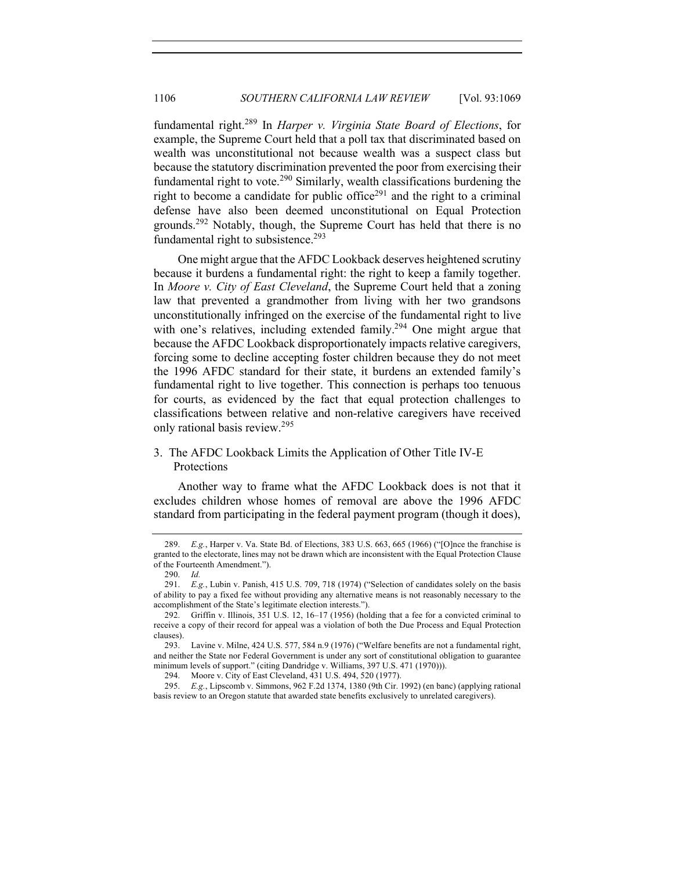fundamental right.289 In *Harper v. Virginia State Board of Elections*, for example, the Supreme Court held that a poll tax that discriminated based on wealth was unconstitutional not because wealth was a suspect class but because the statutory discrimination prevented the poor from exercising their fundamental right to vote.<sup>290</sup> Similarly, wealth classifications burdening the right to become a candidate for public office<sup>291</sup> and the right to a criminal defense have also been deemed unconstitutional on Equal Protection grounds.292 Notably, though, the Supreme Court has held that there is no fundamental right to subsistence.<sup>293</sup>

One might argue that the AFDC Lookback deserves heightened scrutiny because it burdens a fundamental right: the right to keep a family together. In *Moore v. City of East Cleveland*, the Supreme Court held that a zoning law that prevented a grandmother from living with her two grandsons unconstitutionally infringed on the exercise of the fundamental right to live with one's relatives, including extended family.<sup>294</sup> One might argue that because the AFDC Lookback disproportionately impacts relative caregivers, forcing some to decline accepting foster children because they do not meet the 1996 AFDC standard for their state, it burdens an extended family's fundamental right to live together. This connection is perhaps too tenuous for courts, as evidenced by the fact that equal protection challenges to classifications between relative and non-relative caregivers have received only rational basis review.<sup>295</sup>

# 3. The AFDC Lookback Limits the Application of Other Title IV-E Protections

Another way to frame what the AFDC Lookback does is not that it excludes children whose homes of removal are above the 1996 AFDC standard from participating in the federal payment program (though it does),

294. Moore v. City of East Cleveland, 431 U.S. 494, 520 (1977).

<sup>289.</sup> *E.g.*, Harper v. Va. State Bd. of Elections, 383 U.S. 663, 665 (1966) ("[O]nce the franchise is granted to the electorate, lines may not be drawn which are inconsistent with the Equal Protection Clause of the Fourteenth Amendment.").

<sup>290.</sup> *Id.*

<sup>291.</sup> *E.g.*, Lubin v. Panish, 415 U.S. 709, 718 (1974) ("Selection of candidates solely on the basis of ability to pay a fixed fee without providing any alternative means is not reasonably necessary to the accomplishment of the State's legitimate election interests.").

<sup>292.</sup> Griffin v. Illinois, 351 U.S. 12, 16–17 (1956) (holding that a fee for a convicted criminal to receive a copy of their record for appeal was a violation of both the Due Process and Equal Protection clauses).

<sup>293.</sup> Lavine v. Milne, 424 U.S. 577, 584 n.9 (1976) ("Welfare benefits are not a fundamental right, and neither the State nor Federal Government is under any sort of constitutional obligation to guarantee minimum levels of support." (citing Dandridge v. Williams, 397 U.S. 471 (1970))).

<sup>295.</sup> *E.g.*, Lipscomb v. Simmons, 962 F.2d 1374, 1380 (9th Cir. 1992) (en banc) (applying rational basis review to an Oregon statute that awarded state benefits exclusively to unrelated caregivers).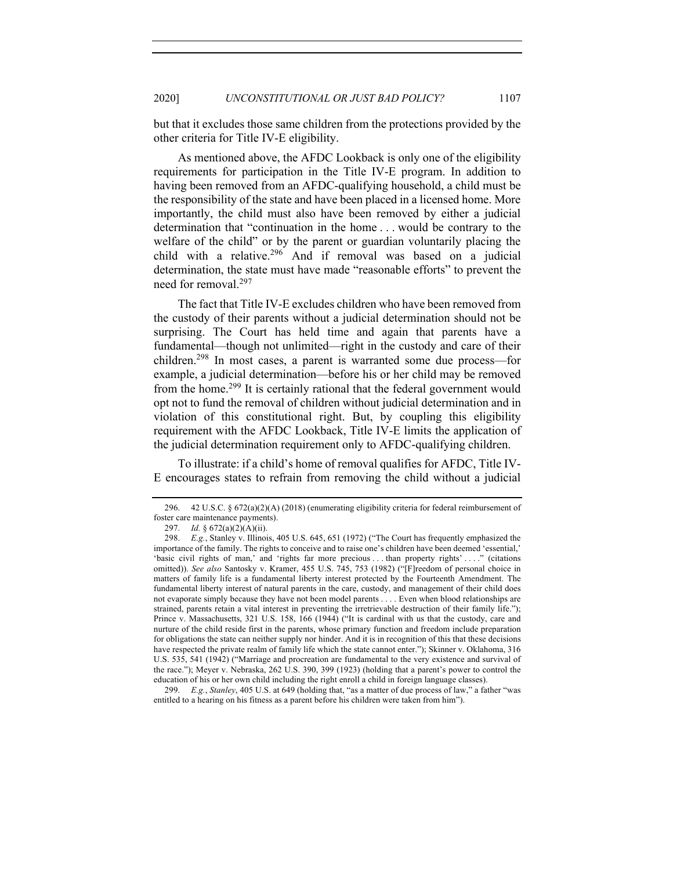but that it excludes those same children from the protections provided by the other criteria for Title IV-E eligibility.

As mentioned above, the AFDC Lookback is only one of the eligibility requirements for participation in the Title IV-E program. In addition to having been removed from an AFDC-qualifying household, a child must be the responsibility of the state and have been placed in a licensed home. More importantly, the child must also have been removed by either a judicial determination that "continuation in the home . . . would be contrary to the welfare of the child" or by the parent or guardian voluntarily placing the child with a relative.296 And if removal was based on a judicial determination, the state must have made "reasonable efforts" to prevent the need for removal.<sup>297</sup>

The fact that Title IV-E excludes children who have been removed from the custody of their parents without a judicial determination should not be surprising. The Court has held time and again that parents have a fundamental—though not unlimited—right in the custody and care of their children.<sup>298</sup> In most cases, a parent is warranted some due process—for example, a judicial determination—before his or her child may be removed from the home.<sup>299</sup> It is certainly rational that the federal government would opt not to fund the removal of children without judicial determination and in violation of this constitutional right. But, by coupling this eligibility requirement with the AFDC Lookback, Title IV-E limits the application of the judicial determination requirement only to AFDC-qualifying children.

To illustrate: if a child's home of removal qualifies for AFDC, Title IV-E encourages states to refrain from removing the child without a judicial

299. *E.g.*, *Stanley*, 405 U.S. at 649 (holding that, "as a matter of due process of law," a father "was entitled to a hearing on his fitness as a parent before his children were taken from him").

<sup>296.</sup> 42 U.S.C. § 672(a)(2)(A) (2018) (enumerating eligibility criteria for federal reimbursement of foster care maintenance payments).

<sup>297.</sup> *Id.* § 672(a)(2)(A)(ii).

<sup>298.</sup> *E.g.*, Stanley v. Illinois, 405 U.S. 645, 651 (1972) ("The Court has frequently emphasized the importance of the family. The rights to conceive and to raise one's children have been deemed 'essential,' 'basic civil rights of man,' and 'rights far more precious . . . than property rights' . . . ." (citations omitted)). *See also* Santosky v. Kramer, 455 U.S. 745, 753 (1982) ("[F]reedom of personal choice in matters of family life is a fundamental liberty interest protected by the Fourteenth Amendment. The fundamental liberty interest of natural parents in the care, custody, and management of their child does not evaporate simply because they have not been model parents . . . . Even when blood relationships are strained, parents retain a vital interest in preventing the irretrievable destruction of their family life."); Prince v. Massachusetts, 321 U.S. 158, 166 (1944) ("It is cardinal with us that the custody, care and nurture of the child reside first in the parents, whose primary function and freedom include preparation for obligations the state can neither supply nor hinder. And it is in recognition of this that these decisions have respected the private realm of family life which the state cannot enter."); Skinner v. Oklahoma, 316 U.S. 535, 541 (1942) ("Marriage and procreation are fundamental to the very existence and survival of the race."); Meyer v. Nebraska, 262 U.S. 390, 399 (1923) (holding that a parent's power to control the education of his or her own child including the right enroll a child in foreign language classes).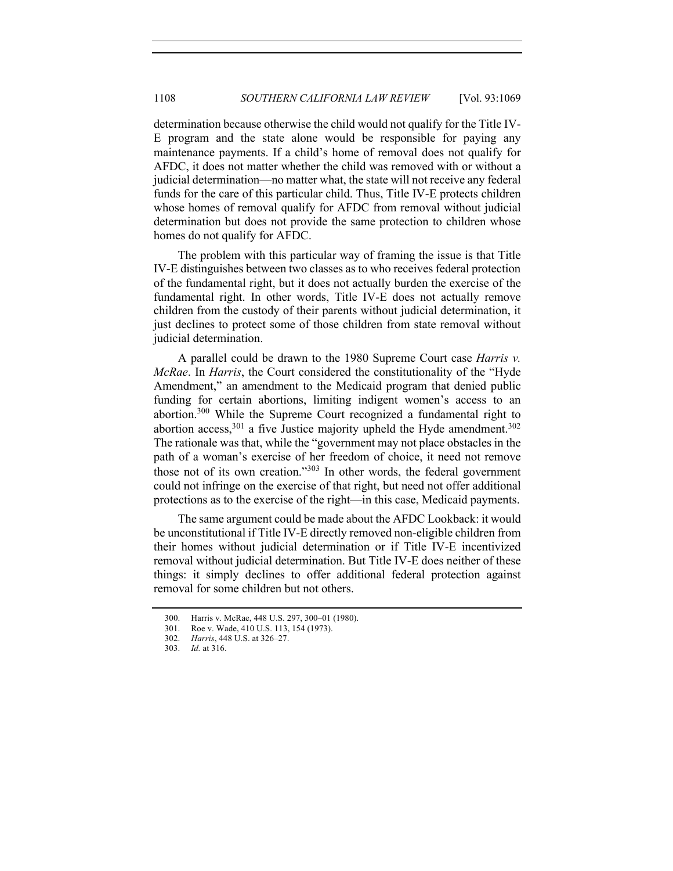determination because otherwise the child would not qualify for the Title IV-E program and the state alone would be responsible for paying any maintenance payments. If a child's home of removal does not qualify for AFDC, it does not matter whether the child was removed with or without a judicial determination—no matter what, the state will not receive any federal funds for the care of this particular child. Thus, Title IV-E protects children whose homes of removal qualify for AFDC from removal without judicial determination but does not provide the same protection to children whose homes do not qualify for AFDC.

The problem with this particular way of framing the issue is that Title IV-E distinguishes between two classes as to who receives federal protection of the fundamental right, but it does not actually burden the exercise of the fundamental right. In other words, Title IV-E does not actually remove children from the custody of their parents without judicial determination, it just declines to protect some of those children from state removal without judicial determination.

A parallel could be drawn to the 1980 Supreme Court case *Harris v. McRae*. In *Harris*, the Court considered the constitutionality of the "Hyde Amendment," an amendment to the Medicaid program that denied public funding for certain abortions, limiting indigent women's access to an abortion.300 While the Supreme Court recognized a fundamental right to abortion access,  $301$  a five Justice majority upheld the Hyde amendment.  $302$ The rationale was that, while the "government may not place obstacles in the path of a woman's exercise of her freedom of choice, it need not remove those not of its own creation."<sup>303</sup> In other words, the federal government could not infringe on the exercise of that right, but need not offer additional protections as to the exercise of the right—in this case, Medicaid payments.

The same argument could be made about the AFDC Lookback: it would be unconstitutional if Title IV-E directly removed non-eligible children from their homes without judicial determination or if Title IV-E incentivized removal without judicial determination. But Title IV-E does neither of these things: it simply declines to offer additional federal protection against removal for some children but not others.

<sup>300.</sup> Harris v. McRae, 448 U.S. 297, 300–01 (1980).

<sup>301.</sup> Roe v. Wade, 410 U.S. 113, 154 (1973).

<sup>302.</sup> *Harris*, 448 U.S. at 326–27.

<sup>303.</sup> *Id.* at 316.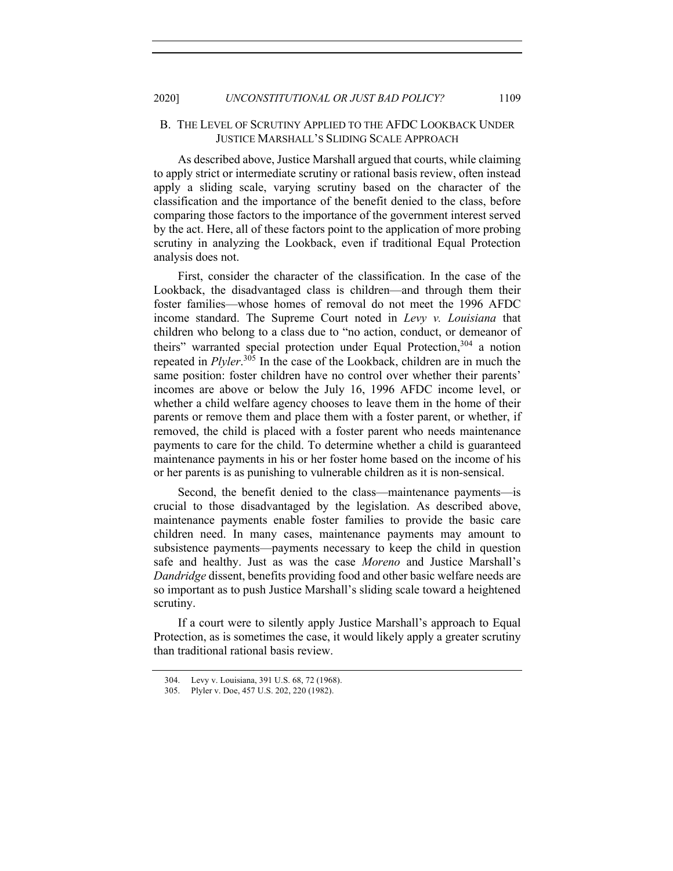## B. THE LEVEL OF SCRUTINY APPLIED TO THE AFDC LOOKBACK UNDER JUSTICE MARSHALL'S SLIDING SCALE APPROACH

As described above, Justice Marshall argued that courts, while claiming to apply strict or intermediate scrutiny or rational basis review, often instead apply a sliding scale, varying scrutiny based on the character of the classification and the importance of the benefit denied to the class, before comparing those factors to the importance of the government interest served by the act. Here, all of these factors point to the application of more probing scrutiny in analyzing the Lookback, even if traditional Equal Protection analysis does not.

First, consider the character of the classification. In the case of the Lookback, the disadvantaged class is children—and through them their foster families—whose homes of removal do not meet the 1996 AFDC income standard. The Supreme Court noted in *Levy v. Louisiana* that children who belong to a class due to "no action, conduct, or demeanor of theirs" warranted special protection under Equal Protection,  $304$  a notion repeated in *Plyler*. <sup>305</sup> In the case of the Lookback, children are in much the same position: foster children have no control over whether their parents' incomes are above or below the July 16, 1996 AFDC income level, or whether a child welfare agency chooses to leave them in the home of their parents or remove them and place them with a foster parent, or whether, if removed, the child is placed with a foster parent who needs maintenance payments to care for the child. To determine whether a child is guaranteed maintenance payments in his or her foster home based on the income of his or her parents is as punishing to vulnerable children as it is non-sensical.

Second, the benefit denied to the class—maintenance payments—is crucial to those disadvantaged by the legislation. As described above, maintenance payments enable foster families to provide the basic care children need. In many cases, maintenance payments may amount to subsistence payments—payments necessary to keep the child in question safe and healthy. Just as was the case *Moreno* and Justice Marshall's *Dandridge* dissent, benefits providing food and other basic welfare needs are so important as to push Justice Marshall's sliding scale toward a heightened scrutiny.

If a court were to silently apply Justice Marshall's approach to Equal Protection, as is sometimes the case, it would likely apply a greater scrutiny than traditional rational basis review.

<sup>304.</sup> Levy v. Louisiana, 391 U.S. 68, 72 (1968).

<sup>305.</sup> Plyler v. Doe, 457 U.S. 202, 220 (1982).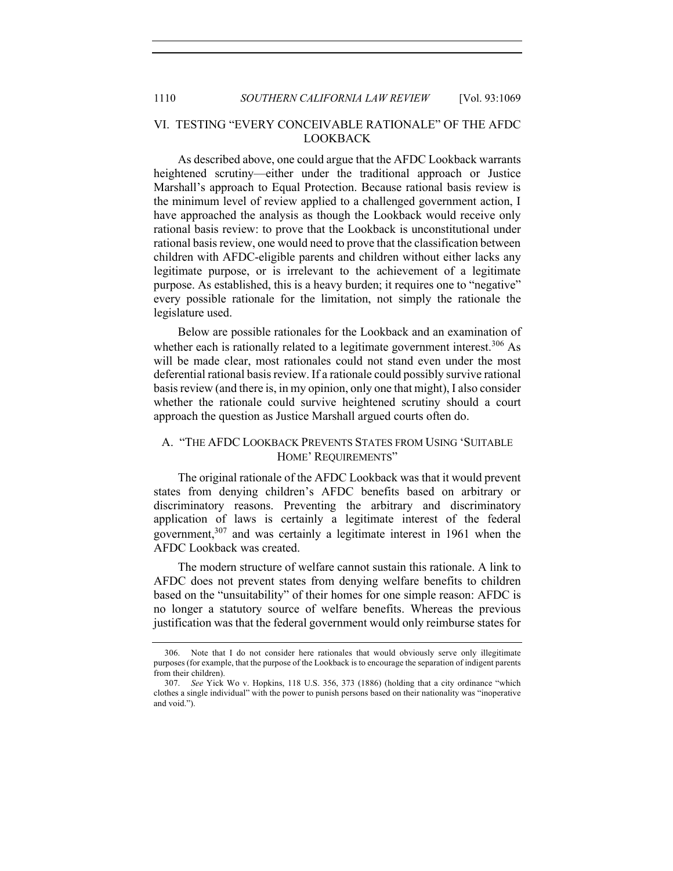## VI. TESTING "EVERY CONCEIVABLE RATIONALE" OF THE AFDC LOOKBACK

As described above, one could argue that the AFDC Lookback warrants heightened scrutiny—either under the traditional approach or Justice Marshall's approach to Equal Protection. Because rational basis review is the minimum level of review applied to a challenged government action, I have approached the analysis as though the Lookback would receive only rational basis review: to prove that the Lookback is unconstitutional under rational basis review, one would need to prove that the classification between children with AFDC-eligible parents and children without either lacks any legitimate purpose, or is irrelevant to the achievement of a legitimate purpose. As established, this is a heavy burden; it requires one to "negative" every possible rationale for the limitation, not simply the rationale the legislature used.

Below are possible rationales for the Lookback and an examination of whether each is rationally related to a legitimate government interest.<sup>306</sup> As will be made clear, most rationales could not stand even under the most deferential rational basis review. If a rationale could possibly survive rational basis review (and there is, in my opinion, only one that might), I also consider whether the rationale could survive heightened scrutiny should a court approach the question as Justice Marshall argued courts often do.

# A. "THE AFDC LOOKBACK PREVENTS STATES FROM USING 'SUITABLE HOME' REQUIREMENTS"

The original rationale of the AFDC Lookback was that it would prevent states from denying children's AFDC benefits based on arbitrary or discriminatory reasons. Preventing the arbitrary and discriminatory application of laws is certainly a legitimate interest of the federal government,<sup>307</sup> and was certainly a legitimate interest in 1961 when the AFDC Lookback was created.

The modern structure of welfare cannot sustain this rationale. A link to AFDC does not prevent states from denying welfare benefits to children based on the "unsuitability" of their homes for one simple reason: AFDC is no longer a statutory source of welfare benefits. Whereas the previous justification was that the federal government would only reimburse states for

<sup>306.</sup> Note that I do not consider here rationales that would obviously serve only illegitimate purposes (for example, that the purpose of the Lookback is to encourage the separation of indigent parents from their children).

<sup>307.</sup> *See* Yick Wo v. Hopkins, 118 U.S. 356, 373 (1886) (holding that a city ordinance "which clothes a single individual" with the power to punish persons based on their nationality was "inoperative and void.").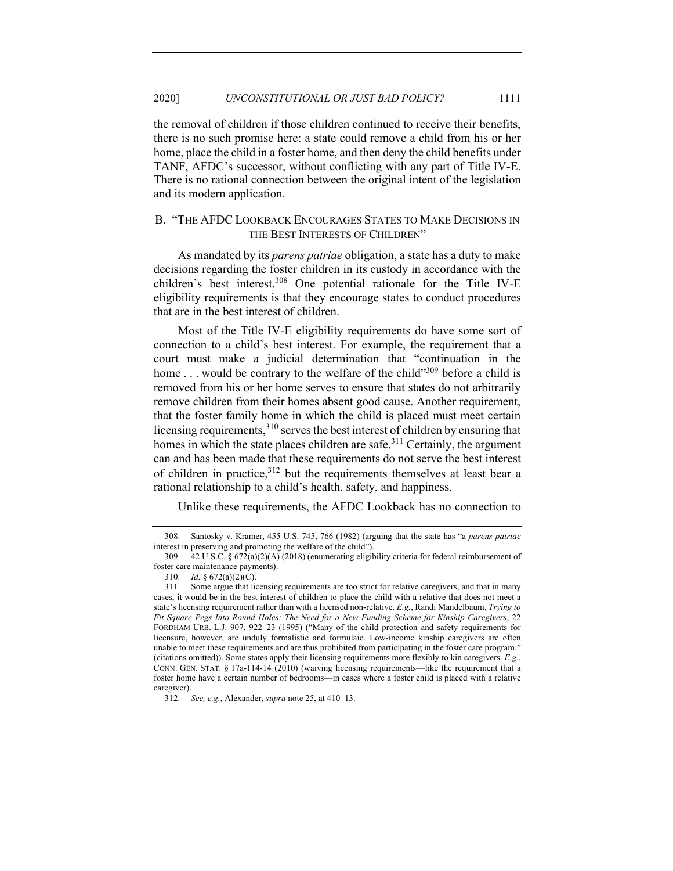the removal of children if those children continued to receive their benefits, there is no such promise here: a state could remove a child from his or her home, place the child in a foster home, and then deny the child benefits under TANF, AFDC's successor, without conflicting with any part of Title IV-E. There is no rational connection between the original intent of the legislation and its modern application.

## B. "THE AFDC LOOKBACK ENCOURAGES STATES TO MAKE DECISIONS IN THE BEST INTERESTS OF CHILDREN"

As mandated by its *parens patriae* obligation, a state has a duty to make decisions regarding the foster children in its custody in accordance with the children's best interest.308 One potential rationale for the Title IV-E eligibility requirements is that they encourage states to conduct procedures that are in the best interest of children.

Most of the Title IV-E eligibility requirements do have some sort of connection to a child's best interest. For example, the requirement that a court must make a judicial determination that "continuation in the home . . . would be contrary to the welfare of the child"<sup>309</sup> before a child is removed from his or her home serves to ensure that states do not arbitrarily remove children from their homes absent good cause. Another requirement, that the foster family home in which the child is placed must meet certain licensing requirements, $3^{10}$  serves the best interest of children by ensuring that homes in which the state places children are safe.<sup>311</sup> Certainly, the argument can and has been made that these requirements do not serve the best interest of children in practice, $3^{12}$  but the requirements themselves at least bear a rational relationship to a child's health, safety, and happiness.

Unlike these requirements, the AFDC Lookback has no connection to

<sup>308.</sup> Santosky v. Kramer, 455 U.S. 745, 766 (1982) (arguing that the state has "a *parens patriae*  interest in preserving and promoting the welfare of the child").

<sup>309.</sup> 42 U.S.C. § 672(a)(2)(A) (2018) (enumerating eligibility criteria for federal reimbursement of foster care maintenance payments).

<sup>310.</sup> *Id.* § 672(a)(2)(C).

<sup>311.</sup> Some argue that licensing requirements are too strict for relative caregivers, and that in many cases, it would be in the best interest of children to place the child with a relative that does not meet a state's licensing requirement rather than with a licensed non-relative. *E.g.*, Randi Mandelbaum, *Trying to Fit Square Pegs Into Round Holes: The Need for a New Funding Scheme for Kinship Caregivers*, 22 FORDHAM URB. L.J. 907, 922–23 (1995) ("Many of the child protection and safety requirements for licensure, however, are unduly formalistic and formulaic. Low-income kinship caregivers are often unable to meet these requirements and are thus prohibited from participating in the foster care program." (citations omitted)). Some states apply their licensing requirements more flexibly to kin caregivers. *E.g.*, CONN. GEN. STAT. § 17a-114-14 (2010) (waiving licensing requirements—like the requirement that a foster home have a certain number of bedrooms—in cases where a foster child is placed with a relative caregiver).

<sup>312.</sup> *See, e.g.*, Alexander, *supra* note 25, at 410–13.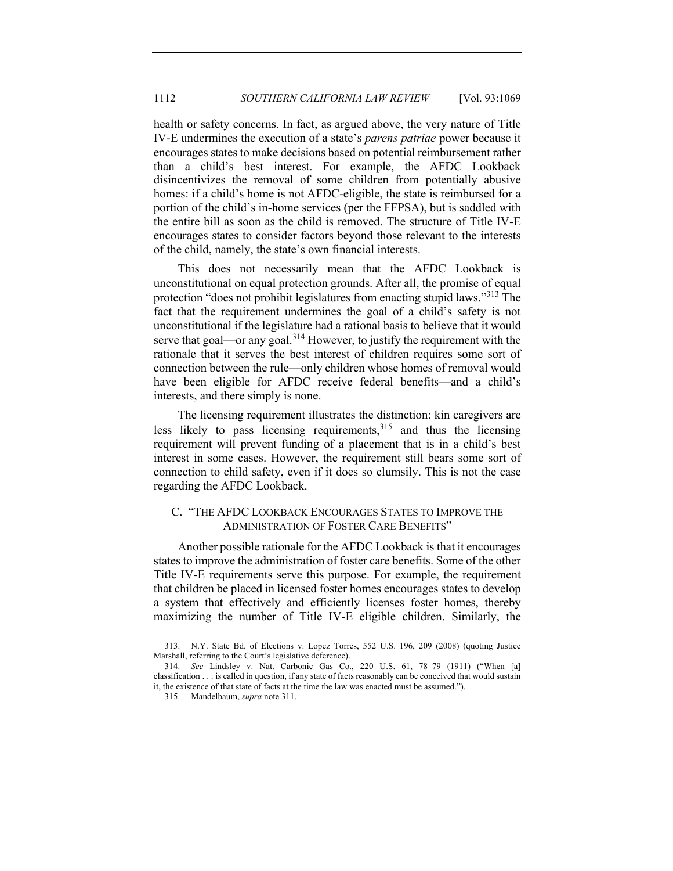health or safety concerns. In fact, as argued above, the very nature of Title IV-E undermines the execution of a state's *parens patriae* power because it encourages states to make decisions based on potential reimbursement rather than a child's best interest. For example, the AFDC Lookback disincentivizes the removal of some children from potentially abusive homes: if a child's home is not AFDC-eligible, the state is reimbursed for a portion of the child's in-home services (per the FFPSA), but is saddled with the entire bill as soon as the child is removed. The structure of Title IV-E encourages states to consider factors beyond those relevant to the interests of the child, namely, the state's own financial interests.

This does not necessarily mean that the AFDC Lookback is unconstitutional on equal protection grounds. After all, the promise of equal protection "does not prohibit legislatures from enacting stupid laws."<sup>313</sup> The fact that the requirement undermines the goal of a child's safety is not unconstitutional if the legislature had a rational basis to believe that it would serve that goal—or any goal.<sup>314</sup> However, to justify the requirement with the rationale that it serves the best interest of children requires some sort of connection between the rule—only children whose homes of removal would have been eligible for AFDC receive federal benefits—and a child's interests, and there simply is none.

The licensing requirement illustrates the distinction: kin caregivers are less likely to pass licensing requirements,  $315$  and thus the licensing requirement will prevent funding of a placement that is in a child's best interest in some cases. However, the requirement still bears some sort of connection to child safety, even if it does so clumsily. This is not the case regarding the AFDC Lookback.

# C. "THE AFDC LOOKBACK ENCOURAGES STATES TO IMPROVE THE ADMINISTRATION OF FOSTER CARE BENEFITS"

Another possible rationale for the AFDC Lookback is that it encourages states to improve the administration of foster care benefits. Some of the other Title IV-E requirements serve this purpose. For example, the requirement that children be placed in licensed foster homes encourages states to develop a system that effectively and efficiently licenses foster homes, thereby maximizing the number of Title IV-E eligible children. Similarly, the

<sup>313.</sup> N.Y. State Bd. of Elections v. Lopez Torres, 552 U.S. 196, 209 (2008) (quoting Justice Marshall, referring to the Court's legislative deference).

<sup>314.</sup> *See* Lindsley v. Nat. Carbonic Gas Co., 220 U.S. 61, 78–79 (1911) ("When [a] classification . . . is called in question, if any state of facts reasonably can be conceived that would sustain it, the existence of that state of facts at the time the law was enacted must be assumed.").

<sup>315.</sup> Mandelbaum, *supra* note 311.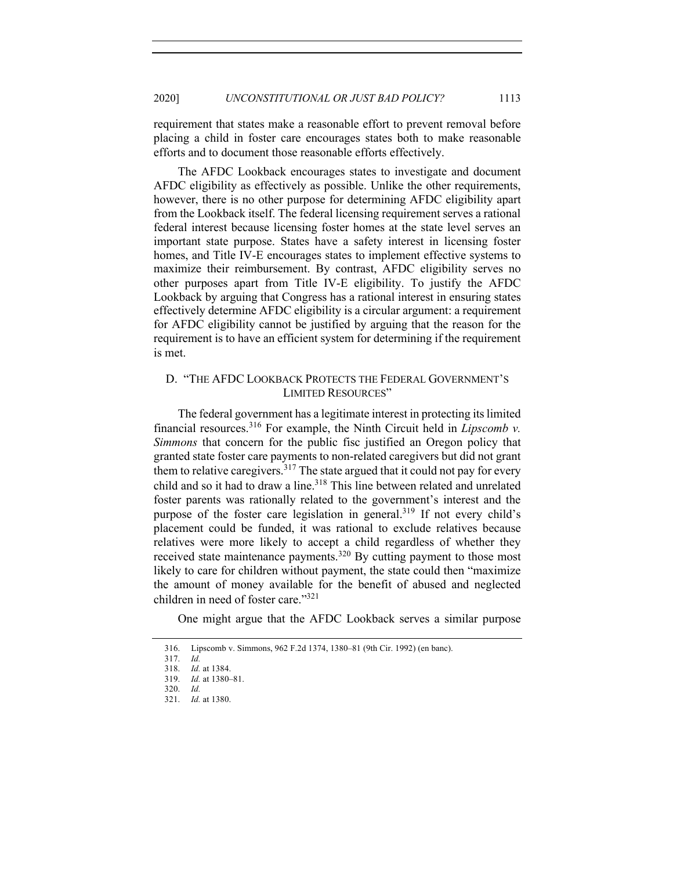requirement that states make a reasonable effort to prevent removal before placing a child in foster care encourages states both to make reasonable efforts and to document those reasonable efforts effectively.

The AFDC Lookback encourages states to investigate and document AFDC eligibility as effectively as possible. Unlike the other requirements, however, there is no other purpose for determining AFDC eligibility apart from the Lookback itself. The federal licensing requirement serves a rational federal interest because licensing foster homes at the state level serves an important state purpose. States have a safety interest in licensing foster homes, and Title IV-E encourages states to implement effective systems to maximize their reimbursement. By contrast, AFDC eligibility serves no other purposes apart from Title IV-E eligibility. To justify the AFDC Lookback by arguing that Congress has a rational interest in ensuring states effectively determine AFDC eligibility is a circular argument: a requirement for AFDC eligibility cannot be justified by arguing that the reason for the requirement is to have an efficient system for determining if the requirement is met.

## D. "THE AFDC LOOKBACK PROTECTS THE FEDERAL GOVERNMENT'S LIMITED RESOURCES"

The federal government has a legitimate interest in protecting its limited financial resources.<sup>316</sup> For example, the Ninth Circuit held in *Lipscomb v. Simmons* that concern for the public fisc justified an Oregon policy that granted state foster care payments to non-related caregivers but did not grant them to relative caregivers.<sup>317</sup> The state argued that it could not pay for every child and so it had to draw a line.<sup>318</sup> This line between related and unrelated foster parents was rationally related to the government's interest and the purpose of the foster care legislation in general.<sup>319</sup> If not every child's placement could be funded, it was rational to exclude relatives because relatives were more likely to accept a child regardless of whether they received state maintenance payments.<sup>320</sup> By cutting payment to those most likely to care for children without payment, the state could then "maximize the amount of money available for the benefit of abused and neglected children in need of foster care."321

One might argue that the AFDC Lookback serves a similar purpose

<sup>316.</sup> Lipscomb v. Simmons, 962 F.2d 1374, 1380–81 (9th Cir. 1992) (en banc).

<sup>317.</sup> *Id.*

<sup>318.</sup> *Id.* at 1384.

<sup>319.</sup> *Id.* at 1380–81. 320. *Id.*

<sup>321.</sup> *Id.* at 1380.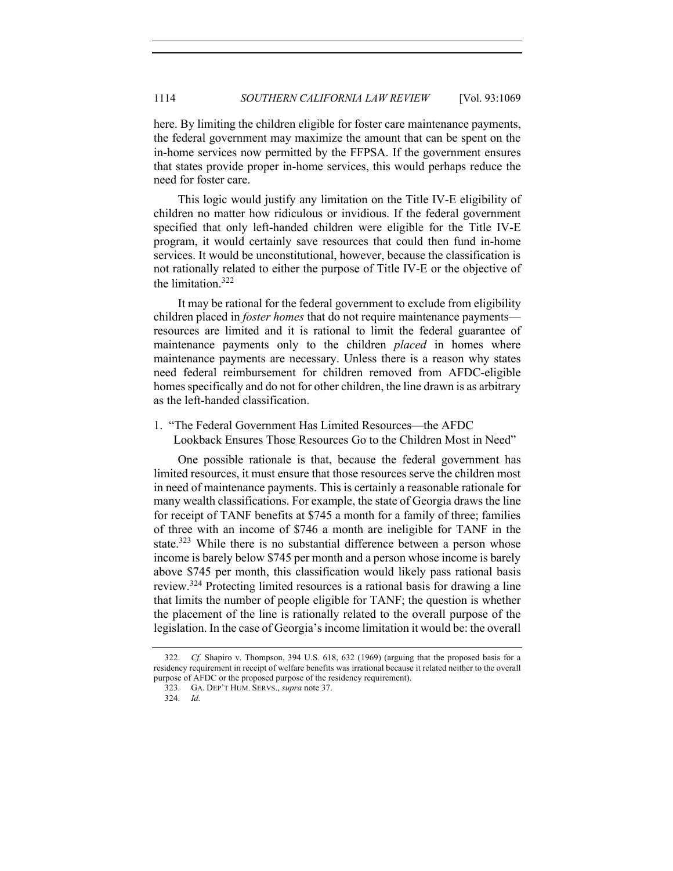here. By limiting the children eligible for foster care maintenance payments, the federal government may maximize the amount that can be spent on the in-home services now permitted by the FFPSA. If the government ensures that states provide proper in-home services, this would perhaps reduce the need for foster care.

This logic would justify any limitation on the Title IV-E eligibility of children no matter how ridiculous or invidious. If the federal government specified that only left-handed children were eligible for the Title IV-E program, it would certainly save resources that could then fund in-home services. It would be unconstitutional, however, because the classification is not rationally related to either the purpose of Title IV-E or the objective of the limitation.322

It may be rational for the federal government to exclude from eligibility children placed in *foster homes* that do not require maintenance payments resources are limited and it is rational to limit the federal guarantee of maintenance payments only to the children *placed* in homes where maintenance payments are necessary. Unless there is a reason why states need federal reimbursement for children removed from AFDC-eligible homes specifically and do not for other children, the line drawn is as arbitrary as the left-handed classification.

1. "The Federal Government Has Limited Resources—the AFDC Lookback Ensures Those Resources Go to the Children Most in Need"

One possible rationale is that, because the federal government has limited resources, it must ensure that those resources serve the children most in need of maintenance payments. This is certainly a reasonable rationale for many wealth classifications. For example, the state of Georgia draws the line for receipt of TANF benefits at \$745 a month for a family of three; families of three with an income of \$746 a month are ineligible for TANF in the state.<sup>323</sup> While there is no substantial difference between a person whose income is barely below \$745 per month and a person whose income is barely above \$745 per month, this classification would likely pass rational basis review.324 Protecting limited resources is a rational basis for drawing a line that limits the number of people eligible for TANF; the question is whether the placement of the line is rationally related to the overall purpose of the legislation. In the case of Georgia's income limitation it would be: the overall

<sup>322.</sup> *Cf.* Shapiro v. Thompson, 394 U.S. 618, 632 (1969) (arguing that the proposed basis for a residency requirement in receipt of welfare benefits was irrational because it related neither to the overall purpose of AFDC or the proposed purpose of the residency requirement).

<sup>323.</sup> GA. DEP'T HUM. SERVS., *supra* note 37.

<sup>324.</sup> *Id.*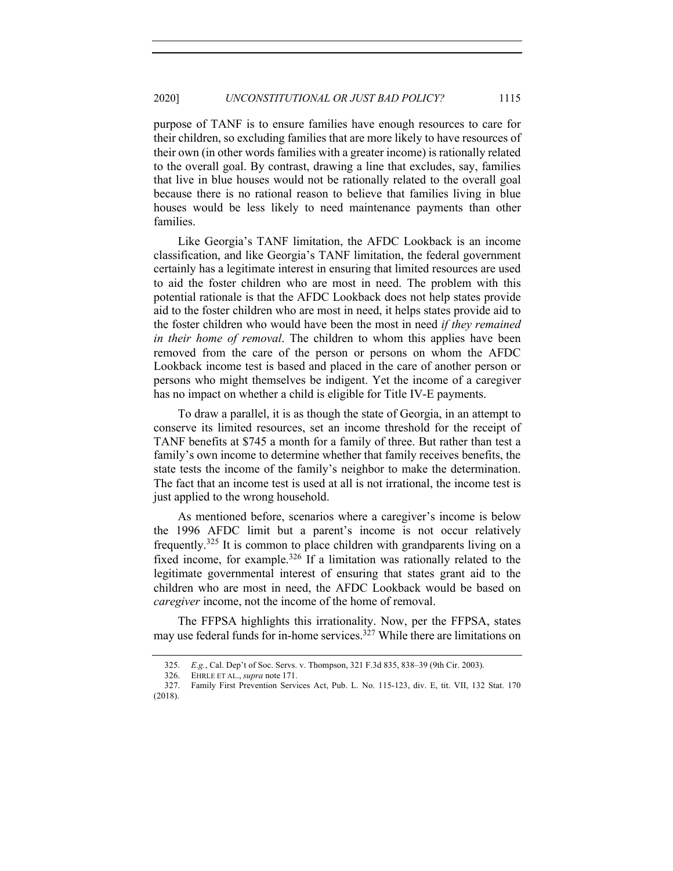purpose of TANF is to ensure families have enough resources to care for their children, so excluding families that are more likely to have resources of their own (in other words families with a greater income) is rationally related to the overall goal. By contrast, drawing a line that excludes, say, families that live in blue houses would not be rationally related to the overall goal because there is no rational reason to believe that families living in blue houses would be less likely to need maintenance payments than other families.

Like Georgia's TANF limitation, the AFDC Lookback is an income classification, and like Georgia's TANF limitation, the federal government certainly has a legitimate interest in ensuring that limited resources are used to aid the foster children who are most in need. The problem with this potential rationale is that the AFDC Lookback does not help states provide aid to the foster children who are most in need, it helps states provide aid to the foster children who would have been the most in need *if they remained in their home of removal*. The children to whom this applies have been removed from the care of the person or persons on whom the AFDC Lookback income test is based and placed in the care of another person or persons who might themselves be indigent. Yet the income of a caregiver has no impact on whether a child is eligible for Title IV-E payments.

To draw a parallel, it is as though the state of Georgia, in an attempt to conserve its limited resources, set an income threshold for the receipt of TANF benefits at \$745 a month for a family of three. But rather than test a family's own income to determine whether that family receives benefits, the state tests the income of the family's neighbor to make the determination. The fact that an income test is used at all is not irrational, the income test is just applied to the wrong household.

As mentioned before, scenarios where a caregiver's income is below the 1996 AFDC limit but a parent's income is not occur relatively frequently.<sup>325</sup> It is common to place children with grandparents living on a fixed income, for example.<sup>326</sup> If a limitation was rationally related to the legitimate governmental interest of ensuring that states grant aid to the children who are most in need, the AFDC Lookback would be based on *caregiver* income, not the income of the home of removal.

The FFPSA highlights this irrationality. Now, per the FFPSA, states may use federal funds for in-home services.<sup>327</sup> While there are limitations on

<sup>325.</sup> *E.g.*, Cal. Dep't of Soc. Servs. v. Thompson, 321 F.3d 835, 838–39 (9th Cir. 2003).

<sup>326.</sup> EHRLE ET AL., *supra* note 171.

<sup>327.</sup> Family First Prevention Services Act, Pub. L. No. 115-123, div. E, tit. VII, 132 Stat. 170 (2018).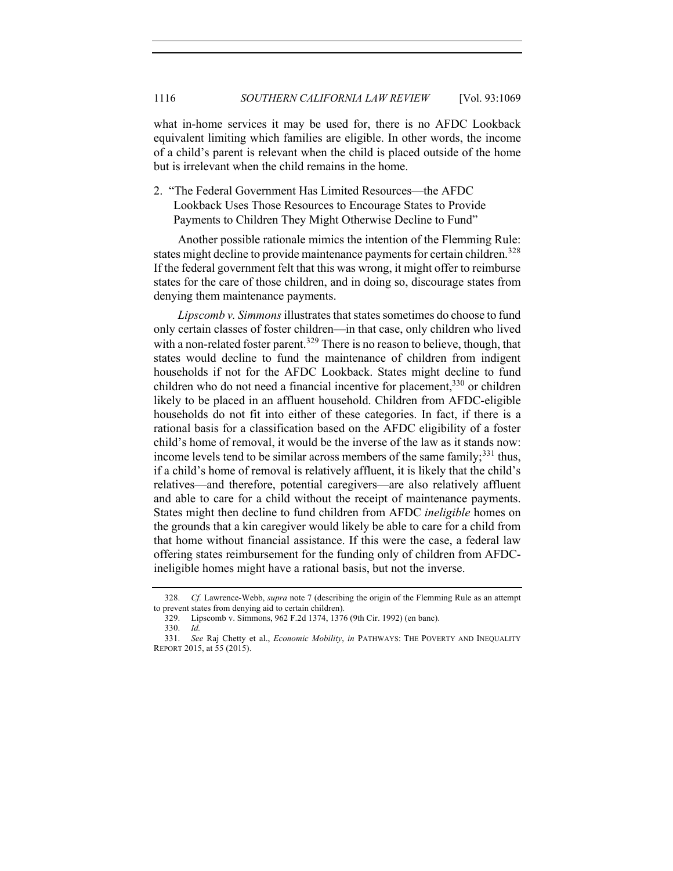what in-home services it may be used for, there is no AFDC Lookback equivalent limiting which families are eligible. In other words, the income of a child's parent is relevant when the child is placed outside of the home but is irrelevant when the child remains in the home.

2. "The Federal Government Has Limited Resources—the AFDC Lookback Uses Those Resources to Encourage States to Provide Payments to Children They Might Otherwise Decline to Fund"

Another possible rationale mimics the intention of the Flemming Rule: states might decline to provide maintenance payments for certain children.<sup>328</sup> If the federal government felt that this was wrong, it might offer to reimburse states for the care of those children, and in doing so, discourage states from denying them maintenance payments.

*Lipscomb v. Simmons*illustrates that states sometimes do choose to fund only certain classes of foster children—in that case, only children who lived with a non-related foster parent.<sup>329</sup> There is no reason to believe, though, that states would decline to fund the maintenance of children from indigent households if not for the AFDC Lookback. States might decline to fund children who do not need a financial incentive for placement,  $330$  or children likely to be placed in an affluent household. Children from AFDC-eligible households do not fit into either of these categories. In fact, if there is a rational basis for a classification based on the AFDC eligibility of a foster child's home of removal, it would be the inverse of the law as it stands now: income levels tend to be similar across members of the same family;<sup>331</sup> thus, if a child's home of removal is relatively affluent, it is likely that the child's relatives—and therefore, potential caregivers—are also relatively affluent and able to care for a child without the receipt of maintenance payments. States might then decline to fund children from AFDC *ineligible* homes on the grounds that a kin caregiver would likely be able to care for a child from that home without financial assistance. If this were the case, a federal law offering states reimbursement for the funding only of children from AFDCineligible homes might have a rational basis, but not the inverse.

<sup>328.</sup> *Cf.* Lawrence-Webb, *supra* note 7 (describing the origin of the Flemming Rule as an attempt to prevent states from denying aid to certain children).

<sup>329.</sup> Lipscomb v. Simmons, 962 F.2d 1374, 1376 (9th Cir. 1992) (en banc).

<sup>330.</sup> *Id.*

<sup>331.</sup> *See* Raj Chetty et al., *Economic Mobility*, *in* PATHWAYS: THE POVERTY AND INEQUALITY REPORT 2015, at 55 (2015).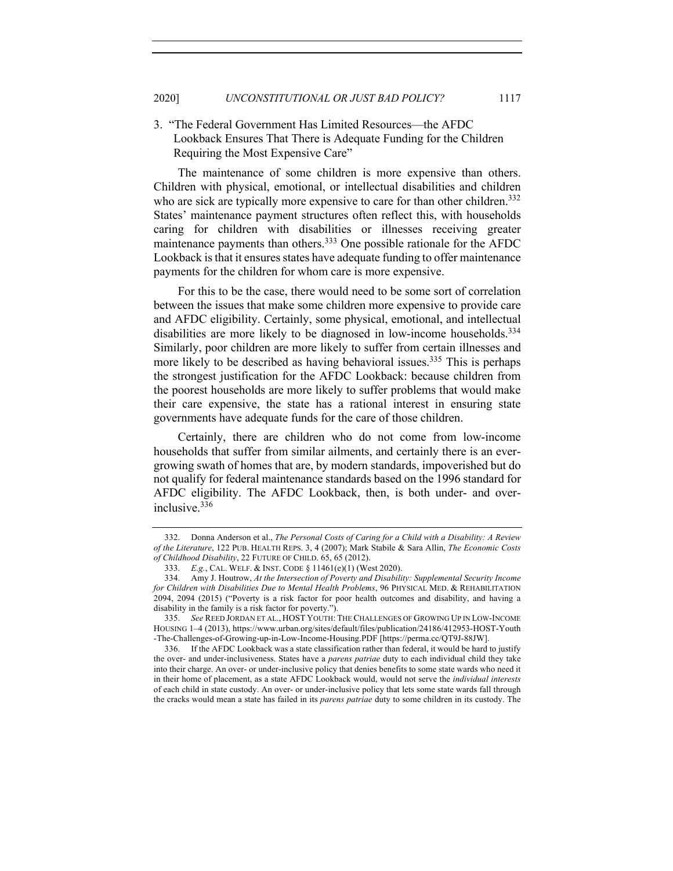## 3. "The Federal Government Has Limited Resources—the AFDC Lookback Ensures That There is Adequate Funding for the Children Requiring the Most Expensive Care"

The maintenance of some children is more expensive than others. Children with physical, emotional, or intellectual disabilities and children who are sick are typically more expensive to care for than other children.<sup>332</sup> States' maintenance payment structures often reflect this, with households caring for children with disabilities or illnesses receiving greater maintenance payments than others.333 One possible rationale for the AFDC Lookback is that it ensures states have adequate funding to offer maintenance payments for the children for whom care is more expensive.

For this to be the case, there would need to be some sort of correlation between the issues that make some children more expensive to provide care and AFDC eligibility. Certainly, some physical, emotional, and intellectual disabilities are more likely to be diagnosed in low-income households.<sup>334</sup> Similarly, poor children are more likely to suffer from certain illnesses and more likely to be described as having behavioral issues.<sup>335</sup> This is perhaps the strongest justification for the AFDC Lookback: because children from the poorest households are more likely to suffer problems that would make their care expensive, the state has a rational interest in ensuring state governments have adequate funds for the care of those children.

Certainly, there are children who do not come from low-income households that suffer from similar ailments, and certainly there is an evergrowing swath of homes that are, by modern standards, impoverished but do not qualify for federal maintenance standards based on the 1996 standard for AFDC eligibility. The AFDC Lookback, then, is both under- and overinclusive.<sup>336</sup>

<sup>332.</sup> Donna Anderson et al., *The Personal Costs of Caring for a Child with a Disability: A Review of the Literature*, 122 PUB. HEALTH REPS. 3, 4 (2007); Mark Stabile & Sara Allin, *The Economic Costs of Childhood Disability*, 22 FUTURE OF CHILD. 65, 65 (2012).

<sup>333.</sup> *E.g.*, CAL. WELF. & INST. CODE § 11461(e)(1) (West 2020).

<sup>334.</sup> Amy J. Houtrow, *At the Intersection of Poverty and Disability: Supplemental Security Income for Children with Disabilities Due to Mental Health Problems*, 96 PHYSICAL MED. & REHABILITATION 2094, 2094 (2015) ("Poverty is a risk factor for poor health outcomes and disability, and having a disability in the family is a risk factor for poverty.").

<sup>335.</sup> *See* REED JORDAN ET AL., HOST YOUTH: THE CHALLENGES OF GROWING UP IN LOW-INCOME HOUSING 1–4 (2013), https://www.urban.org/sites/default/files/publication/24186/412953-HOST-Youth -The-Challenges-of-Growing-up-in-Low-Income-Housing.PDF [https://perma.cc/QT9J-88JW].

<sup>336.</sup> If the AFDC Lookback was a state classification rather than federal, it would be hard to justify the over- and under-inclusiveness. States have a *parens patriae* duty to each individual child they take into their charge. An over- or under-inclusive policy that denies benefits to some state wards who need it in their home of placement, as a state AFDC Lookback would, would not serve the *individual interests* of each child in state custody. An over- or under-inclusive policy that lets some state wards fall through the cracks would mean a state has failed in its *parens patriae* duty to some children in its custody. The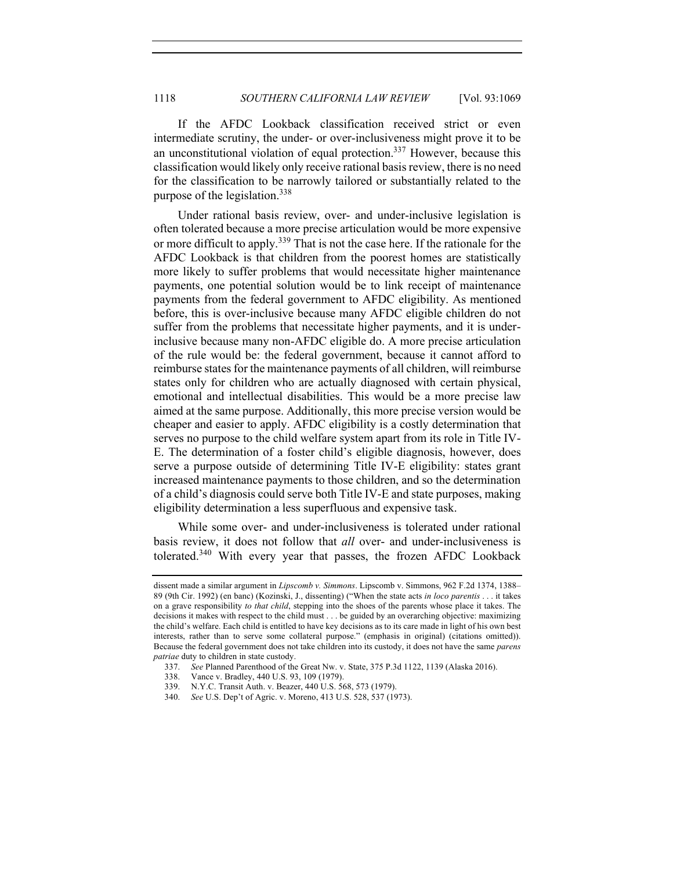If the AFDC Lookback classification received strict or even intermediate scrutiny, the under- or over-inclusiveness might prove it to be an unconstitutional violation of equal protection.<sup>337</sup> However, because this classification would likely only receive rational basis review, there is no need for the classification to be narrowly tailored or substantially related to the purpose of the legislation.338

Under rational basis review, over- and under-inclusive legislation is often tolerated because a more precise articulation would be more expensive or more difficult to apply.<sup>339</sup> That is not the case here. If the rationale for the AFDC Lookback is that children from the poorest homes are statistically more likely to suffer problems that would necessitate higher maintenance payments, one potential solution would be to link receipt of maintenance payments from the federal government to AFDC eligibility. As mentioned before, this is over-inclusive because many AFDC eligible children do not suffer from the problems that necessitate higher payments, and it is underinclusive because many non-AFDC eligible do. A more precise articulation of the rule would be: the federal government, because it cannot afford to reimburse states for the maintenance payments of all children, will reimburse states only for children who are actually diagnosed with certain physical, emotional and intellectual disabilities. This would be a more precise law aimed at the same purpose. Additionally, this more precise version would be cheaper and easier to apply. AFDC eligibility is a costly determination that serves no purpose to the child welfare system apart from its role in Title IV-E. The determination of a foster child's eligible diagnosis, however, does serve a purpose outside of determining Title IV-E eligibility: states grant increased maintenance payments to those children, and so the determination of a child's diagnosis could serve both Title IV-E and state purposes, making eligibility determination a less superfluous and expensive task.

While some over- and under-inclusiveness is tolerated under rational basis review, it does not follow that *all* over- and under-inclusiveness is tolerated.<sup>340</sup> With every year that passes, the frozen AFDC Lookback

dissent made a similar argument in *Lipscomb v. Simmons*. Lipscomb v. Simmons, 962 F.2d 1374, 1388– 89 (9th Cir. 1992) (en banc) (Kozinski, J., dissenting) ("When the state acts *in loco parentis* . . . it takes on a grave responsibility *to that child*, stepping into the shoes of the parents whose place it takes. The decisions it makes with respect to the child must . . . be guided by an overarching objective: maximizing the child's welfare. Each child is entitled to have key decisions as to its care made in light of his own best interests, rather than to serve some collateral purpose." (emphasis in original) (citations omitted)). Because the federal government does not take children into its custody, it does not have the same *parens patriae* duty to children in state custody.

<sup>337.</sup> *See* Planned Parenthood of the Great Nw. v. State, 375 P.3d 1122, 1139 (Alaska 2016).

<sup>338.</sup> Vance v. Bradley, 440 U.S. 93, 109 (1979).

<sup>339.</sup> N.Y.C. Transit Auth. v. Beazer, 440 U.S. 568, 573 (1979).

<sup>340.</sup> *See* U.S. Dep't of Agric. v. Moreno, 413 U.S. 528, 537 (1973).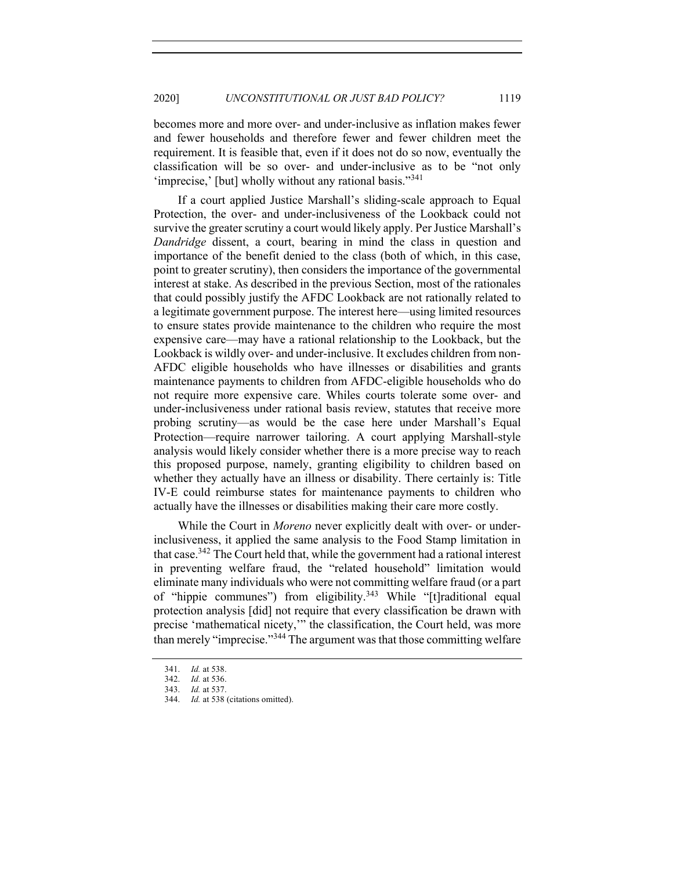becomes more and more over- and under-inclusive as inflation makes fewer and fewer households and therefore fewer and fewer children meet the requirement. It is feasible that, even if it does not do so now, eventually the classification will be so over- and under-inclusive as to be "not only 'imprecise,' [but] wholly without any rational basis."<sup>341</sup>

If a court applied Justice Marshall's sliding-scale approach to Equal Protection, the over- and under-inclusiveness of the Lookback could not survive the greater scrutiny a court would likely apply. Per Justice Marshall's *Dandridge* dissent, a court, bearing in mind the class in question and importance of the benefit denied to the class (both of which, in this case, point to greater scrutiny), then considers the importance of the governmental interest at stake. As described in the previous Section, most of the rationales that could possibly justify the AFDC Lookback are not rationally related to a legitimate government purpose. The interest here—using limited resources to ensure states provide maintenance to the children who require the most expensive care—may have a rational relationship to the Lookback, but the Lookback is wildly over- and under-inclusive. It excludes children from non-AFDC eligible households who have illnesses or disabilities and grants maintenance payments to children from AFDC-eligible households who do not require more expensive care. Whiles courts tolerate some over- and under-inclusiveness under rational basis review, statutes that receive more probing scrutiny—as would be the case here under Marshall's Equal Protection—require narrower tailoring. A court applying Marshall-style analysis would likely consider whether there is a more precise way to reach this proposed purpose, namely, granting eligibility to children based on whether they actually have an illness or disability. There certainly is: Title IV-E could reimburse states for maintenance payments to children who actually have the illnesses or disabilities making their care more costly.

While the Court in *Moreno* never explicitly dealt with over- or underinclusiveness, it applied the same analysis to the Food Stamp limitation in that case.<sup>342</sup> The Court held that, while the government had a rational interest in preventing welfare fraud, the "related household" limitation would eliminate many individuals who were not committing welfare fraud (or a part of "hippie communes") from eligibility.<sup>343</sup> While "[t]raditional equal protection analysis [did] not require that every classification be drawn with precise 'mathematical nicety,'" the classification, the Court held, was more than merely "imprecise."<sup>344</sup> The argument was that those committing welfare

<sup>341.</sup> *Id.* at 538.

<sup>342.</sup> *Id.* at 536.

<sup>343.</sup> *Id.* at 537.

<sup>344.</sup> *Id.* at 538 (citations omitted).